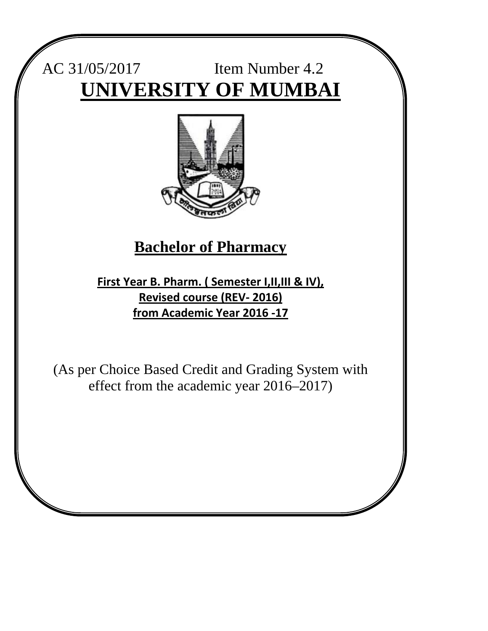# AC 31/05/2017 Item Number 4.2 **UNIVERSITY OF MUMBAI**



## **Bachelor of Pharmacy**

**First Year B. Pharm. ( Semester I,II,III & IV), Revised course (REV- 2016) from Academic Year 2016 -17**

(As per Choice Based Credit and Grading System with effect from the academic year 2016–2017)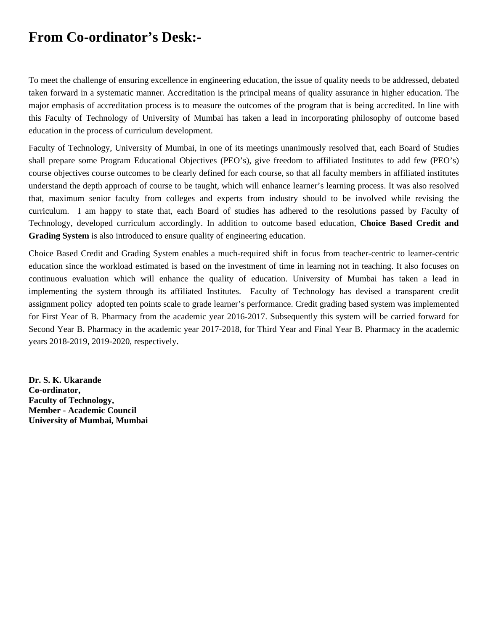## **From Co-ordinator's Desk:-**

To meet the challenge of ensuring excellence in engineering education, the issue of quality needs to be addressed, debated taken forward in a systematic manner. Accreditation is the principal means of quality assurance in higher education. The major emphasis of accreditation process is to measure the outcomes of the program that is being accredited. In line with this Faculty of Technology of University of Mumbai has taken a lead in incorporating philosophy of outcome based education in the process of curriculum development.

Faculty of Technology, University of Mumbai, in one of its meetings unanimously resolved that, each Board of Studies shall prepare some Program Educational Objectives (PEO's), give freedom to affiliated Institutes to add few (PEO's) course objectives course outcomes to be clearly defined for each course, so that all faculty members in affiliated institutes understand the depth approach of course to be taught, which will enhance learner's learning process. It was also resolved that, maximum senior faculty from colleges and experts from industry should to be involved while revising the curriculum. I am happy to state that, each Board of studies has adhered to the resolutions passed by Faculty of Technology, developed curriculum accordingly. In addition to outcome based education, **Choice Based Credit and Grading System** is also introduced to ensure quality of engineering education.

Choice Based Credit and Grading System enables a much-required shift in focus from teacher-centric to learner-centric education since the workload estimated is based on the investment of time in learning not in teaching. It also focuses on continuous evaluation which will enhance the quality of education. University of Mumbai has taken a lead in implementing the system through its affiliated Institutes. Faculty of Technology has devised a transparent credit assignment policy adopted ten points scale to grade learner's performance. Credit grading based system was implemented for First Year of B. Pharmacy from the academic year 2016-2017. Subsequently this system will be carried forward for Second Year B. Pharmacy in the academic year 2017-2018, for Third Year and Final Year B. Pharmacy in the academic years 2018-2019, 2019-2020, respectively.

**Dr. S. K. Ukarande Co-ordinator, Faculty of Technology, Member - Academic Council University of Mumbai, Mumbai**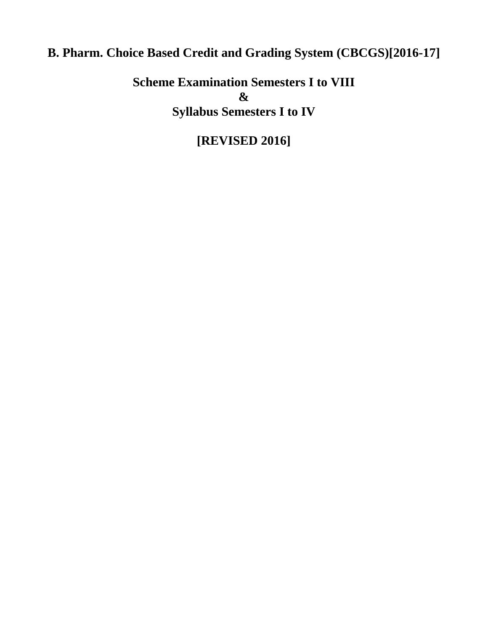## **B. Pharm. Choice Based Credit and Grading System (CBCGS)[2016-17]**

**Scheme Examination Semesters I to VIII & Syllabus Semesters I to IV**

## **[REVISED 2016]**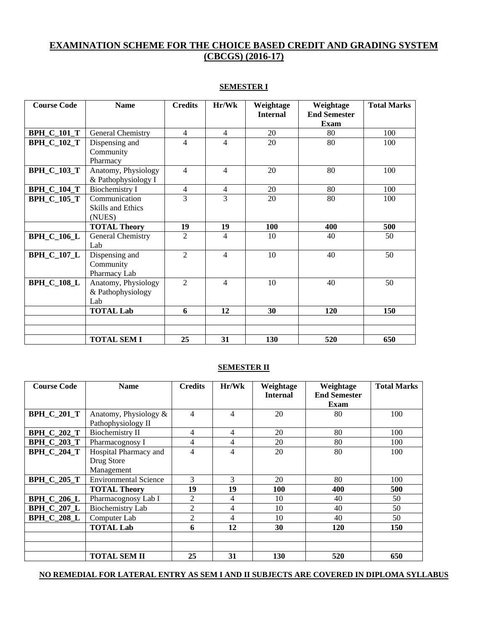### **EXAMINATION SCHEME FOR THE CHOICE BASED CREDIT AND GRADING SYSTEM (CBCGS) (2016-17)**

| <b>Course Code</b> | <b>Name</b>                                         | <b>Credits</b> | Hr/Wk          | Weightage       | Weightage                          | <b>Total Marks</b> |
|--------------------|-----------------------------------------------------|----------------|----------------|-----------------|------------------------------------|--------------------|
|                    |                                                     |                |                | <b>Internal</b> | <b>End Semester</b><br><b>Exam</b> |                    |
| <b>BPH_C_101_T</b> | General Chemistry                                   | $\overline{4}$ | $\overline{4}$ | 20              | 80                                 | 100                |
| <b>BPH_C_102_T</b> | Dispensing and<br>Community<br>Pharmacy             | $\overline{4}$ | 4              | 20              | 80                                 | 100                |
| <b>BPH_C_103_T</b> | Anatomy, Physiology<br>& Pathophysiology I          | $\overline{4}$ | $\overline{4}$ | 20              | 80                                 | 100                |
| <b>BPH_C_104_T</b> | <b>Biochemistry I</b>                               | 4              | 4              | 20              | 80                                 | 100                |
| <b>BPH_C_105_T</b> | Communication<br><b>Skills and Ethics</b><br>(NUES) | $\overline{3}$ | 3              | 20              | 80                                 | 100                |
|                    | <b>TOTAL Theory</b>                                 | 19             | 19             | 100             | 400                                | 500                |
| <b>BPH_C_106_L</b> | General Chemistry<br>Lab                            | $\overline{2}$ | 4              | 10              | 40                                 | 50                 |
| <b>BPH_C_107_L</b> | Dispensing and<br>Community<br>Pharmacy Lab         | $\overline{2}$ | 4              | 10              | 40                                 | 50                 |
| <b>BPH_C_108_L</b> | Anatomy, Physiology<br>& Pathophysiology<br>Lab     | $\overline{2}$ | 4              | 10              | 40                                 | 50                 |
|                    | <b>TOTAL Lab</b>                                    | 6              | 12             | 30              | 120                                | 150                |
|                    |                                                     |                |                |                 |                                    |                    |
|                    | <b>TOTAL SEM I</b>                                  | 25             | 31             | 130             | 520                                | 650                |

#### **SEMESTER I**

#### **SEMESTER II**

| <b>Course Code</b> | <b>Name</b>                  | <b>Credits</b> | Hr/Wk | Weightage       | Weightage           | <b>Total Marks</b> |
|--------------------|------------------------------|----------------|-------|-----------------|---------------------|--------------------|
|                    |                              |                |       | <b>Internal</b> | <b>End Semester</b> |                    |
|                    |                              |                |       |                 | Exam                |                    |
| <b>BPH_C_201_T</b> | Anatomy, Physiology &        | 4              | 4     | 20              | 80                  | 100                |
|                    | Pathophysiology II           |                |       |                 |                     |                    |
| <b>BPH_C_202_T</b> | <b>Biochemistry II</b>       | 4              | 4     | 20              | 80                  | 100                |
| <b>BPH_C_203_T</b> | Pharmacognosy I              | 4              | 4     | 20              | 80                  | 100                |
| <b>BPH C 204 T</b> | Hospital Pharmacy and        | 4              | 4     | 20              | 80                  | 100                |
|                    | Drug Store                   |                |       |                 |                     |                    |
|                    | Management                   |                |       |                 |                     |                    |
| <b>BPH C 205 T</b> | <b>Environmental Science</b> | 3              | 3     | 20              | 80                  | 100                |
|                    | <b>TOTAL Theory</b>          | 19             | 19    | 100             | 400                 | 500                |
| <b>BPH C 206 L</b> | Pharmacognosy Lab I          | 2              | 4     | 10              | 40                  | 50                 |
| <b>BPH C 207 L</b> | Biochemistry Lab             | $\overline{2}$ | 4     | 10              | 40                  | 50                 |
| <b>BPH C 208 L</b> | Computer Lab                 | $\overline{c}$ | 4     | 10              | 40                  | 50                 |
|                    | <b>TOTAL Lab</b>             | 6              | 12    | 30              | 120                 | 150                |
|                    |                              |                |       |                 |                     |                    |
|                    |                              |                |       |                 |                     |                    |
|                    | <b>TOTAL SEM II</b>          | 25             | 31    | 130             | 520                 | 650                |

#### **NO REMEDIAL FOR LATERAL ENTRY AS SEM I AND II SUBJECTS ARE COVERED IN DIPLOMA SYLLABUS**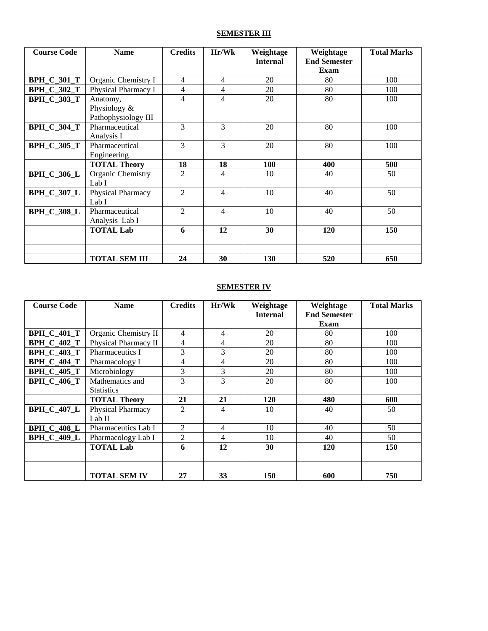### **SEMESTER III**

| <b>Course Code</b> | <b>Name</b>                         | <b>Credits</b> | Hr/Wk | Weightage       | Weightage                   | <b>Total Marks</b> |
|--------------------|-------------------------------------|----------------|-------|-----------------|-----------------------------|--------------------|
|                    |                                     |                |       | <b>Internal</b> | <b>End Semester</b><br>Exam |                    |
| <b>BPH C 301 T</b> | Organic Chemistry I                 | 4              | 4     | 20              | 80                          | 100                |
| <b>BPH_C_302_T</b> | Physical Pharmacy I                 | 4              | 4     | 20              | 80                          | 100                |
| <b>BPH C 303 T</b> | Anatomy,                            | $\overline{4}$ | 4     | 20              | 80                          | 100                |
|                    | Physiology &<br>Pathophysiology III |                |       |                 |                             |                    |
| <b>BPH_C_304_T</b> | Pharmaceutical<br>Analysis I        | 3              | 3     | 20              | 80                          | 100                |
| <b>BPH_C_305_T</b> | Pharmaceutical<br>Engineering       | 3              | 3     | 20              | 80                          | 100                |
|                    | <b>TOTAL Theory</b>                 | 18             | 18    | 100             | 400                         | 500                |
| <b>BPH_C_306_L</b> | Organic Chemistry<br>Lab I          | 2              | 4     | 10              | 40                          | 50                 |
| <b>BPH_C_307_L</b> | Physical Pharmacy<br>Lab I          | $\overline{2}$ | 4     | 10              | 40                          | 50                 |
| <b>BPH_C_308_L</b> | Pharmaceutical<br>Analysis Lab I    | 2              | 4     | 10              | 40                          | 50                 |
|                    | <b>TOTAL Lab</b>                    | 6              | 12    | 30              | 120                         | 150                |
|                    |                                     |                |       |                 |                             |                    |
|                    |                                     |                |       |                 |                             |                    |
|                    | <b>TOTAL SEM III</b>                | 24             | 30    | 130             | 520                         | 650                |

#### **SEMESTER IV**

| <b>Course Code</b> | <b>Name</b>          | <b>Credits</b> | Hr/Wk | Weightage<br><b>Internal</b> | Weightage<br><b>End Semester</b> | <b>Total Marks</b> |
|--------------------|----------------------|----------------|-------|------------------------------|----------------------------------|--------------------|
|                    |                      |                |       |                              | Exam                             |                    |
| <b>BPH_C_401_T</b> | Organic Chemistry II | 4              | 4     | 20                           | 80                               | 100                |
| <b>BPH C 402 T</b> | Physical Pharmacy II | 4              | 4     | 20                           | 80                               | 100                |
| <b>BPH_C_403_T</b> | Pharmaceutics I      | 3              | 3     | 20                           | 80                               | 100                |
| <b>BPH C 404 T</b> | Pharmacology I       | 4              | 4     | 20                           | 80                               | 100                |
| <b>BPH C 405 T</b> | Microbiology         | 3              | 3     | 20                           | 80                               | 100                |
| <b>BPH C 406 T</b> | Mathematics and      | 3              | 3     | 20                           | 80                               | 100                |
|                    | <b>Statistics</b>    |                |       |                              |                                  |                    |
|                    | <b>TOTAL Theory</b>  | 21             | 21    | 120                          | 480                              | 600                |
| <b>BPH_C_407_L</b> | Physical Pharmacy    | $\overline{2}$ | 4     | 10                           | 40                               | 50                 |
|                    | Lab II               |                |       |                              |                                  |                    |
| <b>BPH C 408 L</b> | Pharmaceutics Lab I  | 2              | 4     | 10                           | 40                               | 50                 |
| <b>BPH C 409 L</b> | Pharmacology Lab I   | 2              | 4     | 10                           | 40                               | 50                 |
|                    | <b>TOTAL Lab</b>     | 6              | 12    | 30                           | 120                              | 150                |
|                    |                      |                |       |                              |                                  |                    |
|                    |                      |                |       |                              |                                  |                    |
|                    | <b>TOTAL SEM IV</b>  | 27             | 33    | 150                          | 600                              | 750                |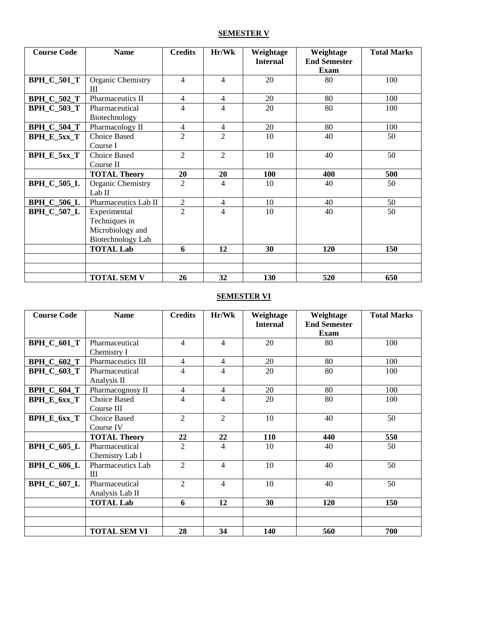### **SEMESTER V**

| <b>Course Code</b> | <b>Name</b>                 | <b>Credits</b> | Hr/Wk          | Weightage       | Weightage           | <b>Total Marks</b> |
|--------------------|-----------------------------|----------------|----------------|-----------------|---------------------|--------------------|
|                    |                             |                |                | <b>Internal</b> | <b>End Semester</b> |                    |
|                    |                             |                |                |                 | <b>Exam</b>         |                    |
| <b>BPH_C_501_T</b> | Organic Chemistry<br>Ш      | $\overline{4}$ | 4              | 20              | 80                  | 100                |
| <b>BPH_C_502_T</b> | Pharmaceutics II            | $\overline{4}$ | 4              | 20              | 80                  | 100                |
| <b>BPH_C_503_T</b> | Pharmaceutical              | 4              | 4              | 20              | 80                  | 100                |
|                    | Biotechnology               |                |                |                 |                     |                    |
| <b>BPH_C_504_T</b> | Pharmacology II             | $\overline{4}$ | 4              | 20              | 80                  | 100                |
| BPH_E_5xx_T        | Choice Based                | $\mathfrak{D}$ | $\mathfrak{D}$ | 10              | 40                  | 50                 |
|                    | Course I                    |                |                |                 |                     |                    |
| BPH_E_5xx_T        | Choice Based                | $\overline{2}$ | $\overline{2}$ | 10              | 40                  | 50                 |
|                    | Course II                   |                |                |                 |                     |                    |
|                    | <b>TOTAL Theory</b>         | 20             | 20             | 100             | 400                 | 500                |
| <b>BPH_C_505_L</b> | Organic Chemistry<br>Lab II | 2              | 4              | 10              | 40                  | 50                 |
| <b>BPH_C_506_L</b> | Pharmaceutics Lab II        | $\overline{2}$ | $\overline{4}$ | 10              | 40                  | 50                 |
| <b>BPH_C_507_L</b> | Experimental                | $\overline{2}$ | 4              | 10              | 40                  | 50                 |
|                    | Techniques in               |                |                |                 |                     |                    |
|                    | Microbiology and            |                |                |                 |                     |                    |
|                    | <b>Biotechnology Lab</b>    |                |                |                 |                     |                    |
|                    | <b>TOTAL Lab</b>            | 6              | 12             | 30              | 120                 | 150                |
|                    |                             |                |                |                 |                     |                    |
|                    |                             |                |                |                 |                     |                    |
|                    | <b>TOTAL SEM V</b>          | 26             | 32             | 130             | 520                 | 650                |

### **SEMESTER VI**

| <b>Course Code</b> | <b>Name</b>         | <b>Credits</b> | Hr/Wk          | Weightage       | Weightage           | <b>Total Marks</b> |
|--------------------|---------------------|----------------|----------------|-----------------|---------------------|--------------------|
|                    |                     |                |                | <b>Internal</b> | <b>End Semester</b> |                    |
|                    |                     |                |                |                 | Exam                |                    |
| <b>BPH_C_601_T</b> | Pharmaceutical      | $\overline{4}$ | 4              | 20              | 80                  | 100                |
|                    | Chemistry I         |                |                |                 |                     |                    |
| <b>BPH_C_602_T</b> | Pharmaceutics III   | $\overline{4}$ | 4              | 20              | 80                  | 100                |
| <b>BPH_C_603_T</b> | Pharmaceutical      | 4              | 4              | 20              | 80                  | 100                |
|                    | Analysis II         |                |                |                 |                     |                    |
| <b>BPH_C_604_T</b> | Pharmacognosy II    | $\overline{4}$ | 4              | 20              | 80                  | 100                |
| <b>BPH_E_6xx_T</b> | Choice Based        | 4              | 4              | 20              | 80                  | 100                |
|                    | Course III          |                |                |                 |                     |                    |
| BPH_E_6xx_T        | <b>Choice Based</b> | $\overline{2}$ | $\overline{2}$ | 10              | 40                  | 50                 |
|                    | Course IV           |                |                |                 |                     |                    |
|                    | <b>TOTAL Theory</b> | 22             | 22             | 110             | 440                 | 550                |
| <b>BPH_C_605_L</b> | Pharmaceutical      | 2              | 4              | 10              | 40                  | 50                 |
|                    | Chemistry Lab I     |                |                |                 |                     |                    |
| <b>BPH_C_606_L</b> | Pharmaceutics Lab   | $\overline{2}$ | 4              | 10              | 40                  | 50                 |
|                    | Ш                   |                |                |                 |                     |                    |
| <b>BPH_C_607_L</b> | Pharmaceutical      | $\mathfrak{D}$ | 4              | 10              | 40                  | 50                 |
|                    | Analysis Lab II     |                |                |                 |                     |                    |
|                    | <b>TOTAL Lab</b>    | 6              | 12             | 30              | 120                 | 150                |
|                    |                     |                |                |                 |                     |                    |
|                    |                     |                |                |                 |                     |                    |
|                    | <b>TOTAL SEM VI</b> | 28             | 34             | 140             | 560                 | 700                |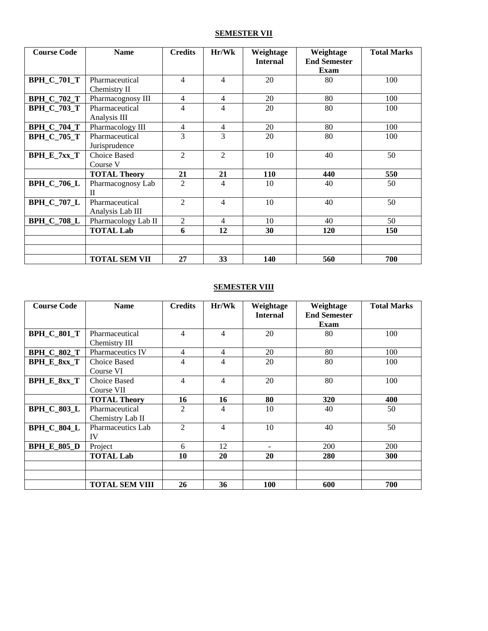### **SEMESTER VII**

| <b>Course Code</b> | <b>Name</b>                        | <b>Credits</b> | Hr/Wk          | Weightage<br><b>Internal</b> | Weightage<br><b>End Semester</b> | <b>Total Marks</b> |
|--------------------|------------------------------------|----------------|----------------|------------------------------|----------------------------------|--------------------|
|                    |                                    |                |                |                              | Exam                             |                    |
| <b>BPH_C_701_T</b> | Pharmaceutical<br>Chemistry II     | $\overline{4}$ | 4              | 20                           | 80                               | 100                |
| <b>BPH_C_702_T</b> | Pharmacognosy III                  | $\overline{4}$ | 4              | 20                           | 80                               | 100                |
| <b>BPH_C_703_T</b> | Pharmaceutical<br>Analysis III     | 4              | 4              | 20                           | 80                               | 100                |
| <b>BPH_C_704_T</b> | Pharmacology III                   | $\overline{4}$ | 4              | 20                           | 80                               | 100                |
| <b>BPH_C_705_T</b> | Pharmaceutical<br>Jurisprudence    | 3              | 3              | 20                           | 80                               | 100                |
| $BPH_E_7xx_T$      | Choice Based<br>Course V           | $\overline{2}$ | $\overline{2}$ | 10                           | 40                               | 50                 |
|                    | <b>TOTAL Theory</b>                | 21             | 21             | 110                          | 440                              | 550                |
| <b>BPH_C_706_L</b> | Pharmacognosy Lab<br>$\mathbf{I}$  | 2              | 4              | 10                           | 40                               | 50                 |
| <b>BPH_C_707_L</b> | Pharmaceutical<br>Analysis Lab III | 2              | 4              | 10                           | 40                               | 50                 |
| <b>BPH_C_708_L</b> | Pharmacology Lab II                | $\overline{2}$ | 4              | 10                           | 40                               | 50                 |
|                    | <b>TOTAL Lab</b>                   | 6              | 12             | 30                           | 120                              | 150                |
|                    |                                    |                |                |                              |                                  |                    |
|                    | <b>TOTAL SEM VII</b>               | 27             | 33             | 140                          | 560                              | 700                |

#### **SEMESTER VIII**

| <b>Course Code</b> | <b>Name</b>                        | <b>Credits</b> | Hr/Wk          | Weightage<br><b>Internal</b> | Weightage<br><b>End Semester</b><br>Exam | <b>Total Marks</b> |
|--------------------|------------------------------------|----------------|----------------|------------------------------|------------------------------------------|--------------------|
| <b>BPH_C_801_T</b> | Pharmaceutical<br>Chemistry III    | $\overline{4}$ | $\overline{4}$ | 20                           | 80                                       | 100                |
| <b>BPH C 802 T</b> | <b>Pharmaceutics IV</b>            | 4              | 4              | 20                           | 80                                       | 100                |
| BPH_E_8xx_T        | <b>Choice Based</b><br>Course VI   | 4              | 4              | 20                           | 80                                       | 100                |
| <b>BPH_E_8xx_T</b> | Choice Based<br>Course VII         | 4              | 4              | 20                           | 80                                       | 100                |
|                    | <b>TOTAL Theory</b>                | 16             | 16             | 80                           | 320                                      | 400                |
| <b>BPH_C_803_L</b> | Pharmaceutical<br>Chemistry Lab II | $\overline{2}$ | 4              | 10                           | 40                                       | 50                 |
| <b>BPH_C_804_L</b> | Pharmaceutics Lab<br>IV            | 2              | 4              | 10                           | 40                                       | 50                 |
| <b>BPH_E_805_D</b> | Project                            | 6              | 12             | $\qquad \qquad \blacksquare$ | 200                                      | 200                |
|                    | <b>TOTAL Lab</b>                   | 10             | 20             | 20                           | <b>280</b>                               | <b>300</b>         |
|                    |                                    |                |                |                              |                                          |                    |
|                    | <b>TOTAL SEM VIII</b>              | 26             | 36             | <b>100</b>                   | 600                                      | 700                |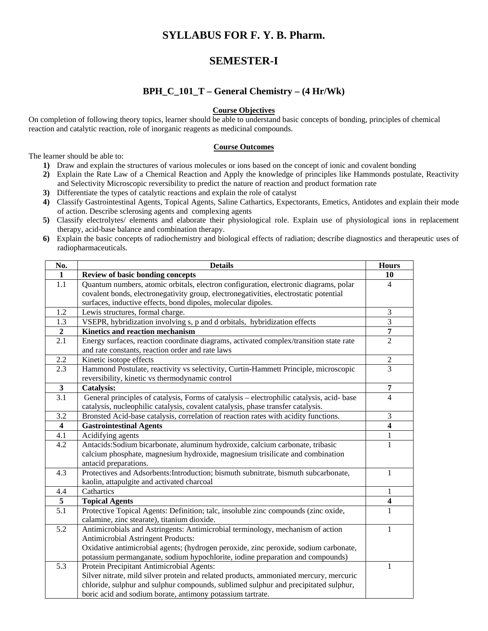### **SYLLABUS FOR F. Y. B. Pharm.**

### **SEMESTER-I**

### **BPH\_C\_101\_T – General Chemistry – (4 Hr/Wk)**

#### **Course Objectives**

On completion of following theory topics, learner should be able to understand basic concepts of bonding, principles of chemical reaction and catalytic reaction, role of inorganic reagents as medicinal compounds.

#### **Course Outcomes**

The learner should be able to:

- **1)** Draw and explain the structures of various molecules or ions based on the concept of ionic and covalent bonding
- **2)** Explain the Rate Law of a Chemical Reaction and Apply the knowledge of principles like Hammonds postulate, Reactivity and Selectivity Microscopic reversibility to predict the nature of reaction and product formation rate
- **3)** Differentiate the types of catalytic reactions and explain the role of catalyst
- **4)** Classify Gastrointestinal Agents, Topical Agents, Saline Cathartics, Expectorants, Emetics, Antidotes and explain their mode of action. Describe sclerosing agents and complexing agents
- **5)** Classify electrolytes/ elements and elaborate their physiological role. Explain use of physiological ions in replacement therapy, acid-base balance and combination therapy.
- **6)** Explain the basic concepts of radiochemistry and biological effects of radiation; describe diagnostics and therapeutic uses of radiopharmaceuticals.

| No.                     | <b>Details</b>                                                                            | <b>Hours</b>             |
|-------------------------|-------------------------------------------------------------------------------------------|--------------------------|
| 1                       | <b>Review of basic bonding concepts</b>                                                   | 10                       |
| 1.1                     | Quantum numbers, atomic orbitals, electron configuration, electronic diagrams, polar      | 4                        |
|                         | covalent bonds, electronegativity group, electronegativities, electrostatic potential     |                          |
|                         | surfaces, inductive effects, bond dipoles, molecular dipoles.                             |                          |
| 1.2                     | Lewis structures, formal charge.                                                          | 3                        |
| 1.3                     | VSEPR, hybridization involving s, p and d orbitals, hybridization effects                 | $\overline{3}$           |
| $\overline{2}$          | <b>Kinetics and reaction mechanism</b>                                                    | $\overline{7}$           |
| 2.1                     | Energy surfaces, reaction coordinate diagrams, activated complex/transition state rate    | $\overline{2}$           |
|                         | and rate constants, reaction order and rate laws                                          |                          |
| 2.2                     | Kinetic isotope effects                                                                   | $\overline{c}$           |
| 2.3                     | Hammond Postulate, reactivity vs selectivity, Curtin-Hammett Principle, microscopic       | 3                        |
|                         | reversibility, kinetic vs thermodynamic control                                           |                          |
| $\mathbf{3}$            | <b>Catalysis:</b>                                                                         | $\overline{7}$           |
| $\overline{3.1}$        | General principles of catalysis, Forms of catalysis - electrophilic catalysis, acid- base | $\overline{\mathcal{L}}$ |
|                         | catalysis, nucleophilic catalysis, covalent catalysis, phase transfer catalysis.          |                          |
| 3.2                     | Bronsted Acid-base catalysis, correlation of reaction rates with acidity functions.       | 3                        |
| $\overline{\mathbf{4}}$ | <b>Gastrointestinal Agents</b>                                                            | 4                        |
| 4.1                     | Acidifying agents                                                                         | $\mathbf{1}$             |
| 4.2                     | Antacids: Sodium bicarbonate, aluminum hydroxide, calcium carbonate, tribasic             | 1                        |
|                         | calcium phosphate, magnesium hydroxide, magnesium trisilicate and combination             |                          |
|                         | antacid preparations.                                                                     |                          |
| 4.3                     | Protectives and Adsorbents: Introduction; bismuth subnitrate, bismuth subcarbonate,       | 1                        |
|                         | kaolin, attapulgite and activated charcoal                                                |                          |
| 4.4                     | Cathartics                                                                                | 1                        |
| 5                       | <b>Topical Agents</b>                                                                     | 4                        |
| 5.1                     | Protective Topical Agents: Definition; talc, insoluble zinc compounds (zinc oxide,        | 1                        |
|                         | calamine, zinc stearate), titanium dioxide.                                               |                          |
| 5.2                     | Antimicrobials and Astringents: Antimicrobial terminology, mechanism of action            | 1                        |
|                         | Antimicrobial Astringent Products:                                                        |                          |
|                         | Oxidative antimicrobial agents; (hydrogen peroxide, zinc peroxide, sodium carbonate,      |                          |
|                         | potassium permanganate, sodium hypochlorite, iodine preparation and compounds)            |                          |
| 5.3                     | Protein Precipitant Antimicrobial Agents:                                                 | 1                        |
|                         | Silver nitrate, mild silver protein and related products, ammoniated mercury, mercuric    |                          |
|                         | chloride, sulphur and sulphur compounds, sublimed sulphur and precipitated sulphur,       |                          |
|                         | boric acid and sodium borate, antimony potassium tartrate.                                |                          |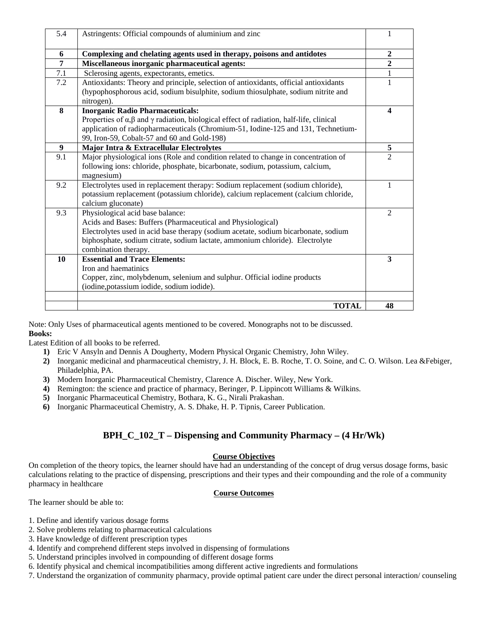| 5.4            | Astringents: Official compounds of aluminium and zinc                                                        |                |
|----------------|--------------------------------------------------------------------------------------------------------------|----------------|
| 6              | Complexing and chelating agents used in therapy, poisons and antidotes                                       | $\overline{2}$ |
| $\overline{7}$ | Miscellaneous inorganic pharmaceutical agents:                                                               | $\overline{2}$ |
| 7.1            | Sclerosing agents, expectorants, emetics.                                                                    | $\mathbf{1}$   |
| 7.2            | Antioxidants: Theory and principle, selection of antioxidants, official antioxidants                         | $\mathbf{1}$   |
|                | (hypophosphorous acid, sodium bisulphite, sodium thiosulphate, sodium nitrite and                            |                |
|                | nitrogen).                                                                                                   |                |
| 8              | <b>Inorganic Radio Pharmaceuticals:</b>                                                                      | 4              |
|                | Properties of $\alpha$ , $\beta$ and $\gamma$ radiation, biological effect of radiation, half-life, clinical |                |
|                | application of radiopharmaceuticals (Chromium-51, Iodine-125 and 131, Technetium-                            |                |
|                | 99, Iron-59, Cobalt-57 and 60 and Gold-198)                                                                  |                |
| 9              | Major Intra & Extracellular Electrolytes                                                                     | 5              |
| 9.1            | Major physiological ions (Role and condition related to change in concentration of                           | $\overline{2}$ |
|                | following ions: chloride, phosphate, bicarbonate, sodium, potassium, calcium,                                |                |
|                | magnesium)                                                                                                   |                |
| 9.2            | Electrolytes used in replacement therapy: Sodium replacement (sodium chloride),                              | 1              |
|                | potassium replacement (potassium chloride), calcium replacement (calcium chloride,                           |                |
|                | calcium gluconate)                                                                                           |                |
| 9.3            | Physiological acid base balance:                                                                             | $\overline{c}$ |
|                | Acids and Bases: Buffers (Pharmaceutical and Physiological)                                                  |                |
|                | Electrolytes used in acid base therapy (sodium acetate, sodium bicarbonate, sodium                           |                |
|                | biphosphate, sodium citrate, sodium lactate, ammonium chloride). Electrolyte                                 |                |
|                | combination therapy.                                                                                         |                |
| 10             | <b>Essential and Trace Elements:</b>                                                                         | 3              |
|                | Iron and haematinics                                                                                         |                |
|                | Copper, zinc, molybdenum, selenium and sulphur. Official iodine products                                     |                |
|                | (iodine, potassium iodide, sodium iodide).                                                                   |                |
|                |                                                                                                              | 48             |
|                | <b>TOTAL</b>                                                                                                 |                |

Note: Only Uses of pharmaceutical agents mentioned to be covered. Monographs not to be discussed. **Books:**

Latest Edition of all books to be referred.

- **1)** Eric V Ansyln and Dennis A Dougherty, Modern Physical Organic Chemistry, John Wiley.
- **2)** Inorganic medicinal and pharmaceutical chemistry, J. H. Block, E. B. Roche, T. O. Soine, and C. O. Wilson. Lea &Febiger, Philadelphia, PA.
- **3)** Modern Inorganic Pharmaceutical Chemistry, Clarence A. Discher. Wiley, New York.
- **4)** Remington: the science and practice of pharmacy, Beringer, P. Lippincott Williams & Wilkins.
- **5)** Inorganic Pharmaceutical Chemistry, Bothara, K. G., Nirali Prakashan.
- **6)** Inorganic Pharmaceutical Chemistry, A. S. Dhake, H. P. Tipnis, Career Publication.

### **BPH\_C\_102\_T – Dispensing and Community Pharmacy – (4 Hr/Wk)**

#### **Course Objectives**

On completion of the theory topics, the learner should have had an understanding of the concept of drug versus dosage forms, basic calculations relating to the practice of dispensing, prescriptions and their types and their compounding and the role of a community pharmacy in healthcare

#### **Course Outcomes**

The learner should be able to:

- 1. Define and identify various dosage forms
- 2. Solve problems relating to pharmaceutical calculations
- 3. Have knowledge of different prescription types
- 4. Identify and comprehend different steps involved in dispensing of formulations
- 5. Understand principles involved in compounding of different dosage forms
- 6. Identify physical and chemical incompatibilities among different active ingredients and formulations
- 7. Understand the organization of community pharmacy, provide optimal patient care under the direct personal interaction/ counseling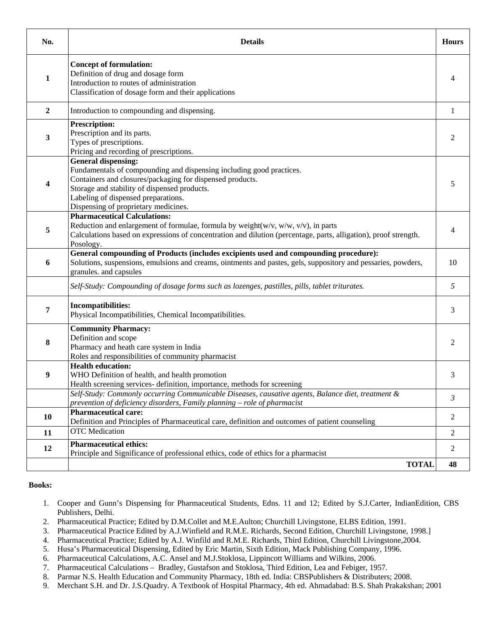| No.            | <b>Details</b>                                                                                                                                                                                                                                                                          | <b>Hours</b>   |
|----------------|-----------------------------------------------------------------------------------------------------------------------------------------------------------------------------------------------------------------------------------------------------------------------------------------|----------------|
| 1              | <b>Concept of formulation:</b><br>Definition of drug and dosage form<br>Introduction to routes of administration<br>Classification of dosage form and their applications                                                                                                                | 4              |
| $\overline{2}$ | Introduction to compounding and dispensing.                                                                                                                                                                                                                                             | $\mathbf{1}$   |
| 3              | <b>Prescription:</b><br>Prescription and its parts.<br>Types of prescriptions.<br>Pricing and recording of prescriptions.                                                                                                                                                               | 2              |
| 4              | General dispensing:<br>Fundamentals of compounding and dispensing including good practices.<br>Containers and closures/packaging for dispensed products.<br>Storage and stability of dispensed products.<br>Labeling of dispensed preparations.<br>Dispensing of proprietary medicines. | 5              |
| 5              | <b>Pharmaceutical Calculations:</b><br>Reduction and enlargement of formulae, formula by weight( $w/v$ , $w/w$ , $v/v$ ), in parts<br>Calculations based on expressions of concentration and dilution (percentage, parts, alligation), proof strength.<br>Posology.                     | 4              |
| 6              | General compounding of Products (includes excipients used and compounding procedure):<br>Solutions, suspensions, emulsions and creams, ointments and pastes, gels, suppository and pessaries, powders,<br>granules. and capsules                                                        | 10             |
|                | Self-Study: Compounding of dosage forms such as lozenges, pastilles, pills, tablet triturates.                                                                                                                                                                                          | 5              |
| 7              | <b>Incompatibilities:</b><br>Physical Incompatibilities, Chemical Incompatibilities.                                                                                                                                                                                                    | 3              |
| $\bf{8}$       | <b>Community Pharmacy:</b><br>Definition and scope<br>Pharmacy and heath care system in India<br>Roles and responsibilities of community pharmacist                                                                                                                                     | 2              |
| 9              | <b>Health education:</b><br>WHO Definition of health, and health promotion<br>Health screening services- definition, importance, methods for screening                                                                                                                                  | 3              |
|                | Self-Study: Commonly occurring Communicable Diseases, causative agents, Balance diet, treatment &<br>prevention of deficiency disorders, Family planning - role of pharmacist                                                                                                           | 3              |
| 10             | <b>Pharmaceutical care:</b><br>Definition and Principles of Pharmaceutical care, definition and outcomes of patient counseling                                                                                                                                                          | $\overline{2}$ |
| 11             | <b>OTC</b> Medication                                                                                                                                                                                                                                                                   | $\overline{2}$ |
| 12             | <b>Pharmaceutical ethics:</b><br>Principle and Significance of professional ethics, code of ethics for a pharmacist<br><b>TOTAL</b>                                                                                                                                                     | 2<br>48        |

- 1. Cooper and Gunn's Dispensing for Pharmaceutical Students, Edns. 11 and 12; Edited by S.J.Carter, IndianEdition, CBS Publishers, Delhi.
- 2. Pharmaceutical Practice; Edited by D.M.Collet and M.E.Aulton; Churchill Livingstone, ELBS Edition, 1991.
- 3. Pharmaceutical Practice Edited by A.J.Winfield and R.M.E. Richards, Second Edition, Churchill Livingstone, 1998.]
- 4. Pharmaceutical Practice; Edited by A.J. Winfild and R.M.E. Richards, Third Edition, Churchill Livingstone,2004.
- 5. Husa's Pharmaceutical Dispensing, Edited by Eric Martin, Sixth Edition, Mack Publishing Company, 1996.
- 6. Pharmaceutical Calculations, A.C. Ansel and M.J.Stoklosa, Lippincott Williams and Wilkins, 2006.
- 7. Pharmaceutical Calculations Bradley, Gustafson and Stoklosa, Third Edition, Lea and Febiger, 1957.
- 8. Parmar N.S. Health Education and Community Pharmacy, 18th ed. India: CBSPublishers & Distributers; 2008.
- 9. Merchant S.H. and Dr. J.S.Quadry. A Textbook of Hospital Pharmacy, 4th ed. Ahmadabad: B.S. Shah Prakakshan; 2001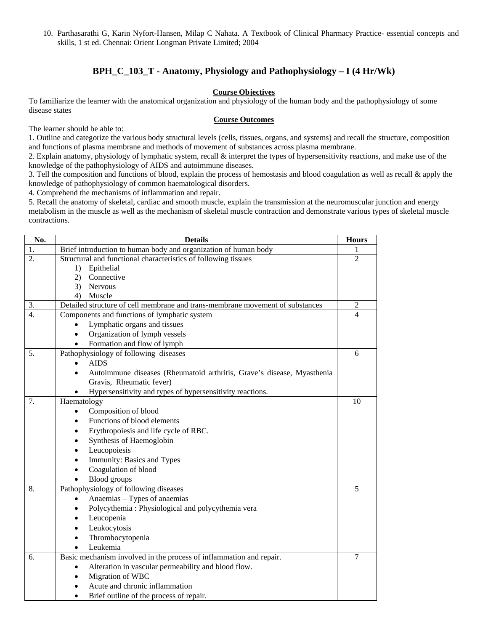10. Parthasarathi G, Karin Nyfort-Hansen, Milap C Nahata. A Textbook of Clinical Pharmacy Practice- essential concepts and skills, 1 st ed. Chennai: Orient Longman Private Limited; 2004

### **BPH\_C\_103\_T - Anatomy, Physiology and Pathophysiology – I (4 Hr/Wk)**

#### **Course Objectives**

To familiarize the learner with the anatomical organization and physiology of the human body and the pathophysiology of some disease states

#### **Course Outcomes**

The learner should be able to:

1. Outline and categorize the various body structural levels (cells, tissues, organs, and systems) and recall the structure, composition and functions of plasma membrane and methods of movement of substances across plasma membrane.

2. Explain anatomy, physiology of lymphatic system, recall & interpret the types of hypersensitivity reactions, and make use of the knowledge of the pathophysiology of AIDS and autoimmune diseases.

3. Tell the composition and functions of blood, explain the process of hemostasis and blood coagulation as well as recall & apply the knowledge of pathophysiology of common haematological disorders.

4. Comprehend the mechanisms of inflammation and repair.

5. Recall the anatomy of skeletal, cardiac and smooth muscle, explain the transmission at the neuromuscular junction and energy metabolism in the muscle as well as the mechanism of skeletal muscle contraction and demonstrate various types of skeletal muscle contractions.

| No.              | <b>Details</b>                                                                | <b>Hours</b>   |
|------------------|-------------------------------------------------------------------------------|----------------|
| 1.               | Brief introduction to human body and organization of human body               |                |
| 2.               | Structural and functional characteristics of following tissues                | $\overline{2}$ |
|                  | Epithelial<br>1)                                                              |                |
|                  | Connective<br>2)                                                              |                |
|                  | <b>Nervous</b><br>3)                                                          |                |
|                  | Muscle<br>4)                                                                  |                |
| 3.               | Detailed structure of cell membrane and trans-membrane movement of substances | $\overline{2}$ |
| $\overline{4}$ . | Components and functions of lymphatic system                                  | 4              |
|                  | Lymphatic organs and tissues                                                  |                |
|                  | Organization of lymph vessels                                                 |                |
|                  | Formation and flow of lymph<br>$\bullet$                                      |                |
| 5.               | Pathophysiology of following diseases                                         | 6              |
|                  | <b>AIDS</b>                                                                   |                |
|                  | Autoimmune diseases (Rheumatoid arthritis, Grave's disease, Myasthenia        |                |
|                  | Gravis, Rheumatic fever)                                                      |                |
|                  | Hypersensitivity and types of hypersensitivity reactions.                     |                |
| 7.               | Haematology                                                                   | 10             |
|                  | Composition of blood<br>$\bullet$                                             |                |
|                  | Functions of blood elements                                                   |                |
|                  | Erythropoiesis and life cycle of RBC.<br>$\bullet$                            |                |
|                  | Synthesis of Haemoglobin<br>$\bullet$                                         |                |
|                  | Leucopoiesis                                                                  |                |
|                  | Immunity: Basics and Types                                                    |                |
|                  | Coagulation of blood                                                          |                |
|                  | <b>Blood</b> groups                                                           |                |
| 8.               | Pathophysiology of following diseases                                         | 5              |
|                  | Anaemias - Types of anaemias                                                  |                |
|                  | Polycythemia: Physiological and polycythemia vera                             |                |
|                  | Leucopenia                                                                    |                |
|                  | Leukocytosis                                                                  |                |
|                  | Thrombocytopenia                                                              |                |
|                  | Leukemia                                                                      |                |
| 6.               | Basic mechanism involved in the process of inflammation and repair.           | $\overline{7}$ |
|                  | Alteration in vascular permeability and blood flow.                           |                |
|                  | Migration of WBC                                                              |                |
|                  | Acute and chronic inflammation                                                |                |
|                  | Brief outline of the process of repair.                                       |                |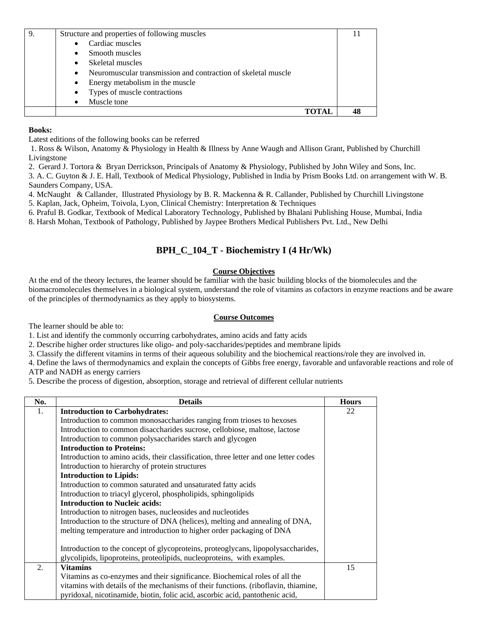| Structure and properties of following muscles                   |  |
|-----------------------------------------------------------------|--|
| Cardiac muscles<br>$\bullet$                                    |  |
| $\bullet$ Smooth muscles                                        |  |
| • Skeletal muscles                                              |  |
| • Neuromuscular transmission and contraction of skeletal muscle |  |
| • Energy metabolism in the muscle                               |  |
| • Types of muscle contractions                                  |  |
| Muscle tone                                                     |  |
|                                                                 |  |

Latest editions of the following books can be referred

1. Ross & Wilson, Anatomy & Physiology in Health & Illness by Anne Waugh and Allison Grant, Published by Churchill Livingstone

2. Gerard J. Tortora & Bryan Derrickson, Principals of Anatomy & Physiology, Published by John Wiley and Sons, Inc.

3. A. C. Guyton & J. E. Hall, Textbook of Medical Physiology, Published in India by Prism Books Ltd. on arrangement with W. B. Saunders Company, USA.

4. McNaught & Callander, Illustrated Physiology by B. R. Mackenna & R. Callander, Published by Churchill Livingstone 5. Kaplan, Jack, Opheim, Toivola, Lyon, Clinical Chemistry: Interpretation & Techniques

6. Praful B. Godkar, Textbook of Medical Laboratory Technology, Published by Bhalani Publishing House, Mumbai, India

8. Harsh Mohan, Textbook of Pathology, Published by Jaypee Brothers Medical Publishers Pvt. Ltd., New Delhi

### **BPH\_C\_104\_T - Biochemistry I (4 Hr/Wk)**

#### **Course Objectives**

At the end of the theory lectures, the learner should be familiar with the basic building blocks of the biomolecules and the biomacromolecules themselves in a biological system, understand the role of vitamins as cofactors in enzyme reactions and be aware of the principles of thermodynamics as they apply to biosystems.

#### **Course Outcomes**

The learner should be able to:

1. List and identify the commonly occurring carbohydrates, amino acids and fatty acids

2. Describe higher order structures like oligo- and poly-saccharides/peptides and membrane lipids

3. Classify the different vitamins in terms of their aqueous solubility and the biochemical reactions/role they are involved in.

4. Define the laws of thermodynamics and explain the concepts of Gibbs free energy, favorable and unfavorable reactions and role of

ATP and NADH as energy carriers

5. Describe the process of digestion, absorption, storage and retrieval of different cellular nutrients

| No. | <b>Details</b>                                                                       | <b>Hours</b> |
|-----|--------------------------------------------------------------------------------------|--------------|
| 1.  | <b>Introduction to Carbohydrates:</b>                                                | 22           |
|     | Introduction to common monosaccharides ranging from trioses to hexoses               |              |
|     | Introduction to common disaccharides sucrose, cellobiose, maltose, lactose           |              |
|     | Introduction to common polysaccharides starch and glycogen                           |              |
|     | <b>Introduction to Proteins:</b>                                                     |              |
|     | Introduction to amino acids, their classification, three letter and one letter codes |              |
|     | Introduction to hierarchy of protein structures                                      |              |
|     | <b>Introduction to Lipids:</b>                                                       |              |
|     | Introduction to common saturated and unsaturated fatty acids                         |              |
|     | Introduction to triacyl glycerol, phospholipids, sphingolipids                       |              |
|     | <b>Introduction to Nucleic acids:</b>                                                |              |
|     | Introduction to nitrogen bases, nucleosides and nucleotides                          |              |
|     | Introduction to the structure of DNA (helices), melting and annealing of DNA,        |              |
|     | melting temperature and introduction to higher order packaging of DNA                |              |
|     |                                                                                      |              |
|     | Introduction to the concept of glycoproteins, proteoglycans, lipopolysaccharides,    |              |
|     | glycolipids, lipoproteins, proteolipids, nucleoproteins, with examples.              |              |
| 2.  | <b>Vitamins</b>                                                                      | 15           |
|     | Vitamins as co-enzymes and their significance. Biochemical roles of all the          |              |
|     | vitamins with details of the mechanisms of their functions. (riboflavin, thiamine,   |              |
|     | pyridoxal, nicotinamide, biotin, folic acid, ascorbic acid, pantothenic acid,        |              |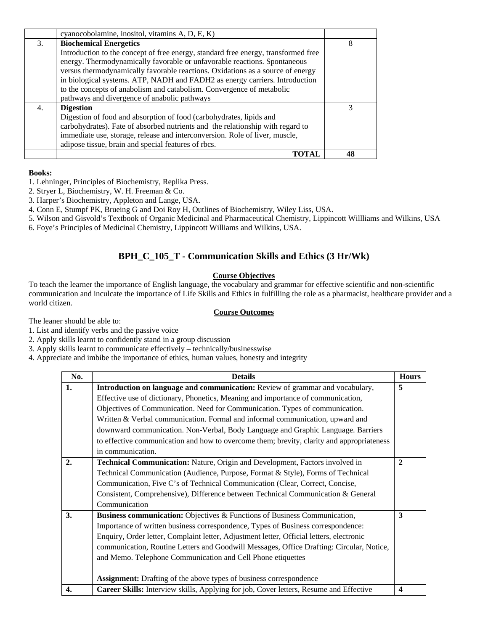|    | cyanocobolamine, inositol, vitamins A, D, E, K)                                    |    |
|----|------------------------------------------------------------------------------------|----|
| 3. | <b>Biochemical Energetics</b>                                                      | 8  |
|    | Introduction to the concept of free energy, standard free energy, transformed free |    |
|    | energy. Thermodynamically favorable or unfavorable reactions. Spontaneous          |    |
|    | versus thermodynamically favorable reactions. Oxidations as a source of energy     |    |
|    | in biological systems. ATP, NADH and FADH2 as energy carriers. Introduction        |    |
|    | to the concepts of anabolism and catabolism. Convergence of metabolic              |    |
|    | pathways and divergence of anabolic pathways                                       |    |
| 4. | <b>Digestion</b>                                                                   |    |
|    | Digestion of food and absorption of food (carbohydrates, lipids and                |    |
|    | carbohydrates). Fate of absorbed nutrients and the relationship with regard to     |    |
|    | immediate use, storage, release and interconversion. Role of liver, muscle,        |    |
|    | adipose tissue, brain and special features of rbcs.                                |    |
|    |                                                                                    | 48 |

- 1. Lehninger, Principles of Biochemistry, Replika Press.
- 2. Stryer L, Biochemistry, W. H. Freeman & Co.
- 3. Harper's Biochemistry, Appleton and Lange, USA.
- 4. Conn E, Stumpf PK, Brueing G and Doi Roy H, Outlines of Biochemistry, Wiley Liss, USA.
- 5. Wilson and Gisvold's Textbook of Organic Medicinal and Pharmaceutical Chemistry, Lippincott Willliams and Wilkins, USA
- 6. Foye's Principles of Medicinal Chemistry, Lippincott Williams and Wilkins, USA.

### **BPH\_C\_105\_T - Communication Skills and Ethics (3 Hr/Wk)**

#### **Course Objectives**

To teach the learner the importance of English language, the vocabulary and grammar for effective scientific and non-scientific communication and inculcate the importance of Life Skills and Ethics in fulfilling the role as a pharmacist, healthcare provider and a world citizen.

#### **Course Outcomes**

The leaner should be able to:

- 1. List and identify verbs and the passive voice
- 2. Apply skills learnt to confidently stand in a group discussion
- 3. Apply skills learnt to communicate effectively technically/businesswise
- 4. Appreciate and imbibe the importance of ethics, human values, honesty and integrity

| No. | <b>Details</b>                                                                            | <b>Hours</b>            |
|-----|-------------------------------------------------------------------------------------------|-------------------------|
| 1.  | Introduction on language and communication: Review of grammar and vocabulary,             | 5                       |
|     | Effective use of dictionary, Phonetics, Meaning and importance of communication,          |                         |
|     | Objectives of Communication. Need for Communication. Types of communication.              |                         |
|     | Written & Verbal communication. Formal and informal communication, upward and             |                         |
|     | downward communication. Non-Verbal, Body Language and Graphic Language. Barriers          |                         |
|     | to effective communication and how to overcome them; brevity, clarity and appropriateness |                         |
|     | in communication.                                                                         |                         |
| 2.  | Technical Communication: Nature, Origin and Development, Factors involved in              | $\mathbf{2}$            |
|     | Technical Communication (Audience, Purpose, Format & Style), Forms of Technical           |                         |
|     | Communication, Five C's of Technical Communication (Clear, Correct, Concise,              |                         |
|     | Consistent, Comprehensive), Difference between Technical Communication & General          |                         |
|     | Communication                                                                             |                         |
| 3.  | <b>Business communication:</b> Objectives & Functions of Business Communication,          | 3                       |
|     | Importance of written business correspondence, Types of Business correspondence:          |                         |
|     | Enquiry, Order letter, Complaint letter, Adjustment letter, Official letters, electronic  |                         |
|     | communication, Routine Letters and Goodwill Messages, Office Drafting: Circular, Notice,  |                         |
|     | and Memo. Telephone Communication and Cell Phone etiquettes                               |                         |
|     |                                                                                           |                         |
|     | <b>Assignment:</b> Drafting of the above types of business correspondence                 |                         |
| 4.  | Career Skills: Interview skills, Applying for job, Cover letters, Resume and Effective    | $\overline{\mathbf{4}}$ |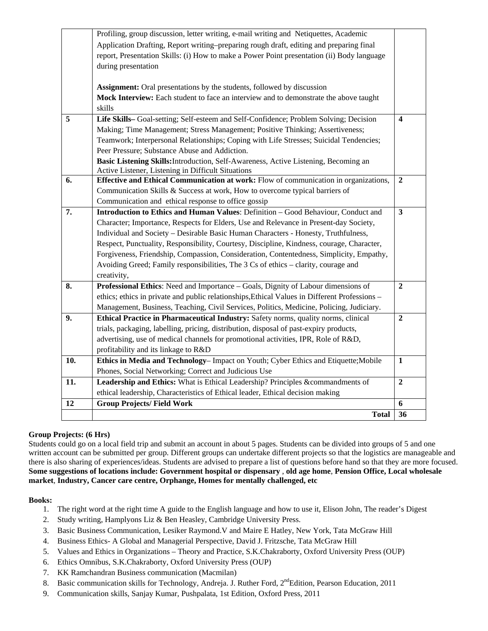|     | Profiling, group discussion, letter writing, e-mail writing and Netiquettes, Academic         |                         |
|-----|-----------------------------------------------------------------------------------------------|-------------------------|
|     | Application Drafting, Report writing–preparing rough draft, editing and preparing final       |                         |
|     | report, Presentation Skills: (i) How to make a Power Point presentation (ii) Body language    |                         |
|     | during presentation                                                                           |                         |
|     |                                                                                               |                         |
|     | Assignment: Oral presentations by the students, followed by discussion                        |                         |
|     | Mock Interview: Each student to face an interview and to demonstrate the above taught         |                         |
|     | skills                                                                                        |                         |
| 5   | Life Skills-Goal-setting; Self-esteem and Self-Confidence; Problem Solving; Decision          | $\overline{\mathbf{4}}$ |
|     | Making; Time Management; Stress Management; Positive Thinking; Assertiveness;                 |                         |
|     | Teamwork; Interpersonal Relationships; Coping with Life Stresses; Suicidal Tendencies;        |                         |
|     | Peer Pressure; Substance Abuse and Addiction.                                                 |                         |
|     | Basic Listening Skills: Introduction, Self-Awareness, Active Listening, Becoming an           |                         |
|     | Active Listener, Listening in Difficult Situations                                            |                         |
| 6.  | Effective and Ethical Communication at work: Flow of communication in organizations,          | $\overline{2}$          |
|     | Communication Skills & Success at work, How to overcome typical barriers of                   |                         |
|     | Communication and ethical response to office gossip                                           |                         |
| 7.  | Introduction to Ethics and Human Values: Definition - Good Behaviour, Conduct and             | $\overline{\mathbf{3}}$ |
|     | Character; Importance, Respects for Elders, Use and Relevance in Present-day Society,         |                         |
|     | Individual and Society - Desirable Basic Human Characters - Honesty, Truthfulness,            |                         |
|     | Respect, Punctuality, Responsibility, Courtesy, Discipline, Kindness, courage, Character,     |                         |
|     | Forgiveness, Friendship, Compassion, Consideration, Contentedness, Simplicity, Empathy,       |                         |
|     | Avoiding Greed; Family responsibilities, The 3 Cs of ethics - clarity, courage and            |                         |
|     | creativity,                                                                                   |                         |
| 8.  | Professional Ethics: Need and Importance – Goals, Dignity of Labour dimensions of             | $\overline{2}$          |
|     | ethics; ethics in private and public relationships, Ethical Values in Different Professions - |                         |
|     | Management, Business, Teaching, Civil Services, Politics, Medicine, Policing, Judiciary.      |                         |
| 9.  | Ethical Practice in Pharmaceutical Industry: Safety norms, quality norms, clinical            | $\overline{2}$          |
|     | trials, packaging, labelling, pricing, distribution, disposal of past-expiry products,        |                         |
|     | advertising, use of medical channels for promotional activities, IPR, Role of R&D,            |                         |
|     | profitability and its linkage to R&D                                                          |                         |
| 10. | Ethics in Media and Technology-Impact on Youth; Cyber Ethics and Etiquette; Mobile            | $\mathbf{1}$            |
|     | Phones, Social Networking; Correct and Judicious Use                                          |                         |
| 11. | Leadership and Ethics: What is Ethical Leadership? Principles &commandments of                | $\overline{2}$          |
|     | ethical leadership, Characteristics of Ethical leader, Ethical decision making                |                         |
| 12  | <b>Group Projects/Field Work</b>                                                              | 6                       |
|     | <b>Total</b>                                                                                  | 36                      |

#### **Group Projects: (6 Hrs)**

Students could go on a local field trip and submit an account in about 5 pages. Students can be divided into groups of 5 and one written account can be submitted per group. Different groups can undertake different projects so that the logistics are manageable and there is also sharing of experiences/ideas. Students are advised to prepare a list of questions before hand so that they are more focused. **Some suggestions of locations include: Government hospital or dispensary** , **old age home**, **Pension Office, Local wholesale market**, **Industry, Cancer care centre, Orphange, Homes for mentally challenged, etc**

#### **Books:**

- 1. The right word at the right time A guide to the English language and how to use it, Elison John, The reader's Digest
- 2. Study writing, Hamplyons Liz & Ben Heasley, Cambridge University Press.
- 3. Basic Business Communication, Lesiker Raymond.V and Maire E Hatley, New York, Tata McGraw Hill
- 4. Business Ethics- A Global and Managerial Perspective, David J. Fritzsche, Tata McGraw Hill
- 5. Values and Ethics in Organizations Theory and Practice, S.K.Chakraborty, Oxford University Press (OUP)
- 6. Ethics Omnibus, S.K.Chakraborty, Oxford University Press (OUP)
- 7. KK Ramchandran Business communication (Macmilan)
- 8. Basic communication skills for Technology, Andreja. J. Ruther Ford, 2<sup>nd</sup>Edition, Pearson Education, 2011
- 9. Communication skills, Sanjay Kumar, Pushpalata, 1st Edition, Oxford Press, 2011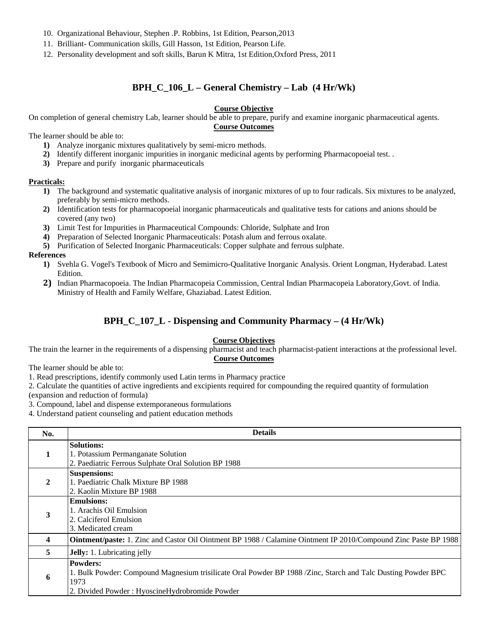- 10. Organizational Behaviour, Stephen .P. Robbins, 1st Edition, Pearson,2013
- 11. Brilliant- Communication skills, Gill Hasson, 1st Edition, Pearson Life.
- 12. Personality development and soft skills, Barun K Mitra, 1st Edition,Oxford Press, 2011

### **BPH\_C\_106\_L – General Chemistry – Lab (4 Hr/Wk)**

#### **Course Objective**

On completion of general chemistry Lab, learner should be able to prepare, purify and examine inorganic pharmaceutical agents. **Course Outcomes**

The learner should be able to:

- **1)** Analyze inorganic mixtures qualitatively by semi-micro methods.
- **2)** Identify different inorganic impurities in inorganic medicinal agents by performing Pharmacopoeial test. .
- **3)** Prepare and purify inorganic pharmaceuticals

#### **Practicals:**

- **1)** The background and systematic qualitative analysis of inorganic mixtures of up to four radicals. Six mixtures to be analyzed, preferably by semi-micro methods.
- **2)** Identification tests for pharmacopoeial inorganic pharmaceuticals and qualitative tests for cations and anions should be covered (any two)
- **3)** Limit Test for Impurities in Pharmaceutical Compounds: Chloride, Sulphate and Iron
- **4)** Preparation of Selected Inorganic Pharmaceuticals: Potash alum and ferrous oxalate.
- **5**) Purification of Selected Inorganic Pharmaceuticals: Copper sulphate and ferrous sulphate.

#### **References**

- **1)** Svehla G. Vogel's Textbook of Micro and Semimicro-Qualitative Inorganic Analysis. Orient Longman, Hyderabad. Latest Edition.
- **2)** Indian Pharmacopoeia. The Indian Pharmacopeia Commission, Central Indian Pharmacopeia Laboratory,Govt. of India. Ministry of Health and Family Welfare, Ghaziabad. Latest Edition.

### **BPH\_C\_107\_L - Dispensing and Community Pharmacy – (4 Hr/Wk)**

#### **Course Objectives**

The train the learner in the requirements of a dispensing pharmacist and teach pharmacist-patient interactions at the professional level. **Course Outcomes**

The learner should be able to:

1. Read prescriptions, identify commonly used Latin terms in Pharmacy practice

2. Calculate the quantities of active ingredients and excipients required for compounding the required quantity of formulation

(expansion and reduction of formula)

3. Compound, label and dispense extemporaneous formulations

4. Understand patient counseling and patient education methods

| No.          | <b>Details</b>                                                                                                                                                                            |
|--------------|-------------------------------------------------------------------------------------------------------------------------------------------------------------------------------------------|
| 1            | <b>Solutions:</b><br>1. Potassium Permanganate Solution<br>2. Paediatric Ferrous Sulphate Oral Solution BP 1988                                                                           |
| $\mathbf{2}$ | <b>Suspensions:</b><br>1. Paediatric Chalk Mixture BP 1988<br>2. Kaolin Mixture BP 1988                                                                                                   |
| 3            | <b>Emulsions:</b><br>1. Arachis Oil Emulsion<br>2. Calciferol Emulsion<br>3. Medicated cream                                                                                              |
| 4            | Ointment/paste: 1. Zinc and Castor Oil Ointment BP 1988 / Calamine Ointment IP 2010/Compound Zinc Paste BP 1988                                                                           |
| 5            | <b>Jelly:</b> 1. Lubricating jelly                                                                                                                                                        |
| 6            | <b>Powders:</b><br>1. Bulk Powder: Compound Magnesium trisilicate Oral Powder BP 1988 /Zinc, Starch and Talc Dusting Powder BPC<br>1973<br>2. Divided Powder: HyoscineHydrobromide Powder |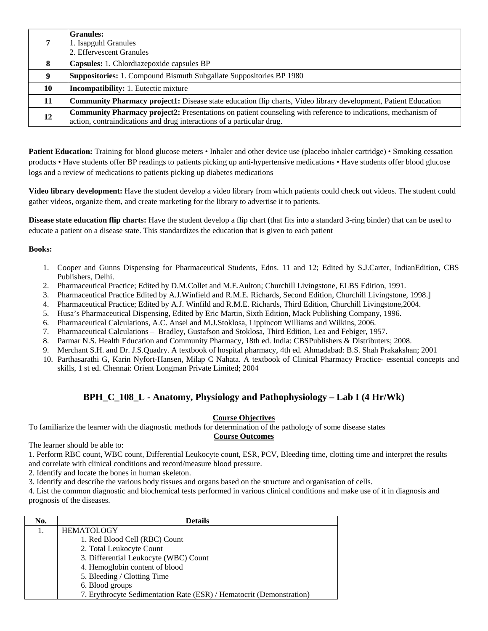|    | <b>Granules:</b>                                                                                                      |
|----|-----------------------------------------------------------------------------------------------------------------------|
|    | 1. Isapguhl Granules                                                                                                  |
|    | 2. Effervescent Granules                                                                                              |
| 8  | <b>Capsules:</b> 1. Chlordiaze poxide capsules BP                                                                     |
|    | <b>Suppositories:</b> 1. Compound Bismuth Subgallate Suppositories BP 1980                                            |
| 10 | <b>Incompatibility:</b> 1. Eutectic mixture                                                                           |
| 11 | <b>Community Pharmacy project1:</b> Disease state education flip charts, Video library development, Patient Education |
| 12 | <b>Community Pharmacy project2:</b> Presentations on patient counseling with reference to indications, mechanism of   |
|    | action, contraindications and drug interactions of a particular drug.                                                 |

**Patient Education:** Training for blood glucose meters • Inhaler and other device use (placebo inhaler cartridge) • Smoking cessation products • Have students offer BP readings to patients picking up anti-hypertensive medications • Have students offer blood glucose logs and a review of medications to patients picking up diabetes medications

**Video library development:** Have the student develop a video library from which patients could check out videos. The student could gather videos, organize them, and create marketing for the library to advertise it to patients.

**Disease state education flip charts:** Have the student develop a flip chart (that fits into a standard 3-ring binder) that can be used to educate a patient on a disease state. This standardizes the education that is given to each patient

#### **Books:**

- 1. Cooper and Gunns Dispensing for Pharmaceutical Students, Edns. 11 and 12; Edited by S.J.Carter, IndianEdition, CBS Publishers, Delhi.
- 2. Pharmaceutical Practice; Edited by D.M.Collet and M.E.Aulton; Churchill Livingstone, ELBS Edition, 1991.
- 3. Pharmaceutical Practice Edited by A.J.Winfield and R.M.E. Richards, Second Edition, Churchill Livingstone, 1998.]
- 4. Pharmaceutical Practice; Edited by A.J. Winfild and R.M.E. Richards, Third Edition, Churchill Livingstone,2004.
- 5. Husa's Pharmaceutical Dispensing, Edited by Eric Martin, Sixth Edition, Mack Publishing Company, 1996.
- 6. Pharmaceutical Calculations, A.C. Ansel and M.J.Stoklosa, Lippincott Williams and Wilkins, 2006.
- 7. Pharmaceutical Calculations Bradley, Gustafson and Stoklosa, Third Edition, Lea and Febiger, 1957.
- 8. Parmar N.S. Health Education and Community Pharmacy, 18th ed. India: CBSPublishers & Distributers; 2008.
- 9. Merchant S.H. and Dr. J.S.Quadry. A textbook of hospital pharmacy, 4th ed. Ahmadabad: B.S. Shah Prakakshan; 2001
- 10. Parthasarathi G, Karin Nyfort-Hansen, Milap C Nahata. A textbook of Clinical Pharmacy Practice- essential concepts and skills, 1 st ed. Chennai: Orient Longman Private Limited; 2004

### **BPH\_C\_108\_L - Anatomy, Physiology and Pathophysiology – Lab I (4 Hr/Wk)**

#### **Course Objectives**

To familiarize the learner with the diagnostic methods for determination of the pathology of some disease states

**Course Outcomes**

The learner should be able to:

1. Perform RBC count, WBC count, Differential Leukocyte count, ESR, PCV, Bleeding time, clotting time and interpret the results and correlate with clinical conditions and record/measure blood pressure.

2. Identify and locate the bones in human skeleton.

3. Identify and describe the various body tissues and organs based on the structure and organisation of cells.

4. List the common diagnostic and biochemical tests performed in various clinical conditions and make use of it in diagnosis and prognosis of the diseases.

| No. | <b>Details</b>                                                       |
|-----|----------------------------------------------------------------------|
|     | <b>HEMATOLOGY</b>                                                    |
|     | 1. Red Blood Cell (RBC) Count                                        |
|     | 2. Total Leukocyte Count                                             |
|     | 3. Differential Leukocyte (WBC) Count                                |
|     | 4. Hemoglobin content of blood                                       |
|     | 5. Bleeding / Clotting Time                                          |
|     | 6. Blood groups                                                      |
|     | 7. Erythrocyte Sedimentation Rate (ESR) / Hematocrit (Demonstration) |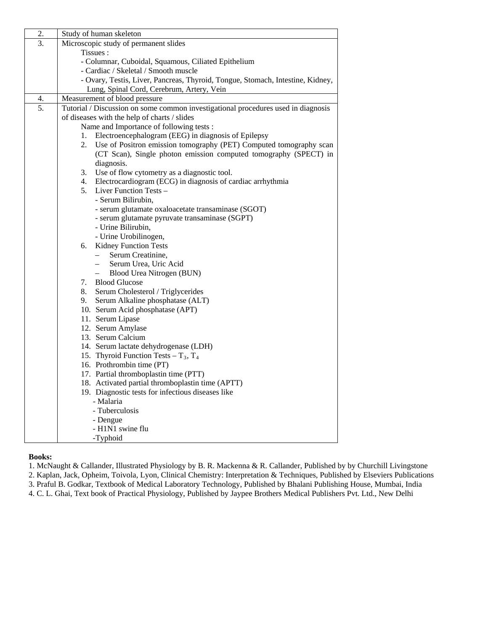| 2. | Study of human skeleton                                                           |
|----|-----------------------------------------------------------------------------------|
| 3. | Microscopic study of permanent slides                                             |
|    | Tissues:                                                                          |
|    | - Columnar, Cuboidal, Squamous, Ciliated Epithelium                               |
|    | - Cardiac / Skeletal / Smooth muscle                                              |
|    | - Ovary, Testis, Liver, Pancreas, Thyroid, Tongue, Stomach, Intestine, Kidney,    |
|    | Lung, Spinal Cord, Cerebrum, Artery, Vein                                         |
| 4. | Measurement of blood pressure                                                     |
| 5. | Tutorial / Discussion on some common investigational procedures used in diagnosis |
|    | of diseases with the help of charts / slides                                      |
|    | Name and Importance of following tests:                                           |
|    | Electroencephalogram (EEG) in diagnosis of Epilepsy<br>1.                         |
|    | 2.<br>Use of Positron emission tomography (PET) Computed tomography scan          |
|    | (CT Scan), Single photon emission computed tomography (SPECT) in                  |
|    | diagnosis.                                                                        |
|    | 3.<br>Use of flow cytometry as a diagnostic tool.                                 |
|    | Electrocardiogram (ECG) in diagnosis of cardiac arrhythmia<br>4.                  |
|    | Liver Function Tests –<br>5.                                                      |
|    | - Serum Bilirubin.                                                                |
|    | - serum glutamate oxaloacetate transaminase (SGOT)                                |
|    | - serum glutamate pyruvate transaminase (SGPT)                                    |
|    | - Urine Bilirubin,                                                                |
|    | - Urine Urobilinogen,                                                             |
|    | <b>Kidney Function Tests</b><br>6.                                                |
|    | Serum Creatinine.<br>$-$                                                          |
|    | Serum Urea, Uric Acid<br>$\frac{1}{2}$                                            |
|    | Blood Urea Nitrogen (BUN)                                                         |
|    | 7.<br><b>Blood Glucose</b>                                                        |
|    | 8.<br>Serum Cholesterol / Triglycerides                                           |
|    | Serum Alkaline phosphatase (ALT)<br>9.                                            |
|    | 10. Serum Acid phosphatase (APT)                                                  |
|    | 11. Serum Lipase<br>12. Serum Amylase                                             |
|    | 13. Serum Calcium                                                                 |
|    | 14. Serum lactate dehydrogenase (LDH)                                             |
|    | 15. Thyroid Function Tests – $T_3$ , $T_4$                                        |
|    | 16. Prothrombin time (PT)                                                         |
|    | 17. Partial thromboplastin time (PTT)                                             |
|    | 18. Activated partial thromboplastin time (APTT)                                  |
|    | 19. Diagnostic tests for infectious diseases like                                 |
|    | - Malaria                                                                         |
|    | - Tuberculosis                                                                    |
|    | - Dengue                                                                          |
|    | - H1N1 swine flu                                                                  |
|    | -Typhoid                                                                          |
|    |                                                                                   |

1. McNaught & Callander, Illustrated Physiology by B. R. Mackenna & R. Callander, Published by by Churchill Livingstone

2. Kaplan, Jack, Opheim, Toivola, Lyon, Clinical Chemistry: Interpretation & Techniques, Published by Elseviers Publications

3. Praful B. Godkar, Textbook of Medical Laboratory Technology, Published by Bhalani Publishing House, Mumbai, India

4. C. L. Ghai, Text book of Practical Physiology, Published by Jaypee Brothers Medical Publishers Pvt. Ltd., New Delhi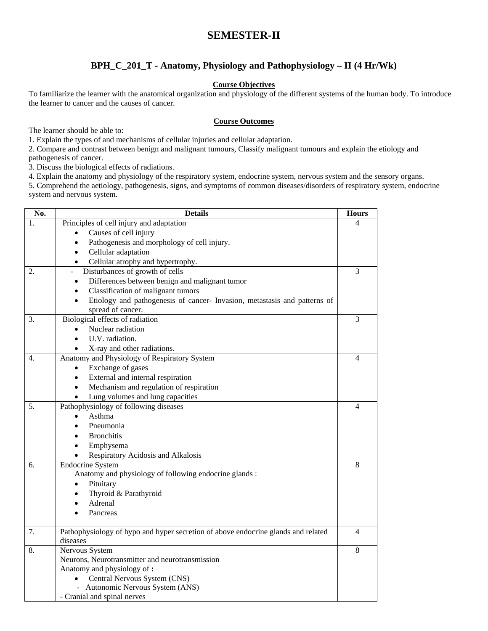### **SEMESTER-II**

### **BPH\_C\_201\_T - Anatomy, Physiology and Pathophysiology – II (4 Hr/Wk)**

#### **Course Objectives**

To familiarize the learner with the anatomical organization and physiology of the different systems of the human body. To introduce the learner to cancer and the causes of cancer.

#### **Course Outcomes**

The learner should be able to:

1. Explain the types of and mechanisms of cellular injuries and cellular adaptation.

2. Compare and contrast between benign and malignant tumours, Classify malignant tumours and explain the etiology and pathogenesis of cancer.

3. Discuss the biological effects of radiations.

4. Explain the anatomy and physiology of the respiratory system, endocrine system, nervous system and the sensory organs.

5. Comprehend the aetiology, pathogenesis, signs, and symptoms of common diseases/disorders of respiratory system, endocrine system and nervous system.

| No. | <b>Details</b>                                                                    | <b>Hours</b>             |
|-----|-----------------------------------------------------------------------------------|--------------------------|
| 1.  | Principles of cell injury and adaptation                                          | 4                        |
|     | Causes of cell injury                                                             |                          |
|     | Pathogenesis and morphology of cell injury.                                       |                          |
|     | Cellular adaptation<br>$\bullet$                                                  |                          |
|     | Cellular atrophy and hypertrophy.<br>$\bullet$                                    |                          |
| 2.  | Disturbances of growth of cells                                                   | 3                        |
|     | Differences between benign and malignant tumor<br>$\bullet$                       |                          |
|     | Classification of malignant tumors                                                |                          |
|     | Etiology and pathogenesis of cancer- Invasion, metastasis and patterns of         |                          |
|     | spread of cancer.                                                                 |                          |
| 3.  | Biological effects of radiation                                                   | 3                        |
|     | Nuclear radiation                                                                 |                          |
|     | U.V. radiation.                                                                   |                          |
|     | X-ray and other radiations.                                                       |                          |
| 4.  | Anatomy and Physiology of Respiratory System                                      | $\overline{\mathcal{A}}$ |
|     | Exchange of gases<br>$\bullet$                                                    |                          |
|     | External and internal respiration<br>$\bullet$                                    |                          |
|     | Mechanism and regulation of respiration                                           |                          |
|     | Lung volumes and lung capacities                                                  |                          |
| 5.  | Pathophysiology of following diseases                                             | $\overline{4}$           |
|     | Asthma                                                                            |                          |
|     | Pneumonia                                                                         |                          |
|     | <b>Bronchitis</b><br>$\bullet$                                                    |                          |
|     | Emphysema                                                                         |                          |
|     | Respiratory Acidosis and Alkalosis                                                |                          |
| 6.  | <b>Endocrine System</b>                                                           | 8                        |
|     | Anatomy and physiology of following endocrine glands :                            |                          |
|     | Pituitary                                                                         |                          |
|     | Thyroid & Parathyroid                                                             |                          |
|     | Adrenal                                                                           |                          |
|     | Pancreas                                                                          |                          |
| 7.  | Pathophysiology of hypo and hyper secretion of above endocrine glands and related | 4                        |
|     | diseases                                                                          |                          |
| 8.  | Nervous System                                                                    | 8                        |
|     | Neurons, Neurotransmitter and neurotransmission                                   |                          |
|     | Anatomy and physiology of:                                                        |                          |
|     | Central Nervous System (CNS)                                                      |                          |
|     | Autonomic Nervous System (ANS)                                                    |                          |
|     | - Cranial and spinal nerves                                                       |                          |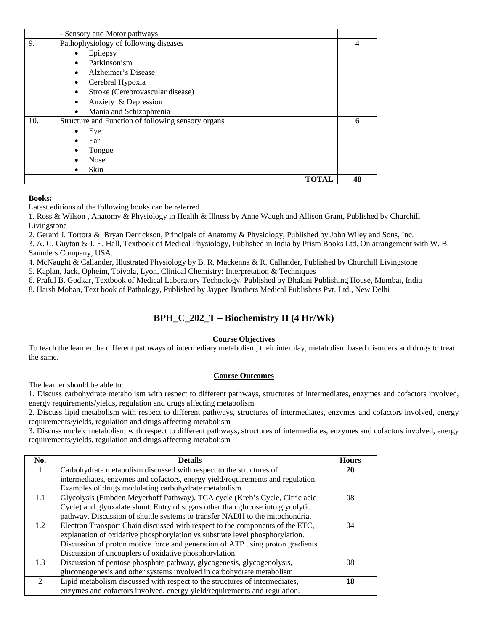|     | - Sensory and Motor pathways                       |       |    |
|-----|----------------------------------------------------|-------|----|
| 9.  | Pathophysiology of following diseases              |       | 4  |
|     | Epilepsy                                           |       |    |
|     | Parkinsonism<br>$\bullet$                          |       |    |
|     | Alzheimer's Disease<br>$\bullet$                   |       |    |
|     | Cerebral Hypoxia<br>٠                              |       |    |
|     | Stroke (Cerebrovascular disease)                   |       |    |
|     | Anxiety & Depression                               |       |    |
|     | Mania and Schizophrenia<br>$\bullet$               |       |    |
| 10. | Structure and Function of following sensory organs |       | 6  |
|     | Eye                                                |       |    |
|     | Ear                                                |       |    |
|     | Tongue                                             |       |    |
|     | <b>Nose</b>                                        |       |    |
|     | Skin                                               |       |    |
|     |                                                    | TOTAL | 48 |

Latest editions of the following books can be referred

1. Ross & Wilson , Anatomy & Physiology in Health & Illness by Anne Waugh and Allison Grant, Published by Churchill Livingstone

2. Gerard J. Tortora & Bryan Derrickson, Principals of Anatomy & Physiology, Published by John Wiley and Sons, Inc.

3. A. C. Guyton & J. E. Hall, Textbook of Medical Physiology, Published in India by Prism Books Ltd. On arrangement with W. B. Saunders Company, USA.

4. McNaught & Callander, Illustrated Physiology by B. R. Mackenna & R. Callander, Published by Churchill Livingstone

5. Kaplan, Jack, Opheim, Toivola, Lyon, Clinical Chemistry: Interpretation & Techniques

6. Praful B. Godkar, Textbook of Medical Laboratory Technology, Published by Bhalani Publishing House, Mumbai, India

8. Harsh Mohan, Text book of Pathology, Published by Jaypee Brothers Medical Publishers Pvt. Ltd., New Delhi

### **BPH\_C\_202\_T – Biochemistry II (4 Hr/Wk)**

#### **Course Objectives**

To teach the learner the different pathways of intermediary metabolism, their interplay, metabolism based disorders and drugs to treat the same.

#### **Course Outcomes**

The learner should be able to:

1. Discuss carbohydrate metabolism with respect to different pathways, structures of intermediates, enzymes and cofactors involved, energy requirements/yields, regulation and drugs affecting metabolism

2. Discuss lipid metabolism with respect to different pathways, structures of intermediates, enzymes and cofactors involved, energy requirements/yields, regulation and drugs affecting metabolism

3. Discuss nucleic metabolism with respect to different pathways, structures of intermediates, enzymes and cofactors involved, energy requirements/yields, regulation and drugs affecting metabolism

| No.                         | <b>Details</b>                                                                  | <b>Hours</b> |
|-----------------------------|---------------------------------------------------------------------------------|--------------|
| 1                           | Carbohydrate metabolism discussed with respect to the structures of             | 20           |
|                             | intermediates, enzymes and cofactors, energy yield/requirements and regulation. |              |
|                             | Examples of drugs modulating carbohydrate metabolism.                           |              |
| 1.1                         | Glycolysis (Embden Meyerhoff Pathway), TCA cycle (Kreb's Cycle, Citric acid     | 08           |
|                             | Cycle) and glyoxalate shunt. Entry of sugars other than glucose into glycolytic |              |
|                             | pathway. Discussion of shuttle systems to transfer NADH to the mitochondria.    |              |
| 1.2                         | Electron Transport Chain discussed with respect to the components of the ETC,   | 04           |
|                             | explanation of oxidative phosphorylation vs substrate level phosphorylation.    |              |
|                             | Discussion of proton motive force and generation of ATP using proton gradients. |              |
|                             | Discussion of uncouplers of oxidative phosphorylation.                          |              |
| 1.3                         | Discussion of pentose phosphate pathway, glycogenesis, glycogenolysis,          | 08           |
|                             | gluconeogenesis and other systems involved in carbohydrate metabolism           |              |
| $\mathcal{D}_{\mathcal{L}}$ | Lipid metabolism discussed with respect to the structures of intermediates,     | 18           |
|                             | enzymes and cofactors involved, energy yield/requirements and regulation.       |              |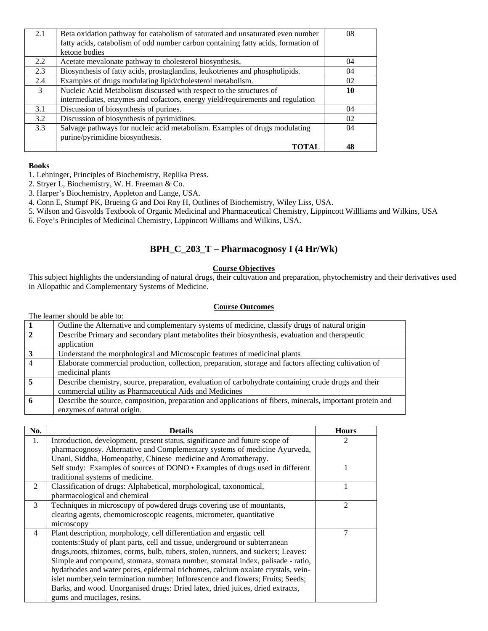| 2.1 | Beta oxidation pathway for catabolism of saturated and unsaturated even number    | 08 |
|-----|-----------------------------------------------------------------------------------|----|
|     | fatty acids, catabolism of odd number carbon containing fatty acids, formation of |    |
|     | ketone bodies                                                                     |    |
| 2.2 | Acetate mevalonate pathway to cholesterol biosynthesis,                           | 04 |
| 2.3 | Biosynthesis of fatty acids, prostaglandins, leukotrienes and phospholipids.      | 04 |
| 2.4 | Examples of drugs modulating lipid/cholesterol metabolism.                        | 02 |
| 3   | Nucleic Acid Metabolism discussed with respect to the structures of               | 10 |
|     | intermediates, enzymes and cofactors, energy yield/requirements and regulation    |    |
| 3.1 | Discussion of biosynthesis of purines.                                            | 04 |
| 3.2 | Discussion of biosynthesis of pyrimidines.                                        | 02 |
| 3.3 | Salvage pathways for nucleic acid metabolism. Examples of drugs modulating        | 04 |
|     | purine/pyrimidine biosynthesis.                                                   |    |
|     | ТОТАІ                                                                             |    |

1. Lehninger, Principles of Biochemistry, Replika Press.

- 2. Stryer L, Biochemistry, W. H. Freeman & Co.
- 3. Harper's Biochemistry, Appleton and Lange, USA.

4. Conn E, Stumpf PK, Brueing G and Doi Roy H, Outlines of Biochemistry, Wiley Liss, USA.

5. Wilson and Gisvolds Textbook of Organic Medicinal and Pharmaceutical Chemistry, Lippincott Willliams and Wilkins, USA

6. Foye's Principles of Medicinal Chemistry, Lippincott Williams and Wilkins, USA.

### **BPH\_C\_203\_T – Pharmacognosy I (4 Hr/Wk)**

#### **Course Objectives**

This subject highlights the understanding of natural drugs, their cultivation and preparation, phytochemistry and their derivatives used in Allopathic and Complementary Systems of Medicine.

#### **Course Outcomes**

The learner should be able to:

|                | Outline the Alternative and complementary systems of medicine, classify drugs of natural origin           |
|----------------|-----------------------------------------------------------------------------------------------------------|
| $\overline{2}$ | Describe Primary and secondary plant metabolites their biosynthesis, evaluation and therapeutic           |
|                | application                                                                                               |
| 3              | Understand the morphological and Microscopic features of medicinal plants                                 |
| 4              | Elaborate commercial production, collection, preparation, storage and factors affecting cultivation of    |
|                | medicinal plants                                                                                          |
|                | Describe chemistry, source, preparation, evaluation of carbohydrate containing crude drugs and their      |
|                | commercial utility as Pharmaceutical Aids and Medicines                                                   |
|                | Describe the source, composition, preparation and applications of fibers, minerals, important protein and |
|                | enzymes of natural origin.                                                                                |

| No. | <b>Details</b>                                                                     | <b>Hours</b>   |
|-----|------------------------------------------------------------------------------------|----------------|
| 1.  | Introduction, development, present status, significance and future scope of        | $\mathfrak{D}$ |
|     | pharmacognosy. Alternative and Complementary systems of medicine Ayurveda,         |                |
|     | Unani, Siddha, Homeopathy, Chinese medicine and Aromatherapy.                      |                |
|     | Self study: Examples of sources of DONO . Examples of drugs used in different      |                |
|     | traditional systems of medicine.                                                   |                |
| 2   | Classification of drugs: Alphabetical, morphological, taxonomical,                 |                |
|     | pharmacological and chemical                                                       |                |
| 3   | Techniques in microscopy of powdered drugs covering use of mountants,              | 2              |
|     | clearing agents, chemomicroscopic reagents, micrometer, quantitative               |                |
|     | microscopy                                                                         |                |
| 4   | Plant description, morphology, cell differentiation and ergastic cell              | 7              |
|     | contents: Study of plant parts, cell and tissue, underground or subterranean       |                |
|     | drugs, roots, rhizomes, corms, bulb, tubers, stolen, runners, and suckers; Leaves: |                |
|     | Simple and compound, stomata, stomata number, stomatal index, palisade - ratio,    |                |
|     | hydathodes and water pores, epidermal trichomes, calcium oxalate crystals, vein-   |                |
|     | islet number, vein termination number; Inflorescence and flowers; Fruits; Seeds;   |                |
|     | Barks, and wood. Unorganised drugs: Dried latex, dried juices, dried extracts,     |                |
|     | gums and mucilages, resins.                                                        |                |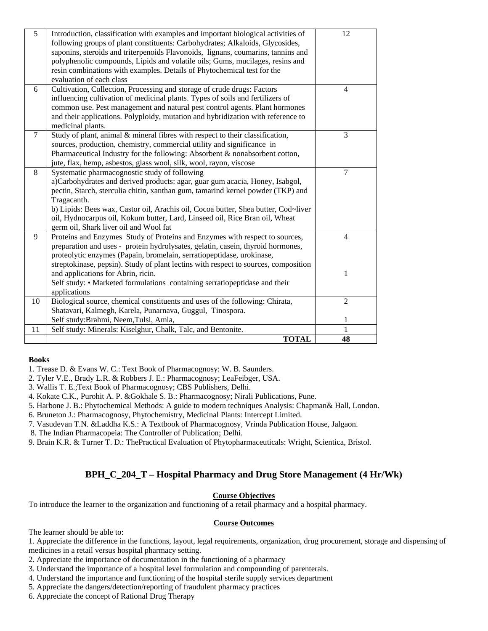| 5      | Introduction, classification with examples and important biological activities of   | 12             |
|--------|-------------------------------------------------------------------------------------|----------------|
|        | following groups of plant constituents: Carbohydrates; Alkaloids, Glycosides,       |                |
|        | saponins, steroids and triterpenoids Flavonoids, lignans, coumarins, tannins and    |                |
|        | polyphenolic compounds, Lipids and volatile oils; Gums, mucilages, resins and       |                |
|        | resin combinations with examples. Details of Phytochemical test for the             |                |
|        | evaluation of each class                                                            |                |
| 6      | Cultivation, Collection, Processing and storage of crude drugs: Factors             | $\overline{4}$ |
|        | influencing cultivation of medicinal plants. Types of soils and fertilizers of      |                |
|        | common use. Pest management and natural pest control agents. Plant hormones         |                |
|        | and their applications. Polyploidy, mutation and hybridization with reference to    |                |
|        | medicinal plants.                                                                   |                |
| $\tau$ | Study of plant, animal & mineral fibres with respect to their classification,       | 3              |
|        | sources, production, chemistry, commercial utility and significance in              |                |
|        | Pharmaceutical Industry for the following: Absorbent & nonabsorbent cotton,         |                |
|        | jute, flax, hemp, asbestos, glass wool, silk, wool, rayon, viscose                  |                |
| 8      | Systematic pharmacognostic study of following                                       | 7              |
|        | a)Carbohydrates and derived products: agar, guar gum acacia, Honey, Isabgol,        |                |
|        | pectin, Starch, sterculia chitin, xanthan gum, tamarind kernel powder (TKP) and     |                |
|        | Tragacanth.                                                                         |                |
|        | b) Lipids: Bees wax, Castor oil, Arachis oil, Cocoa butter, Shea butter, Cod~liver  |                |
|        | oil, Hydnocarpus oil, Kokum butter, Lard, Linseed oil, Rice Bran oil, Wheat         |                |
|        | germ oil, Shark liver oil and Wool fat                                              |                |
| 9      | Proteins and Enzymes Study of Proteins and Enzymes with respect to sources,         | $\overline{4}$ |
|        | preparation and uses - protein hydrolysates, gelatin, casein, thyroid hormones,     |                |
|        | proteolytic enzymes (Papain, bromelain, serratiopeptidase, urokinase,               |                |
|        | streptokinase, pepsin). Study of plant lectins with respect to sources, composition |                |
|        | and applications for Abrin, ricin.                                                  | 1              |
|        | Self study: • Marketed formulations containing serratiopeptidase and their          |                |
|        | applications                                                                        |                |
| 10     | Biological source, chemical constituents and uses of the following: Chirata,        | $\overline{2}$ |
|        | Shatavari, Kalmegh, Karela, Punarnava, Guggul, Tinospora.                           |                |
|        | Self study: Brahmi, Neem, Tulsi, Amla,                                              | 1              |
| 11     | Self study: Minerals: Kiselghur, Chalk, Talc, and Bentonite.                        | 1              |
|        | <b>TOTAL</b>                                                                        | 48             |

1. Trease D. & Evans W. C.: Text Book of Pharmacognosy: W. B. Saunders.

- 2. Tyler V.E., Brady L.R. & Robbers J. E.: Pharmacognosy; LeaFeibger, USA.
- 3. Wallis T. E.;Text Book of Pharmacognosy; CBS Publishers, Delhi.
- 4. Kokate C.K., Purohit A. P. &Gokhale S. B.: Pharmacognosy; Nirali Publications, Pune.
- 5. Harbone J. B.: Phytochemical Methods: A guide to modern techniques Analysis: Chapman& Hall, London.
- 6. Bruneton J.: Pharmacognosy, Phytochemistry, Medicinal Plants: Intercept Limited.
- 7. Vasudevan T.N. &Laddha K.S.: A Textbook of Pharmacognosy, Vrinda Publication House, Jalgaon.
- 8. The Indian Pharmacopeia: The Controller of Publication; Delhi.
- 9. Brain K.R. & Turner T. D.: ThePractical Evaluation of Phytopharmaceuticals: Wright, Scientica, Bristol.

#### **BPH\_C\_204\_T – Hospital Pharmacy and Drug Store Management (4 Hr/Wk)**

#### **Course Objectives**

To introduce the learner to the organization and functioning of a retail pharmacy and a hospital pharmacy.

#### **Course Outcomes**

The learner should be able to:

- 1. Appreciate the difference in the functions, layout, legal requirements, organization, drug procurement, storage and dispensing of medicines in a retail versus hospital pharmacy setting.
- 2. Appreciate the importance of documentation in the functioning of a pharmacy
- 3. Understand the importance of a hospital level formulation and compounding of parenterals.
- 4. Understand the importance and functioning of the hospital sterile supply services department
- 5. Appreciate the dangers/detection/reporting of fraudulent pharmacy practices
- 6. Appreciate the concept of Rational Drug Therapy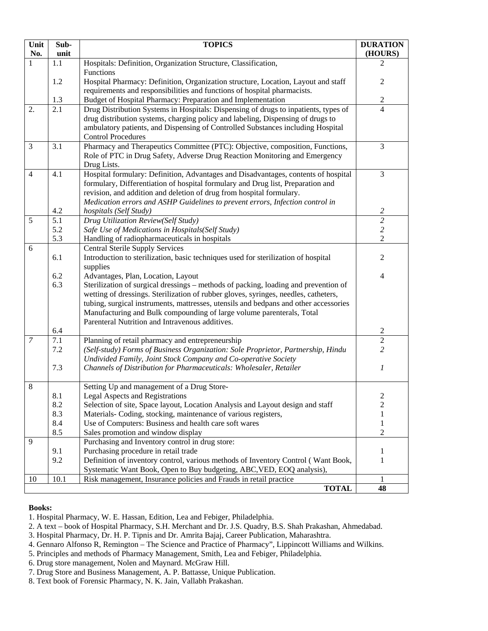| Unit    | Sub-             | <b>TOPICS</b>                                                                                                             | <b>DURATION</b>  |
|---------|------------------|---------------------------------------------------------------------------------------------------------------------------|------------------|
| No.     | unit             |                                                                                                                           | (HOURS)          |
| 1       | 1.1              | Hospitals: Definition, Organization Structure, Classification,<br>Functions                                               | 2                |
|         | 1.2              | Hospital Pharmacy: Definition, Organization structure, Location, Layout and staff                                         | $\overline{2}$   |
|         |                  | requirements and responsibilities and functions of hospital pharmacists.                                                  |                  |
|         | 1.3              | Budget of Hospital Pharmacy: Preparation and Implementation                                                               | $\mathbf{2}$     |
| 2.      | 2.1              | Drug Distribution Systems in Hospitals: Dispensing of drugs to inpatients, types of                                       | $\overline{4}$   |
|         |                  | drug distribution systems, charging policy and labeling, Dispensing of drugs to                                           |                  |
|         |                  | ambulatory patients, and Dispensing of Controlled Substances including Hospital                                           |                  |
|         |                  | <b>Control Procedures</b>                                                                                                 |                  |
| 3       | 3.1              | Pharmacy and Therapeutics Committee (PTC): Objective, composition, Functions,                                             | 3                |
|         |                  | Role of PTC in Drug Safety, Adverse Drug Reaction Monitoring and Emergency<br>Drug Lists.                                 |                  |
| 4       | 4.1              | Hospital formulary: Definition, Advantages and Disadvantages, contents of hospital                                        | 3                |
|         |                  | formulary, Differentiation of hospital formulary and Drug list, Preparation and                                           |                  |
|         |                  | revision, and addition and deletion of drug from hospital formulary.                                                      |                  |
|         |                  | Medication errors and ASHP Guidelines to prevent errors, Infection control in                                             |                  |
|         | 4.2              | hospitals (Self Study)                                                                                                    | $\overline{c}$   |
| 5       | $\overline{5.1}$ | Drug Utilization Review(Self Study)                                                                                       | $\overline{2}$   |
|         | 5.2              | Safe Use of Medications in Hospitals(Self Study)                                                                          | $\overline{c}$   |
|         | 5.3              | Handling of radiopharmaceuticals in hospitals                                                                             | $\overline{2}$   |
| 6       |                  | <b>Central Sterile Supply Services</b>                                                                                    |                  |
|         | 6.1              | Introduction to sterilization, basic techniques used for sterilization of hospital                                        | 2                |
|         | 6.2              | supplies                                                                                                                  |                  |
|         | 6.3              | Advantages, Plan, Location, Layout<br>Sterilization of surgical dressings - methods of packing, loading and prevention of | 4                |
|         |                  | wetting of dressings. Sterilization of rubber gloves, syringes, needles, catheters,                                       |                  |
|         |                  | tubing, surgical instruments, mattresses, utensils and bedpans and other accessories                                      |                  |
|         |                  | Manufacturing and Bulk compounding of large volume parenterals, Total                                                     |                  |
|         |                  | Parenteral Nutrition and Intravenous additives.                                                                           |                  |
|         | 6.4              |                                                                                                                           | $\sqrt{2}$       |
| 7       | 7.1              | Planning of retail pharmacy and entrepreneurship                                                                          | $\sqrt{2}$       |
|         | 7.2              | (Self-study) Forms of Business Organization: Sole Proprietor, Partnership, Hindu                                          | $\overline{2}$   |
|         |                  | Undivided Family, Joint Stock Company and Co-operative Society                                                            |                  |
|         | 7.3              | Channels of Distribution for Pharmaceuticals: Wholesaler, Retailer                                                        | 1                |
| $\,8\,$ |                  | Setting Up and management of a Drug Store-                                                                                |                  |
|         | 8.1              | <b>Legal Aspects and Registrations</b>                                                                                    | 2                |
|         | 8.2              | Selection of site, Space layout, Location Analysis and Layout design and staff                                            | $\boldsymbol{2}$ |
|         | 8.3              | Materials- Coding, stocking, maintenance of various registers,                                                            | 1                |
|         | 8.4              | Use of Computers: Business and health care soft wares                                                                     | 1                |
|         | 8.5              | Sales promotion and window display                                                                                        | $\overline{2}$   |
| 9       |                  | Purchasing and Inventory control in drug store:                                                                           |                  |
|         | 9.1<br>9.2       | Purchasing procedure in retail trade<br>Definition of inventory control, various methods of Inventory Control (Want Book, | 1<br>1           |
|         |                  | Systematic Want Book, Open to Buy budgeting, ABC, VED, EOQ analysis),                                                     |                  |
| 10      | 10.1             | Risk management, Insurance policies and Frauds in retail practice                                                         |                  |
|         |                  | <b>TOTAL</b>                                                                                                              | 48               |

- 1. Hospital Pharmacy, W. E. Hassan, Edition, Lea and Febiger, Philadelphia.
- 2. A text book of Hospital Pharmacy, S.H. Merchant and Dr. J.S. Quadry, B.S. Shah Prakashan, Ahmedabad.

- 4. Gennaro Alfonso R, Remington The Science and Practice of Pharmacy", Lippincott Williams and Wilkins.
- 5. Principles and methods of Pharmacy Management, Smith, Lea and Febiger, Philadelphia.
- 6. Drug store management, Nolen and Maynard. McGraw Hill.
- 7. Drug Store and Business Management, A. P. Battasse, Unique Publication.
- 8. Text book of Forensic Pharmacy, N. K. Jain, Vallabh Prakashan.

<sup>3.</sup> Hospital Pharmacy, Dr. H. P. Tipnis and Dr. Amrita Bajaj, Career Publication, Maharashtra.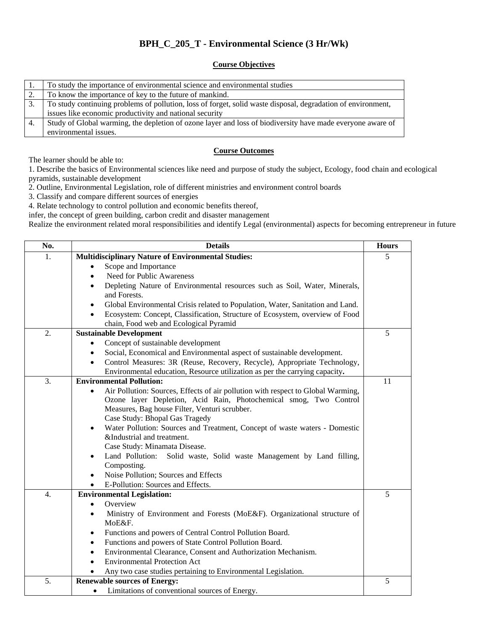### **BPH\_C\_205\_T - Environmental Science (3 Hr/Wk)**

#### **Course Objectives**

|    | To study the importance of environmental science and environmental studies                                   |
|----|--------------------------------------------------------------------------------------------------------------|
|    | To know the importance of key to the future of mankind.                                                      |
|    | To study continuing problems of pollution, loss of forget, solid waste disposal, degradation of environment, |
|    | issues like economic productivity and national security                                                      |
| 4. | Study of Global warming, the depletion of ozone layer and loss of biodiversity have made everyone aware of   |
|    | environmental issues.                                                                                        |

#### **Course Outcomes**

The learner should be able to:

1. Describe the basics of Environmental sciences like need and purpose of study the subject, Ecology, food chain and ecological pyramids, sustainable development

2. Outline, Environmental Legislation, role of different ministries and environment control boards

3. Classify and compare different sources of energies

4. Relate technology to control pollution and economic benefits thereof,

infer, the concept of green building, carbon credit and disaster management

Realize the environment related moral responsibilities and identify Legal (environmental) aspects for becoming entrepreneur in future

| No.              | <b>Details</b>                                                                                                                      | <b>Hours</b> |
|------------------|-------------------------------------------------------------------------------------------------------------------------------------|--------------|
| 1.               | <b>Multidisciplinary Nature of Environmental Studies:</b>                                                                           | 5            |
|                  | Scope and Importance                                                                                                                |              |
|                  | <b>Need for Public Awareness</b><br>$\bullet$                                                                                       |              |
|                  | Depleting Nature of Environmental resources such as Soil, Water, Minerals,<br>$\bullet$<br>and Forests.                             |              |
|                  | Global Environmental Crisis related to Population, Water, Sanitation and Land.<br>٠                                                 |              |
|                  | Ecosystem: Concept, Classification, Structure of Ecosystem, overview of Food<br>$\bullet$<br>chain, Food web and Ecological Pyramid |              |
| 2.               | <b>Sustainable Development</b>                                                                                                      | 5            |
|                  | Concept of sustainable development                                                                                                  |              |
|                  | Social, Economical and Environmental aspect of sustainable development.<br>٠                                                        |              |
|                  | Control Measures: 3R (Reuse, Recovery, Recycle), Appropriate Technology,<br>$\bullet$                                               |              |
|                  | Environmental education, Resource utilization as per the carrying capacity.                                                         |              |
| 3.               | <b>Environmental Pollution:</b>                                                                                                     | 11           |
|                  | Air Pollution: Sources, Effects of air pollution with respect to Global Warming,                                                    |              |
|                  | Ozone layer Depletion, Acid Rain, Photochemical smog, Two Control                                                                   |              |
|                  | Measures, Bag house Filter, Venturi scrubber.                                                                                       |              |
|                  | Case Study: Bhopal Gas Tragedy                                                                                                      |              |
|                  | Water Pollution: Sources and Treatment, Concept of waste waters - Domestic<br>$\bullet$                                             |              |
|                  | &Industrial and treatment.                                                                                                          |              |
|                  | Case Study: Minamata Disease.                                                                                                       |              |
|                  | Land Pollution:<br>Solid waste, Solid waste Management by Land filling,<br>Composting.                                              |              |
|                  | Noise Pollution; Sources and Effects<br>$\bullet$                                                                                   |              |
|                  | E-Pollution: Sources and Effects.<br>$\bullet$                                                                                      |              |
| $\overline{4}$ . | <b>Environmental Legislation:</b>                                                                                                   | 5            |
|                  | Overview<br>$\bullet$                                                                                                               |              |
|                  | Ministry of Environment and Forests (MoE&F). Organizational structure of<br>$\bullet$                                               |              |
|                  | MoE&F.                                                                                                                              |              |
|                  | Functions and powers of Central Control Pollution Board.<br>٠                                                                       |              |
|                  | Functions and powers of State Control Pollution Board.<br>٠                                                                         |              |
|                  | Environmental Clearance, Consent and Authorization Mechanism.<br>$\bullet$                                                          |              |
|                  | <b>Environmental Protection Act</b><br>$\bullet$                                                                                    |              |
|                  | Any two case studies pertaining to Environmental Legislation.                                                                       |              |
| 5.               | <b>Renewable sources of Energy:</b>                                                                                                 | 5            |
|                  | Limitations of conventional sources of Energy.                                                                                      |              |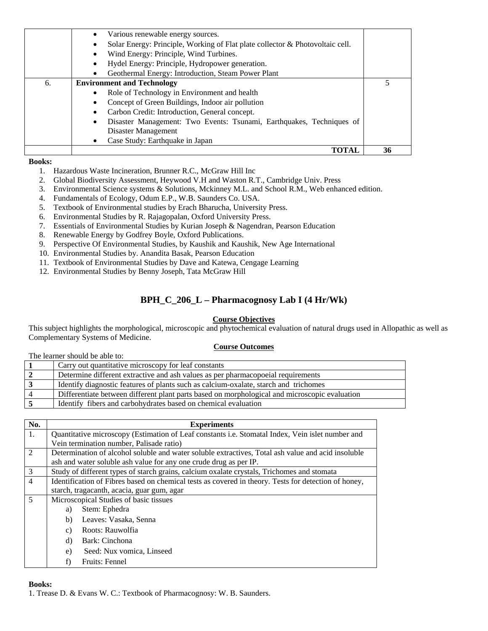|    | Various renewable energy sources.                                             |    |
|----|-------------------------------------------------------------------------------|----|
|    | Solar Energy: Principle, Working of Flat plate collector & Photovoltaic cell. |    |
|    | Wind Energy: Principle, Wind Turbines.                                        |    |
|    | Hydel Energy: Principle, Hydropower generation.                               |    |
|    | Geothermal Energy: Introduction, Steam Power Plant                            |    |
| 6. | <b>Environment and Technology</b>                                             |    |
|    | Role of Technology in Environment and health<br>$\bullet$                     |    |
|    | Concept of Green Buildings, Indoor air pollution<br>٠                         |    |
|    | Carbon Credit: Introduction, General concept.                                 |    |
|    | Disaster Management: Two Events: Tsunami, Earthquakes, Techniques of<br>٠     |    |
|    | Disaster Management                                                           |    |
|    | Case Study: Earthquake in Japan                                               |    |
|    | TOTAL                                                                         | 36 |

- 1. Hazardous Waste Incineration, Brunner R.C., McGraw Hill Inc
- 2. Global Biodiversity Assessment, Heywood V.H and Waston R.T., Cambridge Univ. Press
- 3. Environmental Science systems & Solutions, Mckinney M.L. and School R.M., Web enhanced edition.
- 4. Fundamentals of Ecology, Odum E.P., W.B. Saunders Co. USA.
- 5. Textbook of Environmental studies by Erach Bharucha, University Press.
- 6. Environmental Studies by R. Rajagopalan, Oxford University Press.
- 7. Essentials of Environmental Studies by Kurian Joseph & Nagendran, Pearson Education
- 8. Renewable Energy by Godfrey Boyle, Oxford Publications.
- 9. Perspective Of Environmental Studies, by Kaushik and Kaushik, New Age International
- 10. Environmental Studies by. Anandita Basak, Pearson Education
- 11. Textbook of Environmental Studies by Dave and Katewa, Cengage Learning
- 12. Environmental Studies by Benny Joseph, Tata McGraw Hill

### **BPH\_C\_206\_L – Pharmacognosy Lab I (4 Hr/Wk)**

#### **Course Objectives**

This subject highlights the morphological, microscopic and phytochemical evaluation of natural drugs used in Allopathic as well as Complementary Systems of Medicine.

#### **Course Outcomes**

The learner should be able to:

| Carry out quantitative microscopy for leaf constants                                          |
|-----------------------------------------------------------------------------------------------|
| Determine different extractive and ash values as per pharmacopoeial requirements              |
| Identify diagnostic features of plants such as calcium-oxalate, starch and trichomes          |
| Differentiate between different plant parts based on morphological and microscopic evaluation |
| Identify fibers and carbohydrates based on chemical evaluation                                |

| No.            | <b>Experiments</b>                                                                                   |  |
|----------------|------------------------------------------------------------------------------------------------------|--|
| 1.             | Quantitative microscopy (Estimation of Leaf constants i.e. Stomatal Index, Vein islet number and     |  |
|                | Vein termination number, Palisade ratio)                                                             |  |
| 2              | Determination of alcohol soluble and water soluble extractives, Total ash value and acid insoluble   |  |
|                | ash and water soluble ash value for any one crude drug as per IP.                                    |  |
| 3              | Study of different types of starch grains, calcium oxalate crystals, Trichomes and stomata           |  |
| 4              | Identification of Fibres based on chemical tests as covered in theory. Tests for detection of honey, |  |
|                | starch, tragacanth, acacia, guar gum, agar                                                           |  |
| $\mathfrak{H}$ | Microscopical Studies of basic tissues                                                               |  |
|                | Stem: Ephedra<br>a)                                                                                  |  |
|                | Leaves: Vasaka, Senna<br>b)                                                                          |  |
|                | Roots: Rauwolfia<br>c)                                                                               |  |
|                | Bark: Cinchona<br>d)                                                                                 |  |
|                | Seed: Nux vomica, Linseed<br>e)                                                                      |  |
|                | Fruits: Fennel<br>f)                                                                                 |  |

#### **Books:**

1. Trease D. & Evans W. C.: Textbook of Pharmacognosy: W. B. Saunders.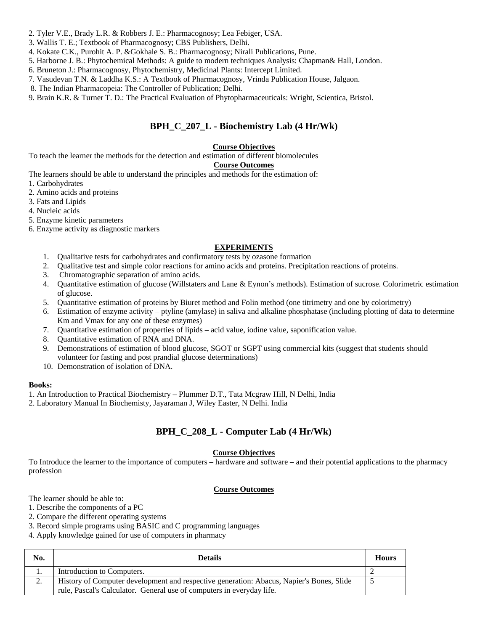- 2. Tyler V.E., Brady L.R. & Robbers J. E.: Pharmacognosy; Lea Febiger, USA.
- 3. Wallis T. E.; Textbook of Pharmacognosy; CBS Publishers, Delhi.
- 4. Kokate C.K., Purohit A. P. &Gokhale S. B.: Pharmacognosy; Nirali Publications, Pune.
- 5. Harborne J. B.: Phytochemical Methods: A guide to modern techniques Analysis: Chapman& Hall, London.
- 6. Bruneton J.: Pharmacognosy, Phytochemistry, Medicinal Plants: Intercept Limited.
- 7. Vasudevan T.N. & Laddha K.S.: A Textbook of Pharmacognosy, Vrinda Publication House, Jalgaon.
- 8. The Indian Pharmacopeia: The Controller of Publication; Delhi.
- 9. Brain K.R. & Turner T. D.: The Practical Evaluation of Phytopharmaceuticals: Wright, Scientica, Bristol.

### **BPH\_C\_207\_L - Biochemistry Lab (4 Hr/Wk)**

#### **Course Objectives**

To teach the learner the methods for the detection and estimation of different biomolecules

#### **Course Outcomes**

The learners should be able to understand the principles and methods for the estimation of:

- 1. Carbohydrates
- 2. Amino acids and proteins
- 3. Fats and Lipids
- 4. Nucleic acids
- 5. Enzyme kinetic parameters
- 6. Enzyme activity as diagnostic markers

#### **EXPERIMENTS**

- 1. Qualitative tests for carbohydrates and confirmatory tests by ozasone formation
- 2. Qualitative test and simple color reactions for amino acids and proteins. Precipitation reactions of proteins.
- 3. Chromatographic separation of amino acids.
- 4. Quantitative estimation of glucose (Willstaters and Lane & Eynon's methods). Estimation of sucrose. Colorimetric estimation of glucose.
- 5. Quantitative estimation of proteins by Biuret method and Folin method (one titrimetry and one by colorimetry)
- 6. Estimation of enzyme activity ptyline (amylase) in saliva and alkaline phosphatase (including plotting of data to determine Km and Vmax for any one of these enzymes)
- 7. Quantitative estimation of properties of lipids acid value, iodine value, saponification value.
- 8. Quantitative estimation of RNA and DNA.
- 9. Demonstrations of estimation of blood glucose, SGOT or SGPT using commercial kits (suggest that students should volunteer for fasting and post prandial glucose determinations)
- 10. Demonstration of isolation of DNA.

#### **Books:**

- 1. An Introduction to Practical Biochemistry Plummer D.T., Tata Mcgraw Hill, N Delhi, India
- 2. Laboratory Manual In Biochemisty, Jayaraman J, Wiley Easter, N Delhi. India

### **BPH\_C\_208\_L - Computer Lab (4 Hr/Wk)**

#### **Course Objectives**

To Introduce the learner to the importance of computers – hardware and software – and their potential applications to the pharmacy profession

#### **Course Outcomes**

The learner should be able to:

- 1. Describe the components of a PC
- 2. Compare the different operating systems
- 3. Record simple programs using BASIC and C programming languages
- 4. Apply knowledge gained for use of computers in pharmacy

| No. | <b>Details</b>                                                                           | <b>Hours</b> |
|-----|------------------------------------------------------------------------------------------|--------------|
|     | Introduction to Computers.                                                               |              |
| 2.  | History of Computer development and respective generation: Abacus, Napier's Bones, Slide |              |
|     | rule, Pascal's Calculator. General use of computers in everyday life.                    |              |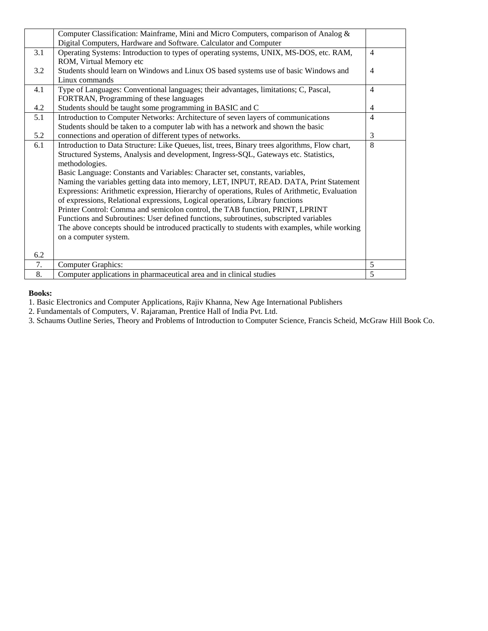|     | Computer Classification: Mainframe, Mini and Micro Computers, comparison of Analog &           |                |
|-----|------------------------------------------------------------------------------------------------|----------------|
|     | Digital Computers, Hardware and Software. Calculator and Computer                              |                |
| 3.1 | Operating Systems: Introduction to types of operating systems, UNIX, MS-DOS, etc. RAM,         | $\overline{4}$ |
|     | ROM, Virtual Memory etc                                                                        |                |
| 3.2 | Students should learn on Windows and Linux OS based systems use of basic Windows and           | $\overline{4}$ |
|     | Linux commands                                                                                 |                |
| 4.1 | Type of Languages: Conventional languages; their advantages, limitations; C, Pascal,           | $\overline{4}$ |
|     | FORTRAN, Programming of these languages                                                        |                |
| 4.2 | Students should be taught some programming in BASIC and C                                      | $\overline{4}$ |
| 5.1 | Introduction to Computer Networks: Architecture of seven layers of communications              | $\overline{4}$ |
|     | Students should be taken to a computer lab with has a network and shown the basic              |                |
| 5.2 | connections and operation of different types of networks.                                      | 3              |
| 6.1 | Introduction to Data Structure: Like Queues, list, trees, Binary trees algorithms, Flow chart, | 8              |
|     | Structured Systems, Analysis and development, Ingress-SQL, Gateways etc. Statistics,           |                |
|     | methodologies.                                                                                 |                |
|     | Basic Language: Constants and Variables: Character set, constants, variables,                  |                |
|     | Naming the variables getting data into memory, LET, INPUT, READ. DATA, Print Statement         |                |
|     | Expressions: Arithmetic expression, Hierarchy of operations, Rules of Arithmetic, Evaluation   |                |
|     | of expressions, Relational expressions, Logical operations, Library functions                  |                |
|     | Printer Control: Comma and semicolon control, the TAB function, PRINT, LPRINT                  |                |
|     | Functions and Subroutines: User defined functions, subroutines, subscripted variables          |                |
|     | The above concepts should be introduced practically to students with examples, while working   |                |
|     | on a computer system.                                                                          |                |
|     |                                                                                                |                |
| 6.2 |                                                                                                |                |
| 7.  | <b>Computer Graphics:</b>                                                                      | 5              |
| 8.  | Computer applications in pharmaceutical area and in clinical studies                           | 5              |

1. Basic Electronics and Computer Applications, Rajiv Khanna, New Age International Publishers

2. Fundamentals of Computers, V. Rajaraman, Prentice Hall of India Pvt. Ltd.

3. Schaums Outline Series, Theory and Problems of Introduction to Computer Science, Francis Scheid, McGraw Hill Book Co.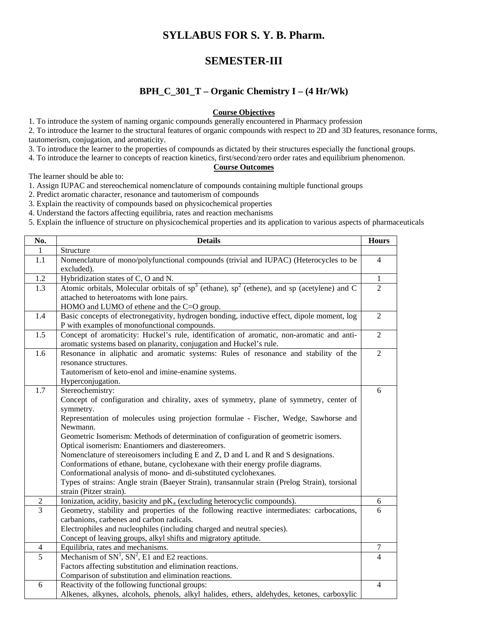### **SYLLABUS FOR S. Y. B. Pharm.**

### **SEMESTER-III**

### **BPH\_C\_301\_T – Organic Chemistry I – (4 Hr/Wk)**

#### **Course Objectives**

1. To introduce the system of naming organic compounds generally encountered in Pharmacy profession

2. To introduce the learner to the structural features of organic compounds with respect to 2D and 3D features, resonance forms, tautomerism, conjugation, and aromaticity.

3. To introduce the learner to the properties of compounds as dictated by their structures especially the functional groups.

4. To introduce the learner to concepts of reaction kinetics, first/second/zero order rates and equilibrium phenomenon.

#### **Course Outcomes**

The learner should be able to:

1. Assign IUPAC and stereochemical nomenclature of compounds containing multiple functional groups

2. Predict aromatic character, resonance and tautomerism of compounds

3. Explain the reactivity of compounds based on physicochemical properties

4. Understand the factors affecting equilibria, rates and reaction mechanisms

5. Explain the influence of structure on physicochemical properties and its application to various aspects of pharmaceuticals

| No.              | <b>Details</b>                                                                                                                                                                                                                                                                                                                                                                                                                                                                                                                                                                                                                                                                                                                                       | <b>Hours</b>   |
|------------------|------------------------------------------------------------------------------------------------------------------------------------------------------------------------------------------------------------------------------------------------------------------------------------------------------------------------------------------------------------------------------------------------------------------------------------------------------------------------------------------------------------------------------------------------------------------------------------------------------------------------------------------------------------------------------------------------------------------------------------------------------|----------------|
| 1                | Structure                                                                                                                                                                                                                                                                                                                                                                                                                                                                                                                                                                                                                                                                                                                                            |                |
| 1.1              | Nomenclature of mono/polyfunctional compounds (trivial and IUPAC) (Heterocycles to be<br>excluded).                                                                                                                                                                                                                                                                                                                                                                                                                                                                                                                                                                                                                                                  | $\overline{4}$ |
| 1.2              | Hybridization states of C, O and N.                                                                                                                                                                                                                                                                                                                                                                                                                                                                                                                                                                                                                                                                                                                  | $\mathbf{1}$   |
| 1.3              | Atomic orbitals, Molecular orbitals of $sp^3$ (ethane), $sp^2$ (ethene), and sp (acetylene) and C<br>attached to heteroatoms with lone pairs.<br>HOMO and LUMO of ethene and the C=O group.                                                                                                                                                                                                                                                                                                                                                                                                                                                                                                                                                          | $\overline{2}$ |
| 1.4              | Basic concepts of electronegativity, hydrogen bonding, inductive effect, dipole moment, log<br>P with examples of monofunctional compounds.                                                                                                                                                                                                                                                                                                                                                                                                                                                                                                                                                                                                          | $\overline{2}$ |
| $\overline{1.5}$ | Concept of aromaticity: Huckel's rule, identification of aromatic, non-aromatic and anti-<br>aromatic systems based on planarity, conjugation and Huckel's rule.                                                                                                                                                                                                                                                                                                                                                                                                                                                                                                                                                                                     | $\overline{2}$ |
| 1.6              | Resonance in aliphatic and aromatic systems: Rules of resonance and stability of the<br>resonance structures.<br>Tautomerism of keto-enol and imine-enamine systems.<br>Hyperconjugation.                                                                                                                                                                                                                                                                                                                                                                                                                                                                                                                                                            | $\overline{2}$ |
| 1.7              | Stereochemistry:<br>Concept of configuration and chirality, axes of symmetry, plane of symmetry, center of<br>symmetry.<br>Representation of molecules using projection formulae - Fischer, Wedge, Sawhorse and<br>Newmann.<br>Geometric Isomerism: Methods of determination of configuration of geometric isomers.<br>Optical isomerism: Enantiomers and diastereomers.<br>Nomenclature of stereoisomers including E and Z, D and L and R and S designations.<br>Conformations of ethane, butane, cyclohexane with their energy profile diagrams.<br>Conformational analysis of mono- and di-substituted cyclohexanes.<br>Types of strains: Angle strain (Baeyer Strain), transannular strain (Prelog Strain), torsional<br>strain (Pitzer strain). | 6              |
| $\overline{2}$   | Ionization, acidity, basicity and pK <sub>a</sub> (excluding heterocyclic compounds).                                                                                                                                                                                                                                                                                                                                                                                                                                                                                                                                                                                                                                                                | 6              |
| $\overline{3}$   | Geometry, stability and properties of the following reactive intermediates: carbocations,<br>carbanions, carbenes and carbon radicals.<br>Electrophiles and nucleophiles (including charged and neutral species).<br>Concept of leaving groups, alkyl shifts and migratory aptitude.                                                                                                                                                                                                                                                                                                                                                                                                                                                                 | 6              |
| 4                | Equilibria, rates and mechanisms.                                                                                                                                                                                                                                                                                                                                                                                                                                                                                                                                                                                                                                                                                                                    | 7              |
| $\overline{5}$   | Mechanism of $SN1$ , $SN2$ , E1 and E2 reactions.<br>Factors affecting substitution and elimination reactions.<br>Comparison of substitution and elimination reactions.                                                                                                                                                                                                                                                                                                                                                                                                                                                                                                                                                                              | $\overline{4}$ |
| 6                | Reactivity of the following functional groups:<br>Alkenes, alkynes, alcohols, phenols, alkyl halides, ethers, aldehydes, ketones, carboxylic                                                                                                                                                                                                                                                                                                                                                                                                                                                                                                                                                                                                         | $\overline{4}$ |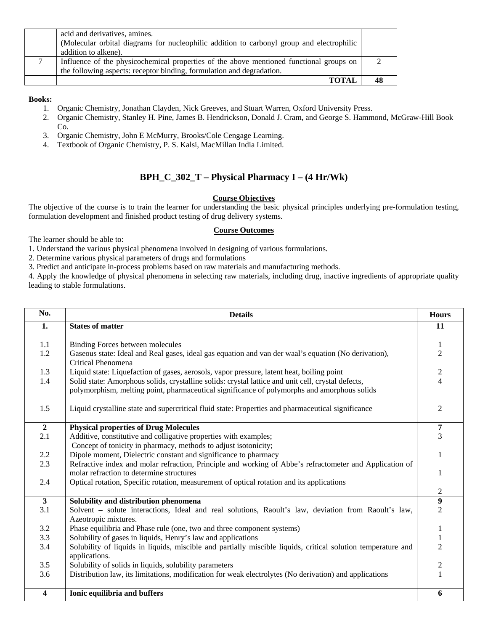| <b>TOTAI</b>                                                                              |  |
|-------------------------------------------------------------------------------------------|--|
| the following aspects: receptor binding, formulation and degradation.                     |  |
| Influence of the physicochemical properties of the above mentioned functional groups on   |  |
| addition to alkene).                                                                      |  |
| (Molecular orbital diagrams for nucleophilic addition to carbonyl group and electrophilic |  |
| acid and derivatives, amines.                                                             |  |

- 1. Organic Chemistry, Jonathan Clayden, Nick Greeves, and Stuart Warren, Oxford University Press.
- 2. Organic Chemistry, Stanley H. Pine, James B. Hendrickson, Donald J. Cram, and George S. Hammond, McGraw-Hill Book Co.
- 3. Organic Chemistry, John E McMurry, Brooks/Cole Cengage Learning.
- 4. Textbook of Organic Chemistry, P. S. Kalsi, MacMillan India Limited.

### **BPH\_C\_302\_T – Physical Pharmacy I – (4 Hr/Wk)**

#### **Course Objectives**

The objective of the course is to train the learner for understanding the basic physical principles underlying pre-formulation testing, formulation development and finished product testing of drug delivery systems.

#### **Course Outcomes**

The learner should be able to:

1. Understand the various physical phenomena involved in designing of various formulations.

2. Determine various physical parameters of drugs and formulations

3. Predict and anticipate in-process problems based on raw materials and manufacturing methods.

4. Apply the knowledge of physical phenomena in selecting raw materials, including drug, inactive ingredients of appropriate quality leading to stable formulations.

| No.            | <b>Details</b>                                                                                                                                      | <b>Hours</b>                   |
|----------------|-----------------------------------------------------------------------------------------------------------------------------------------------------|--------------------------------|
| 1.             | <b>States of matter</b>                                                                                                                             | 11                             |
| 1.1            | <b>Binding Forces between molecules</b>                                                                                                             |                                |
| 1.2            | Gaseous state: Ideal and Real gases, ideal gas equation and van der waal's equation (No derivation),                                                | $\mathbf{1}$<br>$\overline{2}$ |
|                | Critical Phenomena                                                                                                                                  |                                |
| 1.3            | Liquid state: Liquefaction of gases, aerosols, vapor pressure, latent heat, boiling point                                                           | $\sqrt{2}$                     |
| 1.4            | Solid state: Amorphous solids, crystalline solids: crystal lattice and unit cell, crystal defects,                                                  | $\overline{4}$                 |
|                | polymorphism, melting point, pharmaceutical significance of polymorphs and amorphous solids                                                         |                                |
| 1.5            | Liquid crystalline state and supercritical fluid state: Properties and pharmaceutical significance                                                  | 2                              |
|                |                                                                                                                                                     |                                |
| $\overline{2}$ | <b>Physical properties of Drug Molecules</b>                                                                                                        | $\overline{7}$                 |
| 2.1            | Additive, constitutive and colligative properties with examples;                                                                                    | $\overline{3}$                 |
|                | Concept of tonicity in pharmacy, methods to adjust isotonicity;                                                                                     |                                |
| 2.2            | Dipole moment, Dielectric constant and significance to pharmacy                                                                                     | 1                              |
| 2.3            | Refractive index and molar refraction, Principle and working of Abbe's refractometer and Application of<br>molar refraction to determine structures | 1                              |
| 2.4            | Optical rotation, Specific rotation, measurement of optical rotation and its applications                                                           |                                |
|                |                                                                                                                                                     | $\overline{2}$                 |
| $\mathbf{3}$   | Solubility and distribution phenomena                                                                                                               | $\boldsymbol{9}$               |
| 3.1            | Solvent - solute interactions, Ideal and real solutions, Raoult's law, deviation from Raoult's law,<br>Azeotropic mixtures.                         | $\overline{2}$                 |
| 3.2            | Phase equilibria and Phase rule (one, two and three component systems)                                                                              | $\mathbf{1}$                   |
| 3.3            | Solubility of gases in liquids, Henry's law and applications                                                                                        | $\mathbf{1}$                   |
| 3.4            | Solubility of liquids in liquids, miscible and partially miscible liquids, critical solution temperature and<br>applications.                       | $\overline{2}$                 |
| 3.5            | Solubility of solids in liquids, solubility parameters                                                                                              | $\boldsymbol{2}$               |
| 3.6            | Distribution law, its limitations, modification for weak electrolytes (No derivation) and applications                                              | $\mathbf{1}$                   |
| 4              | Ionic equilibria and buffers                                                                                                                        | 6                              |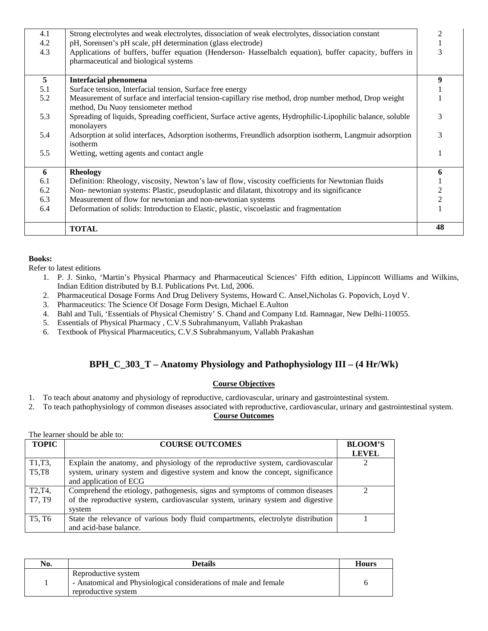| 4.1 | Strong electrolytes and weak electrolytes, dissociation of weak electrolytes, dissociation constant                                         | 2              |
|-----|---------------------------------------------------------------------------------------------------------------------------------------------|----------------|
| 4.2 | pH, Sorensen's pH scale, pH determination (glass electrode)                                                                                 | 1              |
| 4.3 | Applications of buffers, buffer equation (Henderson- Hasselbalch equation), buffer capacity, buffers in                                     | 3              |
|     | pharmaceutical and biological systems                                                                                                       |                |
| 5   |                                                                                                                                             |                |
|     | <b>Interfacial phenomena</b>                                                                                                                | 9              |
| 5.1 | Surface tension, Interfacial tension, Surface free energy                                                                                   |                |
| 5.2 | Measurement of surface and interfacial tension-capillary rise method, drop number method, Drop weight<br>method, Du Nuoy tensiometer method |                |
| 5.3 | Spreading of liquids, Spreading coefficient, Surface active agents, Hydrophilic-Lipophilic balance, soluble<br>monolayers                   | 3              |
| 5.4 | Adsorption at solid interfaces, Adsorption isotherms, Freundlich adsorption isotherm, Langmuir adsorption<br>isotherm                       | 3              |
| 5.5 | Wetting, wetting agents and contact angle                                                                                                   | 1              |
| 6   | <b>Rheology</b>                                                                                                                             | 6              |
| 6.1 | Definition: Rheology, viscosity, Newton's law of flow, viscosity coefficients for Newtonian fluids                                          |                |
| 6.2 | Non- newtonian systems: Plastic, pseudoplastic and dilatant, thixotropy and its significance                                                | $\overline{c}$ |
| 6.3 | Measurement of flow for newtonian and non-newtonian systems                                                                                 | $\overline{c}$ |
| 6.4 | Deformation of solids: Introduction to Elastic, plastic, viscoelastic and fragmentation                                                     |                |
|     | <b>TOTAL</b>                                                                                                                                | 48             |

Refer to latest editions

- 1. P. J. Sinko, 'Martin's Physical Pharmacy and Pharmaceutical Sciences' Fifth edition, Lippincott Williams and Wilkins, Indian Edition distributed by B.I. Publications Pvt. Ltd, 2006.
- 2. Pharmaceutical Dosage Forms And Drug Delivery Systems, Howard C. Ansel,Nicholas G. Popovich, Loyd V.
- 3. Pharmaceutics: The Science Of Dosage Form Design, Michael E.Aulton
- 4. Bahl and Tuli, 'Essentials of Physical Chemistry' S. Chand and Company Ltd. Ramnagar, New Delhi-110055.
- 5. Essentials of Physical Pharmacy , C.V.S Subrahmanyum, Vallabh Prakashan
- 6. Textbook of Physical Pharmaceutics, C.V.S Subrahmanyum, Vallabh Prakashan

### **BPH\_C\_303\_T – Anatomy Physiology and Pathophysiology III – (4 Hr/Wk)**

#### **Course Objectives**

1. To teach about anatomy and physiology of reproductive, cardiovascular, urinary and gastrointestinal system.

2. To teach pathophysiology of common diseases associated with reproductive, cardiovascular, urinary and gastrointestinal system.

#### **Course Outcomes**

| The learner should be able to:  |                                                                                  |                                |
|---------------------------------|----------------------------------------------------------------------------------|--------------------------------|
| <b>TOPIC</b>                    | <b>COURSE OUTCOMES</b>                                                           | <b>BLOOM'S</b><br><b>LEVEL</b> |
| T1,T3,                          | Explain the anatomy, and physiology of the reproductive system, cardiovascular   |                                |
| <b>T5,T8</b>                    | system, urinary system and digestive system and know the concept, significance   |                                |
|                                 | and application of ECG                                                           |                                |
| T <sub>2</sub> , T <sub>4</sub> | Comprehend the etiology, pathogenesis, signs and symptoms of common diseases     | ∍                              |
| T7, T9                          | of the reproductive system, cardiovascular system, urinary system and digestive  |                                |
|                                 | system                                                                           |                                |
| T <sub>5</sub> , T <sub>6</sub> | State the relevance of various body fluid compartments, electrolyte distribution |                                |
|                                 | and acid-base balance.                                                           |                                |

| No. | <b>Details</b>                                                                                                 | <b>Hours</b> |
|-----|----------------------------------------------------------------------------------------------------------------|--------------|
|     | Reproductive system<br>- Anatomical and Physiological considerations of male and female<br>reproductive system |              |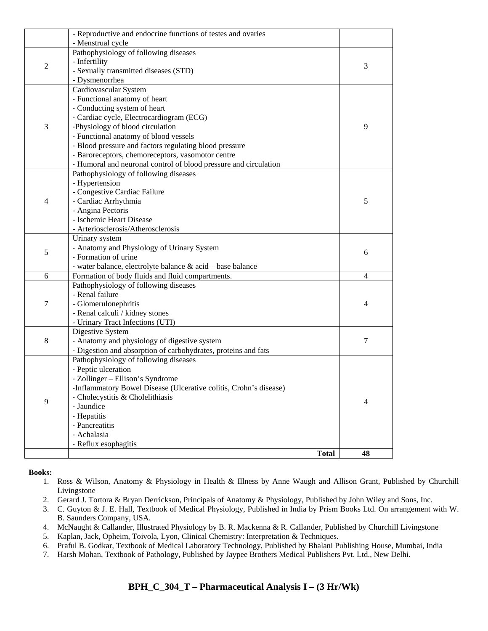|                | <b>Total</b>                                                                                                                                                                                                                                                                                                                                                                                       | 48 |
|----------------|----------------------------------------------------------------------------------------------------------------------------------------------------------------------------------------------------------------------------------------------------------------------------------------------------------------------------------------------------------------------------------------------------|----|
|                | - Hepatitis<br>- Pancreatitis<br>- Achalasia<br>- Reflux esophagitis                                                                                                                                                                                                                                                                                                                               |    |
| 9              | Pathophysiology of following diseases<br>- Peptic ulceration<br>- Zollinger – Ellison's Syndrome<br>-Inflammatory Bowel Disease (Ulcerative colitis, Crohn's disease)<br>- Cholecystitis & Cholelithiasis<br>- Jaundice                                                                                                                                                                            | 4  |
| 8              | Digestive System<br>- Anatomy and physiology of digestive system<br>- Digestion and absorption of carbohydrates, proteins and fats                                                                                                                                                                                                                                                                 | 7  |
| 7              | Pathophysiology of following diseases<br>- Renal failure<br>- Glomerulonephritis<br>- Renal calculi / kidney stones<br>- Urinary Tract Infections (UTI)                                                                                                                                                                                                                                            | 4  |
| 6              | Formation of body fluids and fluid compartments.                                                                                                                                                                                                                                                                                                                                                   | 4  |
| 5              | Urinary system<br>- Anatomy and Physiology of Urinary System<br>- Formation of urine<br>- water balance, electrolyte balance & acid - base balance                                                                                                                                                                                                                                                 | 6  |
| 4              | Pathophysiology of following diseases<br>- Hypertension<br>- Congestive Cardiac Failure<br>- Cardiac Arrhythmia<br>- Angina Pectoris<br>- Ischemic Heart Disease<br>- Arteriosclerosis/Atherosclerosis                                                                                                                                                                                             | 5  |
| 3              | Cardiovascular System<br>- Functional anatomy of heart<br>- Conducting system of heart<br>- Cardiac cycle, Electrocardiogram (ECG)<br>-Physiology of blood circulation<br>- Functional anatomy of blood vessels<br>- Blood pressure and factors regulating blood pressure<br>- Baroreceptors, chemoreceptors, vasomotor centre<br>- Humoral and neuronal control of blood pressure and circulation | 9  |
| $\overline{2}$ | Pathophysiology of following diseases<br>- Infertility<br>- Sexually transmitted diseases (STD)<br>- Dysmenorrhea                                                                                                                                                                                                                                                                                  | 3  |
|                | - Reproductive and endocrine functions of testes and ovaries<br>- Menstrual cycle                                                                                                                                                                                                                                                                                                                  |    |

- 1. Ross & Wilson, Anatomy & Physiology in Health & Illness by Anne Waugh and Allison Grant, Published by Churchill Livingstone
- 2. Gerard J. Tortora & Bryan Derrickson, Principals of Anatomy & Physiology, Published by John Wiley and Sons, Inc.
- 3. C. Guyton & J. E. Hall, Textbook of Medical Physiology, Published in India by Prism Books Ltd. On arrangement with W. B. Saunders Company, USA.
- 4. McNaught & Callander, Illustrated Physiology by B. R. Mackenna & R. Callander, Published by Churchill Livingstone
- 5. Kaplan, Jack, Opheim, Toivola, Lyon, Clinical Chemistry: Interpretation & Techniques.
- 6. Praful B. Godkar, Textbook of Medical Laboratory Technology, Published by Bhalani Publishing House, Mumbai, India
- 7. Harsh Mohan, Textbook of Pathology, Published by Jaypee Brothers Medical Publishers Pvt. Ltd., New Delhi.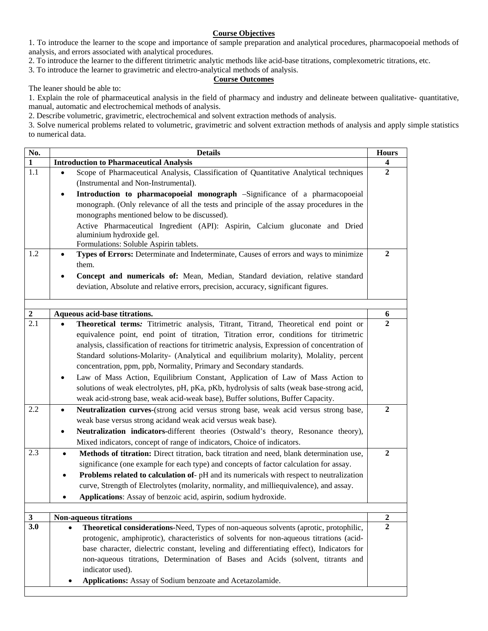#### **Course Objectives**

1. To introduce the learner to the scope and importance of sample preparation and analytical procedures, pharmacopoeial methods of analysis, and errors associated with analytical procedures.

2. To introduce the learner to the different titrimetric analytic methods like acid-base titrations, complexometric titrations, etc.

3. To introduce the learner to gravimetric and electro-analytical methods of analysis.

#### **Course Outcomes**

The leaner should be able to:

1. Explain the role of pharmaceutical analysis in the field of pharmacy and industry and delineate between qualitative- quantitative, manual, automatic and electrochemical methods of analysis.

2. Describe volumetric, gravimetric, electrochemical and solvent extraction methods of analysis.

3. Solve numerical problems related to volumetric, gravimetric and solvent extraction methods of analysis and apply simple statistics to numerical data.

| No.                     | <b>Details</b>                                                                                     | <b>Hours</b>        |
|-------------------------|----------------------------------------------------------------------------------------------------|---------------------|
| $\mathbf{1}$            | <b>Introduction to Pharmaceutical Analysis</b>                                                     | 4                   |
| 1.1                     | Scope of Pharmaceutical Analysis, Classification of Quantitative Analytical techniques             | $\overline{2}$      |
|                         | (Instrumental and Non-Instrumental).                                                               |                     |
|                         | Introduction to pharmacopoeial monograph -Significance of a pharmacopoeial<br>٠                    |                     |
|                         | monograph. (Only relevance of all the tests and principle of the assay procedures in the           |                     |
|                         | monographs mentioned below to be discussed).                                                       |                     |
|                         | Active Pharmaceutical Ingredient (API): Aspirin, Calcium gluconate and Dried                       |                     |
|                         | aluminium hydroxide gel.                                                                           |                     |
|                         | Formulations: Soluble Aspirin tablets.                                                             |                     |
| 1.2                     | Types of Errors: Determinate and Indeterminate, Causes of errors and ways to minimize<br>$\bullet$ | $\boldsymbol{2}$    |
|                         | them.                                                                                              |                     |
|                         | Concept and numericals of: Mean, Median, Standard deviation, relative standard                     |                     |
|                         | deviation, Absolute and relative errors, precision, accuracy, significant figures.                 |                     |
|                         |                                                                                                    |                     |
|                         |                                                                                                    |                     |
| $\boldsymbol{2}$<br>2.1 | Aqueous acid-base titrations.                                                                      | 6<br>$\overline{2}$ |
|                         | Theoretical terms: Titrimetric analysis, Titrant, Titrand, Theoretical end point or                |                     |
|                         | equivalence point, end point of titration, Titration error, conditions for titrimetric             |                     |
|                         | analysis, classification of reactions for titrimetric analysis, Expression of concentration of     |                     |
|                         | Standard solutions-Molarity- (Analytical and equilibrium molarity), Molality, percent              |                     |
|                         | concentration, ppm, ppb, Normality, Primary and Secondary standards.                               |                     |
|                         | Law of Mass Action, Equilibrium Constant, Application of Law of Mass Action to                     |                     |
|                         | solutions of weak electrolytes, pH, pKa, pKb, hydrolysis of salts (weak base-strong acid,          |                     |
|                         | weak acid-strong base, weak acid-weak base), Buffer solutions, Buffer Capacity.                    |                     |
| 2.2                     | Neutralization curves-(strong acid versus strong base, weak acid versus strong base,<br>$\bullet$  | $\overline{2}$      |
|                         | weak base versus strong acidand weak acid versus weak base).                                       |                     |
|                         | Neutralization indicators-different theories (Ostwald's theory, Resonance theory),<br>$\bullet$    |                     |
|                         | Mixed indicators, concept of range of indicators, Choice of indicators.                            |                     |
| 2.3                     | Methods of titration: Direct titration, back titration and need, blank determination use,          | $\overline{2}$      |
|                         | significance (one example for each type) and concepts of factor calculation for assay.             |                     |
|                         | Problems related to calculation of-pH and its numericals with respect to neutralization<br>٠       |                     |
|                         | curve, Strength of Electrolytes (molarity, normality, and milliequivalence), and assay.            |                     |
|                         | Applications: Assay of benzoic acid, aspirin, sodium hydroxide.                                    |                     |
|                         |                                                                                                    |                     |
| $\mathbf{3}$            | <b>Non-aqueous titrations</b>                                                                      | $\boldsymbol{2}$    |
| 3.0                     | Theoretical considerations-Need, Types of non-aqueous solvents (aprotic, protophilic,              | $\overline{2}$      |
|                         | protogenic, amphiprotic), characteristics of solvents for non-aqueous titrations (acid-            |                     |
|                         | base character, dielectric constant, leveling and differentiating effect), Indicators for          |                     |
|                         | non-aqueous titrations, Determination of Bases and Acids (solvent, titrants and                    |                     |
|                         | indicator used).                                                                                   |                     |
|                         | Applications: Assay of Sodium benzoate and Acetazolamide.                                          |                     |
|                         |                                                                                                    |                     |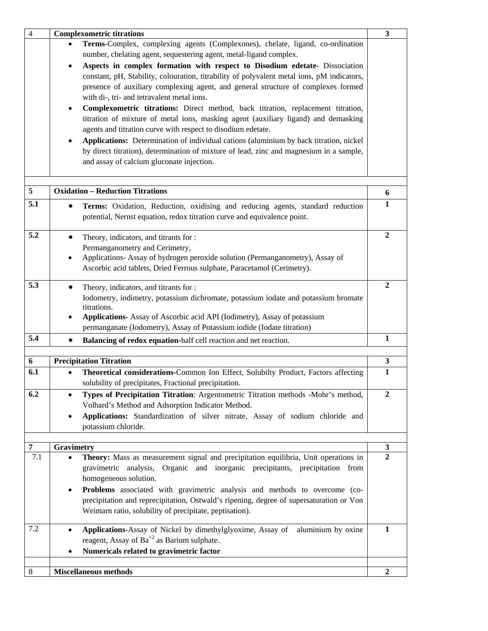| $\overline{4}$ | <b>Complexometric titrations</b>                                                                    | $\mathbf{3}$                   |
|----------------|-----------------------------------------------------------------------------------------------------|--------------------------------|
|                | Terms-Complex, complexing agents (Complexones), chelate, ligand, co-ordination                      |                                |
|                | number, chelating agent, sequestering agent, metal-ligand complex.                                  |                                |
|                | Aspects in complex formation with respect to Disodium edetate- Dissociation<br>$\bullet$            |                                |
|                | constant, pH, Stability, colouration, titrability of polyvalent metal ions, pM indicators,          |                                |
|                | presence of auxiliary complexing agent, and general structure of complexes formed                   |                                |
|                | with di-, tri- and tetravalent metal ions.                                                          |                                |
|                | Complexometric titrations: Direct method, back titration, replacement titration,<br>٠               |                                |
|                | titration of mixture of metal ions, masking agent (auxiliary ligand) and demasking                  |                                |
|                | agents and titration curve with respect to disodium edetate.                                        |                                |
|                | Applications: Determination of individual cations (aluminium by back titration, nickel<br>$\bullet$ |                                |
|                | by direct titration), determination of mixture of lead, zinc and magnesium in a sample,             |                                |
|                | and assay of calcium gluconate injection.                                                           |                                |
|                |                                                                                                     |                                |
|                |                                                                                                     |                                |
| 5              | <b>Oxidation - Reduction Titrations</b>                                                             | 6                              |
| 5.1            | Terms: Oxidation, Reduction, oxidising and reducing agents, standard reduction                      | $\mathbf{1}$                   |
|                | potential, Nernst equation, redox titration curve and equivalence point.                            |                                |
|                |                                                                                                     |                                |
| 5.2            | Theory, indicators, and titrants for :<br>$\bullet$                                                 | $\boldsymbol{2}$               |
|                | Permanganometry and Cerimetry,                                                                      |                                |
|                | Applications- Assay of hydrogen peroxide solution (Permanganometry), Assay of<br>٠                  |                                |
|                | Ascorbic acid tablets, Dried Ferrous sulphate, Paracetamol (Cerimetry).                             |                                |
|                |                                                                                                     |                                |
| 5.3            | Theory, indicators, and titrants for :                                                              | $\mathbf{2}$                   |
|                | Iodometry, iodimetry, potassium dichromate, potassium iodate and potassium bromate                  |                                |
|                | titrations.                                                                                         |                                |
|                | Applications- Assay of Ascorbic acid API (Iodimetry), Assay of potassium<br>٠                       |                                |
|                | permanganate (Iodometry), Assay of Potassium iodide (Iodate titration)                              |                                |
| 5.4            | Balancing of redox equation-half cell reaction and net reaction.                                    | 1                              |
| 6              | <b>Precipitation Titration</b>                                                                      | $\mathbf{3}$                   |
| 6.1            | Theoretical considerations-Common Ion Effect, Solubilty Product, Factors affecting                  | $\mathbf{1}$                   |
|                |                                                                                                     |                                |
|                | solubility of precipitates, Fractional precipitation.                                               |                                |
| 6.2            | Types of Precipitation Titration: Argentometric Titration methods -Mohr's method,                   | $\overline{2}$                 |
|                | Volhard's Method and Adsorption Indicator Method.                                                   |                                |
|                | Applications: Standardization of silver nitrate, Assay of sodium chloride and                       |                                |
|                | potassium chloride.                                                                                 |                                |
|                |                                                                                                     |                                |
| $\overline{7}$ | Gravimetry                                                                                          | $\mathbf{3}$<br>$\overline{2}$ |
| 7.1            | Theory: Mass as measurement signal and precipitation equilibria, Unit operations in                 |                                |
|                | gravimetric analysis, Organic and inorganic precipitants, precipitation from                        |                                |
|                | homogeneous solution.                                                                               |                                |
|                | <b>Problems</b> associated with gravimetric analysis and methods to overcome (co-<br>٠              |                                |
|                | precipitation and reprecipitation, Ostwald's ripening, degree of supersaturation or Von             |                                |
|                | Weimarn ratio, solubility of precipitate, peptisation).                                             |                                |
|                |                                                                                                     |                                |
| 7.2            | Applications-Assay of Nickel by dimethylglyoxime, Assay of aluminium by oxine                       | $\mathbf{1}$                   |
|                | reagent, Assay of Ba <sup>+2</sup> as Barium sulphate.                                              |                                |
|                | Numericals related to gravimetric factor                                                            |                                |
|                |                                                                                                     |                                |
| 8              | <b>Miscellaneous methods</b>                                                                        | $\boldsymbol{2}$               |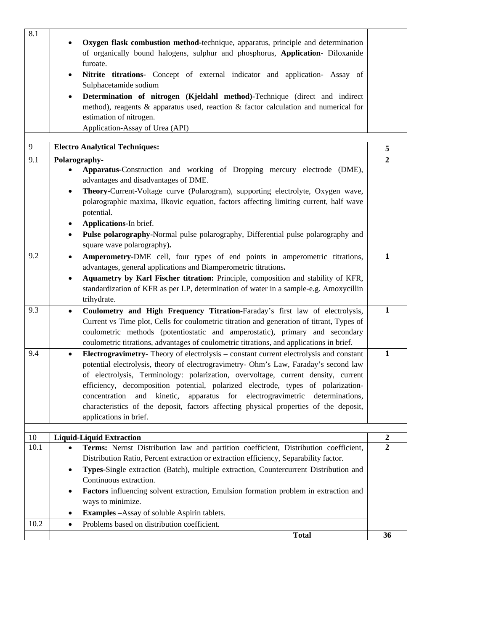| 8.1  | Oxygen flask combustion method-technique, apparatus, principle and determination<br>of organically bound halogens, sulphur and phosphorus, Application- Diloxanide<br>furoate.<br>Nitrite titrations- Concept of external indicator and application- Assay of<br>$\bullet$<br>Sulphacetamide sodium<br>Determination of nitrogen (Kjeldahl method)-Technique (direct and indirect<br>٠<br>method), reagents $\&$ apparatus used, reaction $\&$ factor calculation and numerical for<br>estimation of nitrogen.<br>Application-Assay of Urea (API)                             |                                    |
|------|-------------------------------------------------------------------------------------------------------------------------------------------------------------------------------------------------------------------------------------------------------------------------------------------------------------------------------------------------------------------------------------------------------------------------------------------------------------------------------------------------------------------------------------------------------------------------------|------------------------------------|
| 9    | <b>Electro Analytical Techniques:</b>                                                                                                                                                                                                                                                                                                                                                                                                                                                                                                                                         | 5                                  |
| 9.1  | Polarography-                                                                                                                                                                                                                                                                                                                                                                                                                                                                                                                                                                 | $\overline{2}$                     |
|      | Apparatus-Construction and working of Dropping mercury electrode (DME),<br>advantages and disadvantages of DME.                                                                                                                                                                                                                                                                                                                                                                                                                                                               |                                    |
|      | Theory-Current-Voltage curve (Polarogram), supporting electrolyte, Oxygen wave,<br>$\bullet$<br>polarographic maxima, Ilkovic equation, factors affecting limiting current, half wave<br>potential.<br>Applications-In brief.<br>٠                                                                                                                                                                                                                                                                                                                                            |                                    |
|      | Pulse polarography-Normal pulse polarography, Differential pulse polarography and<br>٠<br>square wave polarography).                                                                                                                                                                                                                                                                                                                                                                                                                                                          |                                    |
| 9.2  | Amperometry-DME cell, four types of end points in amperometric titrations,<br>$\bullet$<br>advantages, general applications and Biamperometric titrations.<br>Aquametry by Karl Fischer titration: Principle, composition and stability of KFR,<br>standardization of KFR as per I.P, determination of water in a sample-e.g. Amoxycillin<br>trihydrate.                                                                                                                                                                                                                      | $\mathbf{1}$                       |
| 9.3  | Coulometry and High Frequency Titration-Faraday's first law of electrolysis,<br>$\bullet$<br>Current vs Time plot, Cells for coulometric titration and generation of titrant, Types of<br>coulometric methods (potentiostatic and amperostatic), primary and secondary<br>coulometric titrations, advantages of coulometric titrations, and applications in brief.                                                                                                                                                                                                            | $\mathbf{1}$                       |
| 9.4  | <b>Electrogravimetry-</b> Theory of electrolysis – constant current electrolysis and constant<br>$\bullet$<br>potential electrolysis, theory of electrogravimetry- Ohm's Law, Faraday's second law<br>of electrolysis, Terminology: polarization, overvoltage, current density, current<br>efficiency, decomposition potential, polarized electrode, types of polarization-<br>concentration and kinetic, apparatus for electrogravimetric determinations,<br>characteristics of the deposit, factors affecting physical properties of the deposit,<br>applications in brief. | $\mathbf{1}$                       |
| 10   | <b>Liquid-Liquid Extraction</b>                                                                                                                                                                                                                                                                                                                                                                                                                                                                                                                                               |                                    |
| 10.1 | Terms: Nernst Distribution law and partition coefficient, Distribution coefficient,                                                                                                                                                                                                                                                                                                                                                                                                                                                                                           | $\boldsymbol{2}$<br>$\overline{2}$ |
|      | Distribution Ratio, Percent extraction or extraction efficiency, Separability factor.<br>Types-Single extraction (Batch), multiple extraction, Countercurrent Distribution and<br>٠<br>Continuous extraction.<br>Factors influencing solvent extraction, Emulsion formation problem in extraction and<br>٠                                                                                                                                                                                                                                                                    |                                    |
|      | ways to minimize.                                                                                                                                                                                                                                                                                                                                                                                                                                                                                                                                                             |                                    |
|      | <b>Examples</b> - Assay of soluble Aspirin tablets.                                                                                                                                                                                                                                                                                                                                                                                                                                                                                                                           |                                    |
| 10.2 | Problems based on distribution coefficient.<br>$\bullet$                                                                                                                                                                                                                                                                                                                                                                                                                                                                                                                      |                                    |
|      | <b>Total</b>                                                                                                                                                                                                                                                                                                                                                                                                                                                                                                                                                                  | 36                                 |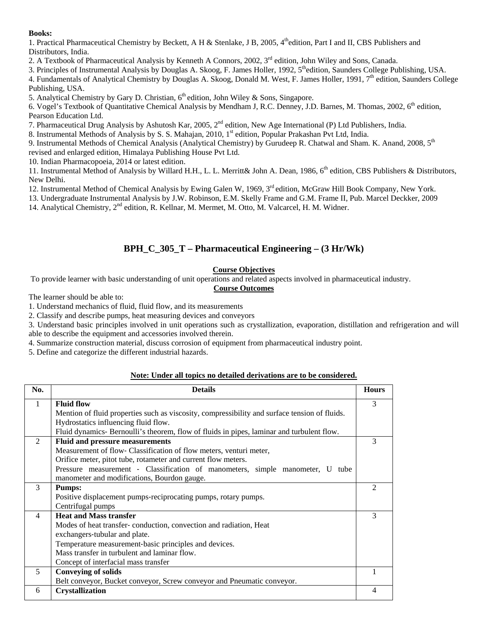1. Practical Pharmaceutical Chemistry by Beckett, A H & Stenlake, J B, 2005,  $4^{\text{th}}$ edition, Part I and II, CBS Publishers and Distributors, India.

2. A Textbook of Pharmaceutical Analysis by Kenneth A Connors, 2002, 3<sup>rd</sup> edition, John Wiley and Sons, Canada.

3. Principles of Instrumental Analysis by Douglas A. Skoog, F. James Holler, 1992,  $5<sup>th</sup>$ edition, Saunders College Publishing, USA.

4. Fundamentals of Analytical Chemistry by Douglas A. Skoog, Donald M. West, F. James Holler, 1991, 7<sup>th</sup> edition, Saunders College Publishing, USA.

5. Analytical Chemistry by Gary D. Christian,  $6<sup>th</sup>$  edition, John Wiley & Sons, Singapore.

6. Vogel's Textbook of Quantitative Chemical Analysis by Mendham J, R.C. Denney, J.D. Barnes, M. Thomas, 2002, 6<sup>th</sup> edition, Pearson Education Ltd.

7. Pharmaceutical Drug Analysis by Ashutosh Kar, 2005, 2<sup>nd</sup> edition, New Age International (P) Ltd Publishers, India.

8. Instrumental Methods of Analysis by S. S. Mahajan, 2010, 1<sup>st</sup> edition, Popular Prakashan Pvt Ltd, India.

9. Instrumental Methods of Chemical Analysis (Analytical Chemistry) by Gurudeep R. Chatwal and Sham. K. Anand, 2008, 5<sup>th</sup> revised and enlarged edition, Himalaya Publishing House Pvt Ltd.

10. Indian Pharmacopoeia, 2014 or latest edition.

11. Instrumental Method of Analysis by Willard H.H., L. L. Merritt& John A. Dean, 1986,  $6<sup>th</sup>$  edition, CBS Publishers & Distributors, New Delhi.

12. Instrumental Method of Chemical Analysis by Ewing Galen W, 1969, 3<sup>rd</sup> edition, McGraw Hill Book Company, New York.

13. Undergraduate Instrumental Analysis by J.W. Robinson, E.M. Skelly Frame and G.M. Frame II, Pub. Marcel Deckker, 2009

14. Analytical Chemistry, 2<sup>nd</sup> edition, R. Kellnar, M. Mermet, M. Otto, M. Valcarcel, H. M. Widner.

### **BPH\_C\_305\_T – Pharmaceutical Engineering – (3 Hr/Wk)**

### **Course Objectives**

To provide learner with basic understanding of unit operations and related aspects involved in pharmaceutical industry.

#### **Course Outcomes**

The learner should be able to:

1. Understand mechanics of fluid, fluid flow, and its measurements

2. Classify and describe pumps, heat measuring devices and conveyors

3. Understand basic principles involved in unit operations such as crystallization, evaporation, distillation and refrigeration and will able to describe the equipment and accessories involved therein.

4. Summarize construction material, discuss corrosion of equipment from pharmaceutical industry point.

5. Define and categorize the different industrial hazards.

#### **Note: Under all topics no detailed derivations are to be considered.**

| No.            | <b>Details</b>                                                                                | <b>Hours</b> |
|----------------|-----------------------------------------------------------------------------------------------|--------------|
| 1              | <b>Fluid flow</b>                                                                             | 3            |
|                | Mention of fluid properties such as viscosity, compressibility and surface tension of fluids. |              |
|                | Hydrostatics influencing fluid flow.                                                          |              |
|                | Fluid dynamics Bernoulli's theorem, flow of fluids in pipes, laminar and turbulent flow.      |              |
| 2              | <b>Fluid and pressure measurements</b>                                                        | 3            |
|                | Measurement of flow-Classification of flow meters, venturi meter,                             |              |
|                | Orifice meter, pitot tube, rotameter and current flow meters.                                 |              |
|                | Pressure measurement - Classification of manometers, simple manometer, U tube                 |              |
|                | manometer and modifications, Bourdon gauge.                                                   |              |
| 3              | <b>Pumps:</b>                                                                                 |              |
|                | Positive displacement pumps-reciprocating pumps, rotary pumps.                                |              |
|                | Centrifugal pumps                                                                             |              |
| $\overline{4}$ | <b>Heat and Mass transfer</b>                                                                 | 3            |
|                | Modes of heat transfer-conduction, convection and radiation, Heat                             |              |
|                | exchangers-tubular and plate.                                                                 |              |
|                | Temperature measurement-basic principles and devices.                                         |              |
|                | Mass transfer in turbulent and laminar flow.                                                  |              |
|                | Concept of interfacial mass transfer                                                          |              |
| 5              | <b>Conveying of solids</b>                                                                    |              |
|                | Belt conveyor, Bucket conveyor, Screw conveyor and Pneumatic conveyor.                        |              |
| 6              | <b>Crystallization</b>                                                                        |              |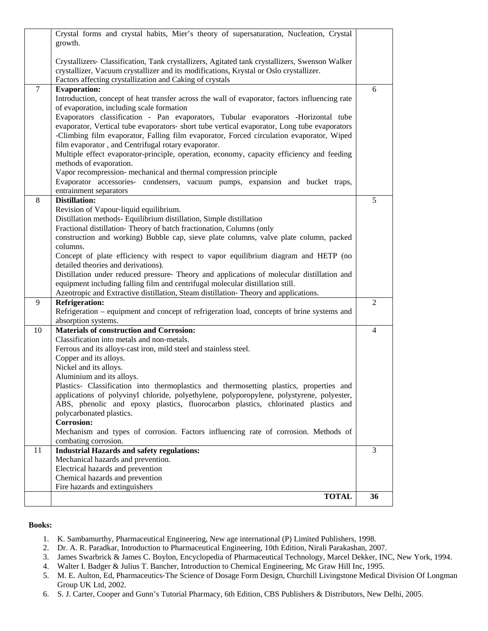|    | Crystal forms and crystal habits, Mier's theory of supersaturation, Nucleation, Crystal<br>growth.                                                                                       |                |
|----|------------------------------------------------------------------------------------------------------------------------------------------------------------------------------------------|----------------|
|    |                                                                                                                                                                                          |                |
|    | Crystallizers- Classification, Tank crystallizers, Agitated tank crystallizers, Swenson Walker                                                                                           |                |
|    | crystallizer, Vacuum crystallizer and its modifications, Krystal or Oslo crystallizer.<br>Factors affecting crystallization and Caking of crystals                                       |                |
| 7  | <b>Evaporation:</b>                                                                                                                                                                      | 6              |
|    | Introduction, concept of heat transfer across the wall of evaporator, factors influencing rate                                                                                           |                |
|    | of evaporation, including scale formation                                                                                                                                                |                |
|    | Evaporators classification - Pan evaporators, Tubular evaporators -Horizontal tube                                                                                                       |                |
|    | evaporator, Vertical tube evaporators- short tube vertical evaporator, Long tube evaporators<br>-Climbing film evaporator, Falling film evaporator, Forced circulation evaporator, Wiped |                |
|    | film evaporator, and Centrifugal rotary evaporator.                                                                                                                                      |                |
|    | Multiple effect evaporator-principle, operation, economy, capacity efficiency and feeding                                                                                                |                |
|    | methods of evaporation.                                                                                                                                                                  |                |
|    | Vapor recompression- mechanical and thermal compression principle                                                                                                                        |                |
|    | Evaporator accessories- condensers, vacuum pumps, expansion and bucket traps,                                                                                                            |                |
|    | entrainment separators                                                                                                                                                                   |                |
| 8  | <b>Distillation:</b>                                                                                                                                                                     | 5              |
|    | Revision of Vapour-liquid equilibrium.<br>Distillation methods- Equilibrium distillation, Simple distillation                                                                            |                |
|    | Fractional distillation-Theory of batch fractionation, Columns (only                                                                                                                     |                |
|    | construction and working) Bubble cap, sieve plate columns, valve plate column, packed                                                                                                    |                |
|    | columns.                                                                                                                                                                                 |                |
|    | Concept of plate efficiency with respect to vapor equilibrium diagram and HETP (no                                                                                                       |                |
|    | detailed theories and derivations).                                                                                                                                                      |                |
|    | Distillation under reduced pressure- Theory and applications of molecular distillation and                                                                                               |                |
|    | equipment including falling film and centrifugal molecular distillation still.                                                                                                           |                |
| 9  | Azeotropic and Extractive distillation, Steam distillation-Theory and applications.<br><b>Refrigeration:</b>                                                                             | $\overline{2}$ |
|    | Refrigeration – equipment and concept of refrigeration load, concepts of brine systems and                                                                                               |                |
|    | absorption systems.                                                                                                                                                                      |                |
| 10 | <b>Materials of construction and Corrosion:</b>                                                                                                                                          | 4              |
|    | Classification into metals and non-metals.                                                                                                                                               |                |
|    | Ferrous and its alloys-cast iron, mild steel and stainless steel.<br>Copper and its alloys.                                                                                              |                |
|    | Nickel and its alloys.                                                                                                                                                                   |                |
|    | Aluminium and its alloys.                                                                                                                                                                |                |
|    | Plastics- Classification into thermoplastics and thermosetting plastics, properties and                                                                                                  |                |
|    | applications of polyvinyl chloride, polyethylene, polyporopylene, polystyrene, polyester,                                                                                                |                |
|    | ABS, phenolic and epoxy plastics, fluorocarbon plastics, chlorinated plastics and                                                                                                        |                |
|    | polycarbonated plastics.                                                                                                                                                                 |                |
|    | Corrosion:                                                                                                                                                                               |                |
|    | Mechanism and types of corrosion. Factors influencing rate of corrosion. Methods of<br>combating corrosion.                                                                              |                |
| 11 | <b>Industrial Hazards and safety regulations:</b>                                                                                                                                        | 3              |
|    | Mechanical hazards and prevention.                                                                                                                                                       |                |
|    | Electrical hazards and prevention                                                                                                                                                        |                |
|    | Chemical hazards and prevention                                                                                                                                                          |                |
|    | Fire hazards and extinguishers                                                                                                                                                           |                |
|    | <b>TOTAL</b>                                                                                                                                                                             | 36             |
|    |                                                                                                                                                                                          |                |

- 1. K. Sambamurthy, Pharmaceutical Engineering, New age international (P) Limited Publishers, 1998.
- 2. Dr. A. R. Paradkar, Introduction to Pharmaceutical Engineering, 10th Edition, Nirali Parakashan, 2007.
- 3. James Swarbrick & James C. Boylon, Encyclopedia of Pharmaceutical Technology, Marcel Dekker, INC, New York, 1994.
- 4. Walter I. Badger & Julius T. Bancher, Introduction to Chemical Engineering, Mc Graw Hill Inc, 1995.
- 5. M. E. Aulton, Ed, Pharmaceutics‐The Science of Dosage Form Design, Churchill Livingstone Medical Division Of Longman Group UK Ltd, 2002.
- 6. S. J. Carter, Cooper and Gunn's Tutorial Pharmacy, 6th Edition, CBS Publishers & Distributors, New Delhi, 2005.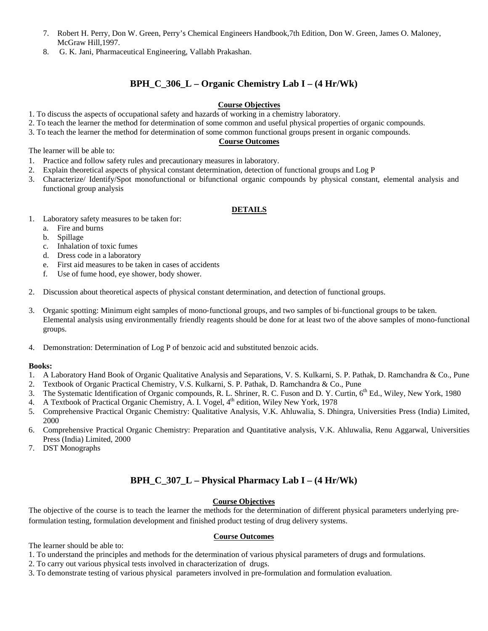- 7. Robert H. Perry, Don W. Green, Perry's Chemical Engineers Handbook,7th Edition, Don W. Green, James O. Maloney, McGraw Hill,1997.
- 8. G. K. Jani, Pharmaceutical Engineering, Vallabh Prakashan.

### **BPH\_C\_306\_L – Organic Chemistry Lab I – (4 Hr/Wk)**

#### **Course Objectives**

- 1. To discuss the aspects of occupational safety and hazards of working in a chemistry laboratory.
- 2. To teach the learner the method for determination of some common and useful physical properties of organic compounds.
- 3. To teach the learner the method for determination of some common functional groups present in organic compounds.

#### **Course Outcomes**

The learner will be able to:

- 1. Practice and follow safety rules and precautionary measures in laboratory.
- 2. Explain theoretical aspects of physical constant determination, detection of functional groups and Log P
- 3. Characterize/ Identify/Spot monofunctional or bifunctional organic compounds by physical constant, elemental analysis and functional group analysis

#### **DETAILS**

- 1. Laboratory safety measures to be taken for:
	- a. Fire and burns
	- b. Spillage
	- c. Inhalation of toxic fumes
	- d. Dress code in a laboratory
	- e. First aid measures to be taken in cases of accidents
	- f. Use of fume hood, eye shower, body shower.
- 2. Discussion about theoretical aspects of physical constant determination, and detection of functional groups.
- 3. Organic spotting: Minimum eight samples of mono-functional groups, and two samples of bi-functional groups to be taken. Elemental analysis using environmentally friendly reagents should be done for at least two of the above samples of mono-functional groups.
- 4. Demonstration: Determination of Log P of benzoic acid and substituted benzoic acids.

#### **Books:**

- 1. A Laboratory Hand Book of Organic Qualitative Analysis and Separations, V. S. Kulkarni, S. P. Pathak, D. Ramchandra & Co., Pune
- 2. Textbook of Organic Practical Chemistry, V.S. Kulkarni, S. P. Pathak, D. Ramchandra & Co., Pune
- 3. The Systematic Identification of Organic compounds, R. L. Shriner, R. C. Fuson and D. Y. Curtin, 6th Ed., Wiley, New York, 1980
- 4. A Textbook of Practical Organic Chemistry, A. I. Vogel, 4<sup>th</sup> edition, Wiley New York, 1978
- 5. Comprehensive Practical Organic Chemistry: Qualitative Analysis, V.K. Ahluwalia, S. Dhingra, Universities Press (India) Limited, 2000
- 6. Comprehensive Practical Organic Chemistry: Preparation and Quantitative analysis, V.K. Ahluwalia, Renu Aggarwal, Universities Press (India) Limited, 2000
- 7. DST Monographs

### **BPH\_C\_307\_L – Physical Pharmacy Lab I – (4 Hr/Wk)**

#### **Course Objectives**

The objective of the course is to teach the learner the methods for the determination of different physical parameters underlying preformulation testing, formulation development and finished product testing of drug delivery systems.

#### **Course Outcomes**

The learner should be able to:

- 1. To understand the principles and methods for the determination of various physical parameters of drugs and formulations.
- 2. To carry out various physical tests involved in characterization of drugs.
- 3. To demonstrate testing of various physical parameters involved in pre-formulation and formulation evaluation.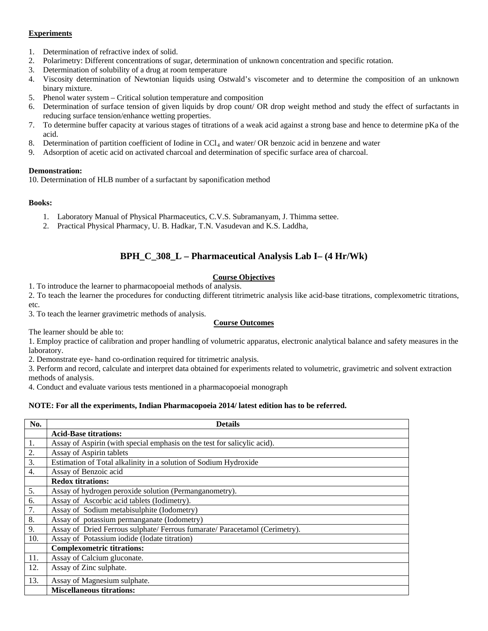#### **Experiments**

- 1. Determination of refractive index of solid.
- 2. Polarimetry: Different concentrations of sugar, determination of unknown concentration and specific rotation.
- 3. Determination of solubility of a drug at room temperature
- 4. Viscosity determination of Newtonian liquids using Ostwald's viscometer and to determine the composition of an unknown binary mixture.
- 5. Phenol water system Critical solution temperature and composition
- 6. Determination of surface tension of given liquids by drop count/ OR drop weight method and study the effect of surfactants in reducing surface tension/enhance wetting properties.
- 7. To determine buffer capacity at various stages of titrations of a weak acid against a strong base and hence to determine pKa of the acid.
- 8. Determination of partition coefficient of Iodine in CCl<sub>4</sub> and water/ OR benzoic acid in benzene and water
- 9. Adsorption of acetic acid on activated charcoal and determination of specific surface area of charcoal.

#### **Demonstration:**

10. Determination of HLB number of a surfactant by saponification method

#### **Books:**

- 1. Laboratory Manual of Physical Pharmaceutics, C.V.S. Subramanyam, J. Thimma settee.
- 2. Practical Physical Pharmacy, U. B. Hadkar, T.N. Vasudevan and K.S. Laddha,

### **BPH\_C\_308\_L – Pharmaceutical Analysis Lab I– (4 Hr/Wk)**

#### **Course Objectives**

1. To introduce the learner to pharmacopoeial methods of analysis.

2. To teach the learner the procedures for conducting different titrimetric analysis like acid-base titrations, complexometric titrations, etc.

3. To teach the learner gravimetric methods of analysis.

#### **Course Outcomes**

The learner should be able to:

1. Employ practice of calibration and proper handling of volumetric apparatus, electronic analytical balance and safety measures in the laboratory.

2. Demonstrate eye- hand co-ordination required for titrimetric analysis.

3. Perform and record, calculate and interpret data obtained for experiments related to volumetric, gravimetric and solvent extraction methods of analysis.

4. Conduct and evaluate various tests mentioned in a pharmacopoeial monograph

#### **NOTE: For all the experiments, Indian Pharmacopoeia 2014/ latest edition has to be referred.**

| No.              | <b>Details</b>                                                              |
|------------------|-----------------------------------------------------------------------------|
|                  | <b>Acid-Base titrations:</b>                                                |
| 1.               | Assay of Aspirin (with special emphasis on the test for salicylic acid).    |
| 2.               | Assay of Aspirin tablets                                                    |
| $\overline{3}$ . | Estimation of Total alkalinity in a solution of Sodium Hydroxide            |
| $\overline{4}$ . | Assay of Benzoic acid                                                       |
|                  | <b>Redox titrations:</b>                                                    |
| 5.               | Assay of hydrogen peroxide solution (Permanganometry).                      |
| 6.               | Assay of Ascorbic acid tablets (Iodimetry).                                 |
| $\overline{7}$ . | Assay of Sodium metabisulphite (Iodometry)                                  |
| 8.               | Assay of potassium permanganate (Iodometry)                                 |
| 9.               | Assay of Dried Ferrous sulphate/ Ferrous fumarate/ Paracetamol (Cerimetry). |
| 10.              | Assay of Potassium iodide (Iodate titration)                                |
|                  | <b>Complexometric titrations:</b>                                           |
| 11.              | Assay of Calcium gluconate.                                                 |
| 12.              | Assay of Zinc sulphate.                                                     |
| 13.              | Assay of Magnesium sulphate.                                                |
|                  | <b>Miscellaneous titrations:</b>                                            |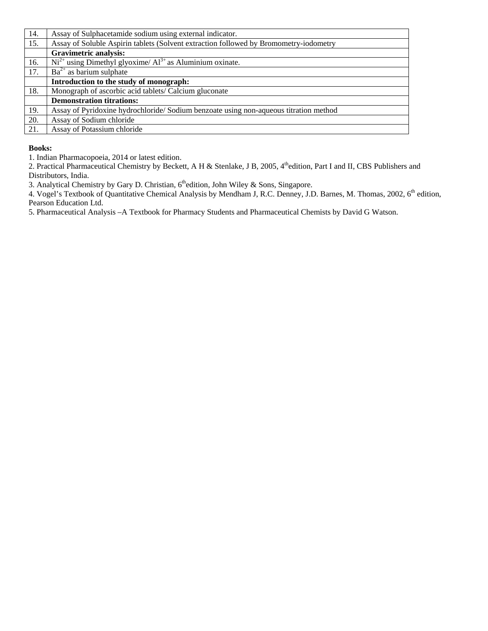| 14. | Assay of Sulphacetamide sodium using external indicator.                              |
|-----|---------------------------------------------------------------------------------------|
| 15. | Assay of Soluble Aspirin tablets (Solvent extraction followed by Bromometry-iodometry |
|     | <b>Gravimetric analysis:</b>                                                          |
| 16. | $Ni2+$ using Dimethyl glyoxime/Al <sup>3+</sup> as Aluminium oxinate.                 |
| 17. | $Ba^{2+}$ as barium sulphate                                                          |
|     | Introduction to the study of monograph:                                               |
| 18. | Monograph of ascorbic acid tablets/ Calcium gluconate                                 |
|     | <b>Demonstration titrations:</b>                                                      |
| 19. | Assay of Pyridoxine hydrochloride/Sodium benzoate using non-aqueous titration method  |
| 20. | Assay of Sodium chloride                                                              |
| 21. | Assay of Potassium chloride                                                           |

1. Indian Pharmacopoeia, 2014 or latest edition.

2. Practical Pharmaceutical Chemistry by Beckett, A H & Stenlake, J B, 2005, 4<sup>th</sup>edition, Part I and II, CBS Publishers and Distributors, India.

3. Analytical Chemistry by Gary D. Christian, 6<sup>th</sup>edition, John Wiley & Sons, Singapore.

4. Vogel's Textbook of Quantitative Chemical Analysis by Mendham J, R.C. Denney, J.D. Barnes, M. Thomas, 2002, 6<sup>th</sup> edition, Pearson Education Ltd.

5. Pharmaceutical Analysis –A Textbook for Pharmacy Students and Pharmaceutical Chemists by David G Watson.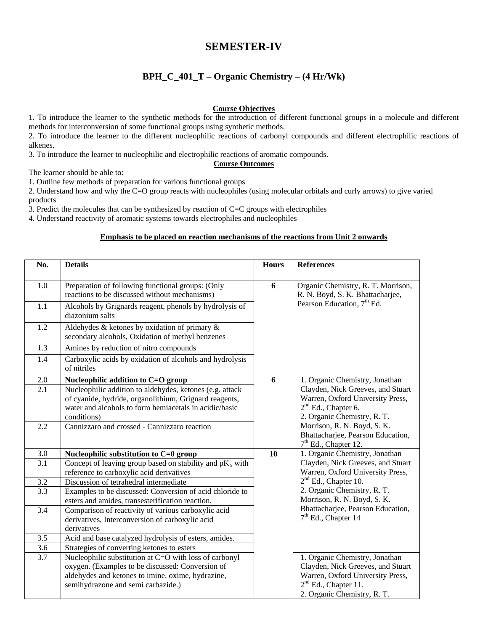### **SEMESTER-IV**

### **BPH\_C\_401\_T – Organic Chemistry – (4 Hr/Wk)**

#### **Course Objectives**

1. To introduce the learner to the synthetic methods for the introduction of different functional groups in a molecule and different methods for interconversion of some functional groups using synthetic methods.

2. To introduce the learner to the different nucleophilic reactions of carbonyl compounds and different electrophilic reactions of alkenes.

3. To introduce the learner to nucleophilic and electrophilic reactions of aromatic compounds.

#### **Course Outcomes**

The learner should be able to:

1. Outline few methods of preparation for various functional groups

2. Understand how and why the C=O group reacts with nucleophiles (using molecular orbitals and curly arrows) to give varied products

3. Predict the molecules that can be synthesized by reaction of C=C groups with electrophiles

4. Understand reactivity of aromatic systems towards electrophiles and nucleophiles

#### **Emphasis to be placed on reaction mechanisms of the reactions from Unit 2 onwards**

| No.              | <b>Details</b>                                                                                       | <b>Hours</b> | <b>References</b>                                                      |
|------------------|------------------------------------------------------------------------------------------------------|--------------|------------------------------------------------------------------------|
| 1.0              | Preparation of following functional groups: (Only<br>reactions to be discussed without mechanisms)   | 6            | Organic Chemistry, R. T. Morrison,<br>R. N. Boyd, S. K. Bhattacharjee, |
| 1.1              | Alcohols by Grignards reagent, phenols by hydrolysis of<br>diazonium salts                           |              | Pearson Education, 7 <sup>th</sup> Ed.                                 |
| 1.2              | Aldehydes & ketones by oxidation of primary $\&$<br>secondary alcohols, Oxidation of methyl benzenes |              |                                                                        |
| 1.3              | Amines by reduction of nitro compounds                                                               |              |                                                                        |
| 1.4              | Carboxylic acids by oxidation of alcohols and hydrolysis<br>of nitriles                              |              |                                                                        |
| 2.0              | Nucleophilic addition to C=O group                                                                   | 6            | 1. Organic Chemistry, Jonathan                                         |
| 2.1              | Nucleophilic addition to aldehydes, ketones (e.g. attack                                             |              | Clayden, Nick Greeves, and Stuart                                      |
|                  | of cyanide, hydride, organolithium, Grignard reagents,                                               |              | Warren, Oxford University Press,                                       |
|                  | water and alcohols to form hemiacetals in acidic/basic                                               |              | 2 <sup>nd</sup> Ed., Chapter 6.<br>2. Organic Chemistry, R. T.         |
| 2.2              | conditions)<br>Cannizzaro and crossed - Cannizzaro reaction                                          |              | Morrison, R. N. Boyd, S. K.                                            |
|                  |                                                                                                      |              | Bhattacharjee, Pearson Education,                                      |
|                  |                                                                                                      |              | $7th$ Ed., Chapter 12.                                                 |
| 3.0              | Nucleophilic substitution to C=0 group                                                               | 10           | 1. Organic Chemistry, Jonathan                                         |
| 3.1              | Concept of leaving group based on stability and $pK_a$ with                                          |              | Clayden, Nick Greeves, and Stuart                                      |
|                  | reference to carboxylic acid derivatives                                                             |              | Warren, Oxford University Press,                                       |
| 3.2              | Discussion of tetrahedral intermediate                                                               |              | $2nd$ Ed., Chapter 10.                                                 |
| 3.3              | Examples to be discussed: Conversion of acid chloride to                                             |              | 2. Organic Chemistry, R. T.                                            |
|                  | esters and amides, transesterification reaction.                                                     |              | Morrison, R. N. Boyd, S. K.<br>Bhattacharjee, Pearson Education,       |
| 3.4              | Comparison of reactivity of various carboxylic acid                                                  |              | $7th$ Ed., Chapter 14                                                  |
|                  | derivatives, Interconversion of carboxylic acid<br>derivatives                                       |              |                                                                        |
| 3.5              | Acid and base catalyzed hydrolysis of esters, amides.                                                |              |                                                                        |
| $\overline{3.6}$ | Strategies of converting ketones to esters                                                           |              |                                                                        |
| 3.7              | Nucleophilic substitution at C=O with loss of carbonyl                                               |              | 1. Organic Chemistry, Jonathan                                         |
|                  | oxygen. (Examples to be discussed: Conversion of                                                     |              | Clayden, Nick Greeves, and Stuart                                      |
|                  | aldehydes and ketones to imine, oxime, hydrazine,                                                    |              | Warren, Oxford University Press,                                       |
|                  | semihydrazone and semi carbazide.)                                                                   |              | 2 <sup>nd</sup> Ed., Chapter 11.                                       |
|                  |                                                                                                      |              | 2. Organic Chemistry, R. T.                                            |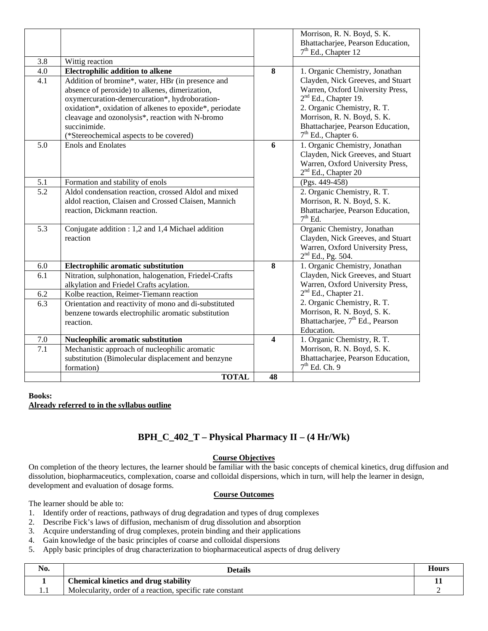|                  |                                                                                                                                                                                                                                                                                                                               |                | Morrison, R. N. Boyd, S. K.<br>Bhattacharjee, Pearson Education,<br>$7th$ Ed., Chapter 12                                                                                                                                             |
|------------------|-------------------------------------------------------------------------------------------------------------------------------------------------------------------------------------------------------------------------------------------------------------------------------------------------------------------------------|----------------|---------------------------------------------------------------------------------------------------------------------------------------------------------------------------------------------------------------------------------------|
| 3.8              | Wittig reaction                                                                                                                                                                                                                                                                                                               |                |                                                                                                                                                                                                                                       |
| 4.0              | <b>Electrophilic addition to alkene</b>                                                                                                                                                                                                                                                                                       | 8              | 1. Organic Chemistry, Jonathan                                                                                                                                                                                                        |
| 4.1              | Addition of bromine*, water, HBr (in presence and<br>absence of peroxide) to alkenes, dimerization,<br>oxymercuration-demercuration*, hydroboration-<br>oxidation*, oxidation of alkenes to epoxide*, periodate<br>cleavage and ozonolysis*, reaction with N-bromo<br>succinimide.<br>(*Stereochemical aspects to be covered) |                | Clayden, Nick Greeves, and Stuart<br>Warren, Oxford University Press,<br>$2nd$ Ed., Chapter 19.<br>2. Organic Chemistry, R. T.<br>Morrison, R. N. Boyd, S. K.<br>Bhattacharjee, Pearson Education,<br>7 <sup>th</sup> Ed., Chapter 6. |
| 5.0              | <b>Enols</b> and Enolates                                                                                                                                                                                                                                                                                                     | $\overline{6}$ | 1. Organic Chemistry, Jonathan<br>Clayden, Nick Greeves, and Stuart<br>Warren, Oxford University Press,<br>$2nd$ Ed., Chapter 20                                                                                                      |
| 5.1              | Formation and stability of enols                                                                                                                                                                                                                                                                                              |                | (Pgs. 449-458)                                                                                                                                                                                                                        |
| $\overline{5.2}$ | Aldol condensation reaction, crossed Aldol and mixed<br>aldol reaction, Claisen and Crossed Claisen, Mannich<br>reaction, Dickmann reaction.                                                                                                                                                                                  |                | 2. Organic Chemistry, R. T.<br>Morrison, R. N. Boyd, S. K.<br>Bhattacharjee, Pearson Education,<br>$7^{\rm th}$ Ed.                                                                                                                   |
| 5.3              | Conjugate addition : 1,2 and 1,4 Michael addition<br>reaction                                                                                                                                                                                                                                                                 |                | Organic Chemistry, Jonathan<br>Clayden, Nick Greeves, and Stuart<br>Warren, Oxford University Press,<br>$2nd$ Ed., Pg. 504.                                                                                                           |
| 6.0              | Electrophilic aromatic substitution                                                                                                                                                                                                                                                                                           | 8              | 1. Organic Chemistry, Jonathan                                                                                                                                                                                                        |
| 6.1              | Nitration, sulphonation, halogenation, Friedel-Crafts<br>alkylation and Friedel Crafts acylation.                                                                                                                                                                                                                             |                | Clayden, Nick Greeves, and Stuart<br>Warren, Oxford University Press,                                                                                                                                                                 |
| 6.2              | Kolbe reaction, Reimer-Tiemann reaction                                                                                                                                                                                                                                                                                       |                | 2 <sup>nd</sup> Ed., Chapter 21.                                                                                                                                                                                                      |
| 6.3              | Orientation and reactivity of mono and di-substituted<br>benzene towards electrophilic aromatic substitution<br>reaction.                                                                                                                                                                                                     |                | 2. Organic Chemistry, R. T.<br>Morrison, R. N. Boyd, S. K.<br>Bhattacharjee, 7 <sup>th</sup> Ed., Pearson<br>Education.                                                                                                               |
| 7.0              | Nucleophilic aromatic substitution                                                                                                                                                                                                                                                                                            | 4              | 1. Organic Chemistry, R. T.                                                                                                                                                                                                           |
| $\overline{7.1}$ | Mechanistic approach of nucleophilic aromatic<br>substitution (Bimolecular displacement and benzyne<br>formation)                                                                                                                                                                                                             |                | Morrison, R. N. Boyd, S. K.<br>Bhattacharjee, Pearson Education,<br>$7th$ Ed. Ch. 9                                                                                                                                                   |
|                  | <b>TOTAL</b>                                                                                                                                                                                                                                                                                                                  | 48             |                                                                                                                                                                                                                                       |

#### **Books: Already referred to in the syllabus outline**

### **BPH\_C\_402\_T – Physical Pharmacy II – (4 Hr/Wk)**

#### **Course Objectives**

On completion of the theory lectures, the learner should be familiar with the basic concepts of chemical kinetics, drug diffusion and dissolution, biopharmaceutics, complexation, coarse and colloidal dispersions, which in turn, will help the learner in design, development and evaluation of dosage forms.

#### **Course Outcomes**

The learner should be able to:

- 1. Identify order of reactions, pathways of drug degradation and types of drug complexes
- 2. Describe Fick's laws of diffusion, mechanism of drug dissolution and absorption
- 3. Acquire understanding of drug complexes, protein binding and their applications
- 4. Gain knowledge of the basic principles of coarse and colloidal dispersions
- 5. Apply basic principles of drug characterization to biopharmaceutical aspects of drug delivery

| $\bullet$ $\bullet$<br>NU. | Details                                                   | Hours |
|----------------------------|-----------------------------------------------------------|-------|
|                            | <b>Chemical kinetics and drug stability</b>               |       |
| .                          | Molecularity, order of a reaction, specific rate constant |       |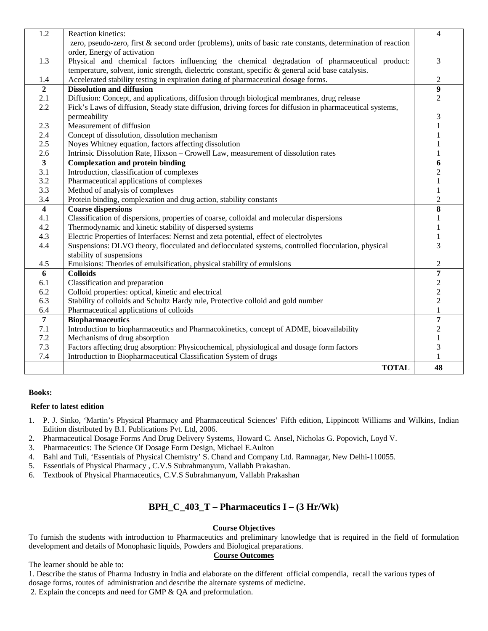| $\overline{1.2}$               | Reaction kinetics:                                                                                           | $\overline{\mathcal{L}}$ |
|--------------------------------|--------------------------------------------------------------------------------------------------------------|--------------------------|
|                                | zero, pseudo-zero, first & second order (problems), units of basic rate constants, determination of reaction |                          |
|                                | order, Energy of activation                                                                                  |                          |
| 1.3                            | Physical and chemical factors influencing the chemical degradation of pharmaceutical product:                | 3                        |
|                                | temperature, solvent, ionic strength, dielectric constant, specific & general acid base catalysis.           |                          |
| 1.4                            | Accelerated stability testing in expiration dating of pharmaceutical dosage forms.                           | $\overline{2}$           |
| $\overline{2}$                 | <b>Dissolution and diffusion</b>                                                                             | 9                        |
| 2.1                            | Diffusion: Concept, and applications, diffusion through biological membranes, drug release                   | 2                        |
| 2.2                            | Fick's Laws of diffusion, Steady state diffusion, driving forces for diffusion in pharmaceutical systems,    |                          |
| 2.3                            | permeability<br>Measurement of diffusion                                                                     | 3                        |
|                                |                                                                                                              |                          |
| 2.4<br>2.5                     | Concept of dissolution, dissolution mechanism                                                                |                          |
|                                | Noyes Whitney equation, factors affecting dissolution                                                        |                          |
| 2.6<br>$\overline{\mathbf{3}}$ | Intrinsic Dissolution Rate, Hixson - Crowell Law, measurement of dissolution rates                           | 1                        |
| 3.1                            | <b>Complexation and protein binding</b><br>Introduction, classification of complexes                         | 6                        |
| 3.2                            |                                                                                                              | 2                        |
| 3.3                            | Pharmaceutical applications of complexes<br>Method of analysis of complexes                                  |                          |
| 3.4                            | Protein binding, complexation and drug action, stability constants                                           | 1<br>$\overline{2}$      |
| $\overline{\mathbf{4}}$        | <b>Coarse dispersions</b>                                                                                    | 8                        |
| 4.1                            | Classification of dispersions, properties of coarse, colloidal and molecular dispersions                     |                          |
| 4.2                            | Thermodynamic and kinetic stability of dispersed systems                                                     |                          |
| 4.3                            | Electric Properties of Interfaces: Nernst and zeta potential, effect of electrolytes                         |                          |
| 4.4                            | Suspensions: DLVO theory, flocculated and deflocculated systems, controlled flocculation, physical           | 3                        |
|                                | stability of suspensions                                                                                     |                          |
| 4.5                            | Emulsions: Theories of emulsification, physical stability of emulsions                                       | $\overline{c}$           |
| 6                              | <b>Colloids</b>                                                                                              | 7                        |
| 6.1                            | Classification and preparation                                                                               | $\boldsymbol{2}$         |
| 6.2                            | Colloid properties: optical, kinetic and electrical                                                          | $\overline{c}$           |
| 6.3                            | Stability of colloids and Schultz Hardy rule, Protective colloid and gold number                             | $\boldsymbol{2}$         |
| 6.4                            | Pharmaceutical applications of colloids                                                                      | $\mathbf{1}$             |
| $\overline{7}$                 | <b>Biopharmaceutics</b>                                                                                      | 7                        |
| 7.1                            | Introduction to biopharmaceutics and Pharmacokinetics, concept of ADME, bioavailability                      | 2                        |
| 7.2                            | Mechanisms of drug absorption                                                                                |                          |
| 7.3                            | Factors affecting drug absorption: Physicochemical, physiological and dosage form factors                    | 3                        |
| 7.4                            | Introduction to Biopharmaceutical Classification System of drugs                                             | 1                        |
|                                | <b>TOTAL</b>                                                                                                 | 48                       |

#### **Refer to latest edition**

- 1. P. J. Sinko, 'Martin's Physical Pharmacy and Pharmaceutical Sciences' Fifth edition, Lippincott Williams and Wilkins, Indian Edition distributed by B.I. Publications Pvt. Ltd, 2006.
- 2. Pharmaceutical Dosage Forms And Drug Delivery Systems, Howard C. Ansel, Nicholas G. Popovich, Loyd V.
- 3. Pharmaceutics: The Science Of Dosage Form Design, Michael E.Aulton
- 4. Bahl and Tuli, 'Essentials of Physical Chemistry' S. Chand and Company Ltd. Ramnagar, New Delhi-110055.
- 5. Essentials of Physical Pharmacy , C.V.S Subrahmanyum, Vallabh Prakashan.
- 6. Textbook of Physical Pharmaceutics, C.V.S Subrahmanyum, Vallabh Prakashan

### **BPH\_C\_403\_T – Pharmaceutics I – (3 Hr/Wk)**

#### **Course Objectives**

To furnish the students with introduction to Pharmaceutics and preliminary knowledge that is required in the field of formulation development and details of Monophasic liquids, Powders and Biological preparations.

#### **Course Outcomes**

The learner should be able to:

1. Describe the status of Pharma Industry in India and elaborate on the different official compendia, recall the various types of dosage forms, routes of administration and describe the alternate systems of medicine.

2. Explain the concepts and need for GMP & QA and preformulation.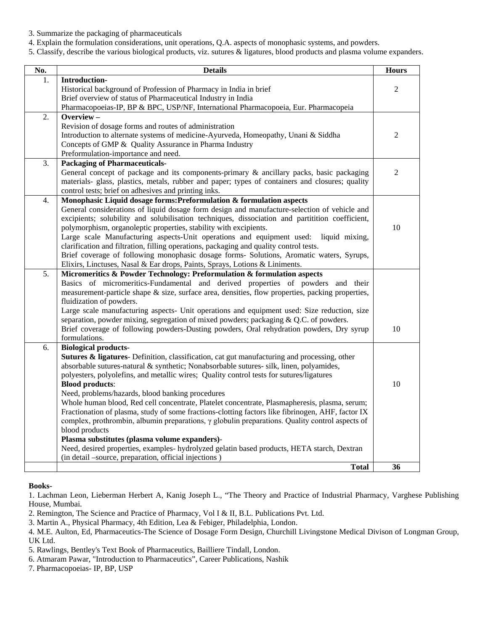- 3. Summarize the packaging of pharmaceuticals
- 4. Explain the formulation considerations, unit operations, Q.A. aspects of monophasic systems, and powders.
- 5. Classify, describe the various biological products, viz. sutures & ligatures, blood products and plasma volume expanders.

| No.              | <b>Details</b>                                                                                                                                    | <b>Hours</b>   |
|------------------|---------------------------------------------------------------------------------------------------------------------------------------------------|----------------|
| 1.               | Introduction-                                                                                                                                     |                |
|                  | Historical background of Profession of Pharmacy in India in brief                                                                                 | $\overline{2}$ |
|                  | Brief overview of status of Pharmaceutical Industry in India                                                                                      |                |
|                  | Pharmacopoeias-IP, BP & BPC, USP/NF, International Pharmacopoeia, Eur. Pharmacopeia                                                               |                |
| 2.               | Overview-                                                                                                                                         |                |
|                  | Revision of dosage forms and routes of administration                                                                                             |                |
|                  | Introduction to alternate systems of medicine-Ayurveda, Homeopathy, Unani & Siddha                                                                | $\overline{2}$ |
|                  | Concepts of GMP & Quality Assurance in Pharma Industry                                                                                            |                |
|                  | Preformulation-importance and need.                                                                                                               |                |
| 3.               | <b>Packaging of Pharmaceuticals-</b>                                                                                                              |                |
|                  | General concept of package and its components-primary $\&$ ancillary packs, basic packaging                                                       | $\overline{2}$ |
|                  | materials- glass, plastics, metals, rubber and paper; types of containers and closures; quality                                                   |                |
|                  | control tests; brief on adhesives and printing inks.                                                                                              |                |
| $\overline{4}$ . | Monophasic Liquid dosage forms: Preformulation & formulation aspects                                                                              |                |
|                  | General considerations of liquid dosage form design and manufacture-selection of vehicle and                                                      |                |
|                  | excipients; solubility and solubilisation techniques, dissociation and partitition coefficient,                                                   |                |
|                  | polymorphism, organoleptic properties, stability with excipients.                                                                                 | 10             |
|                  | Large scale Manufacturing aspects-Unit operations and equipment used:<br>liquid mixing,                                                           |                |
|                  | clarification and filtration, filling operations, packaging and quality control tests.                                                            |                |
|                  | Brief coverage of following monophasic dosage forms- Solutions, Aromatic waters, Syrups,                                                          |                |
|                  | Elixirs, Linctuses, Nasal & Ear drops, Paints, Sprays, Lotions & Liniments.                                                                       |                |
| $\overline{5}$ . | Micromeritics & Powder Technology: Preformulation & formulation aspects                                                                           |                |
|                  | Basics of micromeritics-Fundamental and derived properties of powders and their                                                                   |                |
|                  | measurement-particle shape & size, surface area, densities, flow properties, packing properties,                                                  |                |
|                  | fluidization of powders.                                                                                                                          |                |
|                  | Large scale manufacturing aspects- Unit operations and equipment used: Size reduction, size                                                       |                |
|                  | separation, powder mixing, segregation of mixed powders; packaging & Q.C. of powders.                                                             |                |
|                  | Brief coverage of following powders-Dusting powders, Oral rehydration powders, Dry syrup                                                          | 10             |
|                  | formulations.                                                                                                                                     |                |
| 6.               | <b>Biological products-</b>                                                                                                                       |                |
|                  | <b>Sutures &amp; ligatures</b> - Definition, classification, cat gut manufacturing and processing, other                                          |                |
|                  | absorbable sutures-natural & synthetic; Nonabsorbable sutures- silk, linen, polyamides,                                                           |                |
|                  | polyesters, polyolefins, and metallic wires; Quality control tests for sutures/ligatures                                                          | 10             |
|                  | <b>Blood products:</b>                                                                                                                            |                |
|                  | Need, problems/hazards, blood banking procedures<br>Whole human blood, Red cell concentrate, Platelet concentrate, Plasmapheresis, plasma, serum; |                |
|                  | Fractionation of plasma, study of some fractions-clotting factors like fibrinogen, AHF, factor IX                                                 |                |
|                  | complex, prothrombin, albumin preparations, $\gamma$ globulin preparations. Quality control aspects of                                            |                |
|                  | blood products                                                                                                                                    |                |
|                  | Plasma substitutes (plasma volume expanders)-                                                                                                     |                |
|                  | Need, desired properties, examples- hydrolyzed gelatin based products, HETA starch, Dextran                                                       |                |
|                  | (in detail –source, preparation, official injections)                                                                                             |                |
|                  | <b>Total</b>                                                                                                                                      | 36             |
|                  |                                                                                                                                                   |                |

#### **Books-**

1. Lachman Leon, Lieberman Herbert A, Kanig Joseph L., "The Theory and Practice of Industrial Pharmacy, Varghese Publishing House, Mumbai.

2. Remington, The Science and Practice of Pharmacy, Vol I & II, B.L. Publications Pvt. Ltd.

3. Martin A., Physical Pharmacy, 4th Edition, Lea & Febiger, Philadelphia, London.

4. M.E. Aulton, Ed, Pharmaceutics-The Science of Dosage Form Design, Churchill Livingstone Medical Divison of Longman Group, UK Ltd.

5. Rawlings, Bentley's Text Book of Pharmaceutics, Bailliere Tindall, London.

6. Atmaram Pawar, "Introduction to Pharmaceutics", Career Publications, Nashik

7. Pharmacopoeias- IP, BP, USP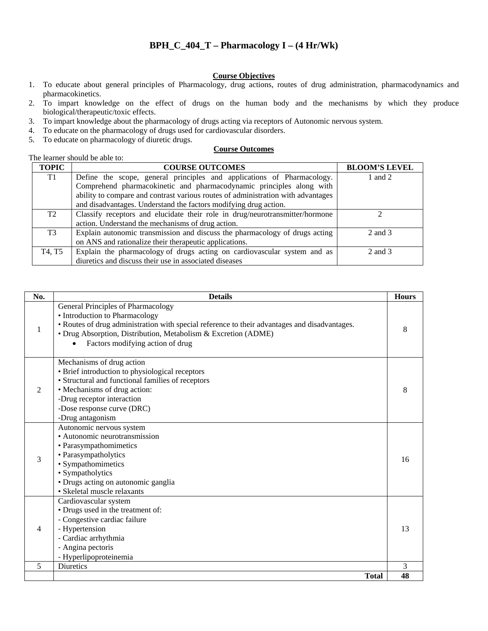### **BPH\_C\_404\_T – Pharmacology I – (4 Hr/Wk)**

#### **Course Objectives**

- 1. To educate about general principles of Pharmacology, drug actions, routes of drug administration, pharmacodynamics and pharmacokinetics.
- 2. To impart knowledge on the effect of drugs on the human body and the mechanisms by which they produce biological/therapeutic/toxic effects.
- 3. To impart knowledge about the pharmacology of drugs acting via receptors of Autonomic nervous system.
- 4. To educate on the pharmacology of drugs used for cardiovascular disorders.
- 5. To educate on pharmacology of diuretic drugs.

#### **Course Outcomes**

|                | The learner should be able to:                                                   |                      |  |  |  |
|----------------|----------------------------------------------------------------------------------|----------------------|--|--|--|
| <b>TOPIC</b>   | <b>COURSE OUTCOMES</b>                                                           | <b>BLOOM'S LEVEL</b> |  |  |  |
| T <sub>1</sub> | Define the scope, general principles and applications of Pharmacology.           | 1 and 2              |  |  |  |
|                | Comprehend pharmacokinetic and pharmacodynamic principles along with             |                      |  |  |  |
|                | ability to compare and contrast various routes of administration with advantages |                      |  |  |  |
|                | and disadvantages. Understand the factors modifying drug action.                 |                      |  |  |  |
| T <sub>2</sub> | Classify receptors and elucidate their role in drug/neurotransmitter/hormone     |                      |  |  |  |
|                | action. Understand the mechanisms of drug action.                                |                      |  |  |  |
| T <sub>3</sub> | Explain autonomic transmission and discuss the pharmacology of drugs acting      | 2 and 3              |  |  |  |
|                | on ANS and rationalize their therapeutic applications.                           |                      |  |  |  |
| T4, T5         | Explain the pharmacology of drugs acting on cardiovascular system and as         | 2 and 3              |  |  |  |
|                | diuretics and discuss their use in associated diseases                           |                      |  |  |  |

| No.           | <b>Details</b>                                                                                                                                                                                                                                                              | <b>Hours</b> |
|---------------|-----------------------------------------------------------------------------------------------------------------------------------------------------------------------------------------------------------------------------------------------------------------------------|--------------|
| 1             | General Principles of Pharmacology<br>• Introduction to Pharmacology<br>• Routes of drug administration with special reference to their advantages and disadvantages.<br>• Drug Absorption, Distribution, Metabolism & Excretion (ADME)<br>Factors modifying action of drug | 8            |
| $\mathcal{L}$ | Mechanisms of drug action<br>• Brief introduction to physiological receptors<br>• Structural and functional families of receptors<br>• Mechanisms of drug action:<br>-Drug receptor interaction<br>-Dose response curve (DRC)<br>-Drug antagonism                           | 8            |
| 3             | Autonomic nervous system<br>• Autonomic neurotransmission<br>· Parasympathomimetics<br>• Parasympatholytics<br>· Sympathomimetics<br>• Sympatholytics<br>· Drugs acting on autonomic ganglia<br>• Skeletal muscle relaxants                                                 | 16           |
| 4             | Cardiovascular system<br>• Drugs used in the treatment of:<br>- Congestive cardiac failure<br>- Hypertension<br>- Cardiac arrhythmia<br>- Angina pectoris<br>- Hyperlipoproteinemia                                                                                         | 13           |
| 5             | <b>Diuretics</b>                                                                                                                                                                                                                                                            | 3            |
|               | <b>Total</b>                                                                                                                                                                                                                                                                | 48           |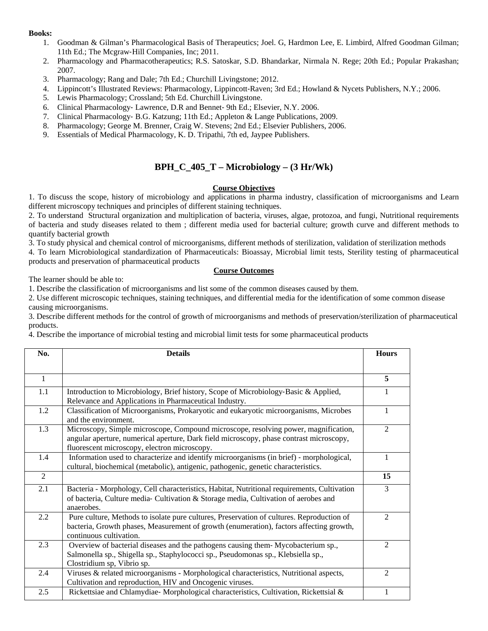- 1. Goodman & Gilman's Pharmacological Basis of Therapeutics; Joel. G, Hardmon Lee, E. Limbird, Alfred Goodman Gilman; 11th Ed.; The Mcgraw‐Hill Companies, Inc; 2011.
- 2. Pharmacology and Pharmacotherapeutics; R.S. Satoskar, S.D. Bhandarkar, Nirmala N. Rege; 20th Ed.; Popular Prakashan; 2007.
- 3. Pharmacology; Rang and Dale; 7th Ed.; Churchill Livingstone; 2012.
- 4. Lippincott's Illustrated Reviews: Pharmacology, Lippincott-Raven; 3rd Ed.; Howland & Nycets Publishers, N.Y.; 2006.
- 5. Lewis Pharmacology; Crossland; 5th Ed. Churchill Livingstone.
- 6. Clinical Pharmacology‐ Lawrence, D.R and Bennet‐ 9th Ed.; Elsevier, N.Y. 2006.
- 7. Clinical Pharmacology‐ B.G. Katzung; 11th Ed.; Appleton & Lange Publications, 2009.
- 8. Pharmacology; George M. Brenner, Craig W. Stevens; 2nd Ed.; Elsevier Publishers, 2006.
- 9. Essentials of Medical Pharmacology, K. D. Tripathi, 7th ed, Jaypee Publishers.

### **BPH**  $C$  405  $T$  – Microbiology –  $(3 Hr/Wk)$

#### **Course Objectives**

1. To discuss the scope, history of microbiology and applications in pharma industry, classification of microorganisms and Learn different microscopy techniques and principles of different staining techniques.

2. To understand Structural organization and multiplication of bacteria, viruses, algae, protozoa, and fungi, Nutritional requirements of bacteria and study diseases related to them ; different media used for bacterial culture; growth curve and different methods to quantify bacterial growth

3. To study physical and chemical control of microorganisms, different methods of sterilization, validation of sterilization methods

4. To learn Microbiological standardization of Pharmaceuticals: Bioassay, Microbial limit tests, Sterility testing of pharmaceutical products and preservation of pharmaceutical products

#### **Course Outcomes**

The learner should be able to:

1. Describe the classification of microorganisms and list some of the common diseases caused by them.

2. Use different microscopic techniques, staining techniques, and differential media for the identification of some common disease causing microorganisms.

3. Describe different methods for the control of growth of microorganisms and methods of preservation/sterilization of pharmaceutical products.

4. Describe the importance of microbial testing and microbial limit tests for some pharmaceutical products

| No.            | <b>Details</b>                                                                                                                                                                                                                 | <b>Hours</b>   |
|----------------|--------------------------------------------------------------------------------------------------------------------------------------------------------------------------------------------------------------------------------|----------------|
|                |                                                                                                                                                                                                                                |                |
| $\mathbf{1}$   |                                                                                                                                                                                                                                | 5              |
| 1.1            | Introduction to Microbiology, Brief history, Scope of Microbiology-Basic & Applied,<br>Relevance and Applications in Pharmaceutical Industry.                                                                                  | 1              |
| 1.2            | Classification of Microorganisms, Prokaryotic and eukaryotic microorganisms, Microbes<br>and the environment.                                                                                                                  | $\mathbf{1}$   |
| 1.3            | Microscopy, Simple microscope, Compound microscope, resolving power, magnification,<br>angular aperture, numerical aperture, Dark field microscopy, phase contrast microscopy,<br>fluorescent microscopy, electron microscopy. | 2              |
| 1.4            | Information used to characterize and identify microorganisms (in brief) - morphological,<br>cultural, biochemical (metabolic), antigenic, pathogenic, genetic characteristics.                                                 | 1              |
| $\overline{2}$ |                                                                                                                                                                                                                                | 15             |
| 2.1            | Bacteria - Morphology, Cell characteristics, Habitat, Nutritional requirements, Cultivation<br>of bacteria, Culture media- Cultivation & Storage media, Cultivation of aerobes and<br>anaerobes.                               | 3              |
| 2.2            | Pure culture, Methods to isolate pure cultures, Preservation of cultures. Reproduction of<br>bacteria, Growth phases, Measurement of growth (enumeration), factors affecting growth,<br>continuous cultivation.                | 2              |
| 2.3            | Overview of bacterial diseases and the pathogens causing them-Mycobacterium sp.,<br>Salmonella sp., Shigella sp., Staphylococci sp., Pseudomonas sp., Klebsiella sp.,<br>Clostridium sp, Vibrio sp.                            | $\mathfrak{D}$ |
| 2.4            | Viruses & related microorganisms - Morphological characteristics, Nutritional aspects,<br>Cultivation and reproduction, HIV and Oncogenic viruses.                                                                             | $\overline{2}$ |
| 2.5            | Rickettsiae and Chlamydiae-Morphological characteristics, Cultivation, Rickettsial &                                                                                                                                           | 1              |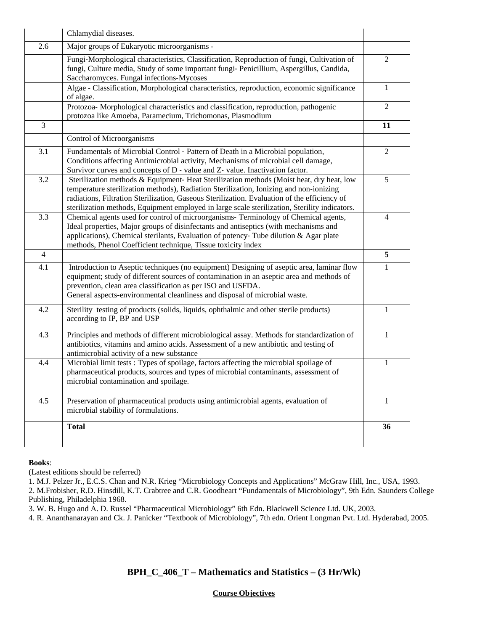|                | Chlamydial diseases.                                                                                                                                                                                                                                                                                                                                                               |                |
|----------------|------------------------------------------------------------------------------------------------------------------------------------------------------------------------------------------------------------------------------------------------------------------------------------------------------------------------------------------------------------------------------------|----------------|
| 2.6            | Major groups of Eukaryotic microorganisms -                                                                                                                                                                                                                                                                                                                                        |                |
|                | Fungi-Morphological characteristics, Classification, Reproduction of fungi, Cultivation of<br>fungi, Culture media, Study of some important fungi-Penicillium, Aspergillus, Candida,<br>Saccharomyces. Fungal infections-Mycoses                                                                                                                                                   | $\overline{2}$ |
|                | Algae - Classification, Morphological characteristics, reproduction, economic significance<br>of algae.                                                                                                                                                                                                                                                                            | $\mathbf{1}$   |
|                | Protozoa- Morphological characteristics and classification, reproduction, pathogenic<br>protozoa like Amoeba, Paramecium, Trichomonas, Plasmodium                                                                                                                                                                                                                                  | $\mathbf{2}$   |
| 3              |                                                                                                                                                                                                                                                                                                                                                                                    | 11             |
|                | Control of Microorganisms                                                                                                                                                                                                                                                                                                                                                          |                |
| 3.1            | Fundamentals of Microbial Control - Pattern of Death in a Microbial population,<br>Conditions affecting Antimicrobial activity, Mechanisms of microbial cell damage,<br>Survivor curves and concepts of D - value and Z- value. Inactivation factor.                                                                                                                               | 2              |
| 3.2            | Sterilization methods & Equipment-Heat Sterilization methods (Moist heat, dry heat, low<br>temperature sterilization methods), Radiation Sterilization, Ionizing and non-ionizing<br>radiations, Filtration Sterilization, Gaseous Sterilization. Evaluation of the efficiency of<br>sterilization methods, Equipment employed in large scale sterilization, Sterility indicators. | 5              |
| 3.3            | Chemical agents used for control of microorganisms- Terminology of Chemical agents,<br>Ideal properties, Major groups of disinfectants and antiseptics (with mechanisms and<br>applications), Chemical sterilants, Evaluation of potency-Tube dilution & Agar plate<br>methods, Phenol Coefficient technique, Tissue toxicity index                                                | 4              |
| $\overline{4}$ |                                                                                                                                                                                                                                                                                                                                                                                    | 5              |
| 4.1            | Introduction to Aseptic techniques (no equipment) Designing of aseptic area, laminar flow<br>equipment; study of different sources of contamination in an aseptic area and methods of<br>prevention, clean area classification as per ISO and USFDA.<br>General aspects-environmental cleanliness and disposal of microbial waste.                                                 | 1              |
| 4.2            | Sterility testing of products (solids, liquids, ophthalmic and other sterile products)<br>according to IP, BP and USP                                                                                                                                                                                                                                                              | 1              |
| 4.3            | Principles and methods of different microbiological assay. Methods for standardization of<br>antibiotics, vitamins and amino acids. Assessment of a new antibiotic and testing of<br>antimicrobial activity of a new substance                                                                                                                                                     | 1              |
| 4.4            | Microbial limit tests: Types of spoilage, factors affecting the microbial spoilage of<br>pharmaceutical products, sources and types of microbial contaminants, assessment of<br>microbial contamination and spoilage.                                                                                                                                                              | 1              |
| 4.5            | Preservation of pharmaceutical products using antimicrobial agents, evaluation of<br>microbial stability of formulations.                                                                                                                                                                                                                                                          | 1              |
|                | <b>Total</b>                                                                                                                                                                                                                                                                                                                                                                       | 36             |

(Latest editions should be referred)

1. M.J. Pelzer Jr., E.C.S. Chan and N.R. Krieg "Microbiology Concepts and Applications" McGraw Hill, Inc., USA, 1993.

2. M.Frobisher, R.D. Hinsdill, K.T. Crabtree and C.R. Goodheart "Fundamentals of Microbiology", 9th Edn. Saunders College Publishing, Philadelphia 1968.

3. W. B. Hugo and A. D. Russel "Pharmaceutical Microbiology" 6th Edn. Blackwell Science Ltd. UK, 2003.

4. R. Ananthanarayan and Ck. J. Panicker "Textbook of Microbiology", 7th edn. Orient Longman Pvt. Ltd. Hyderabad, 2005.

### **BPH\_C\_406\_T – Mathematics and Statistics – (3 Hr/Wk)**

#### **Course Objectives**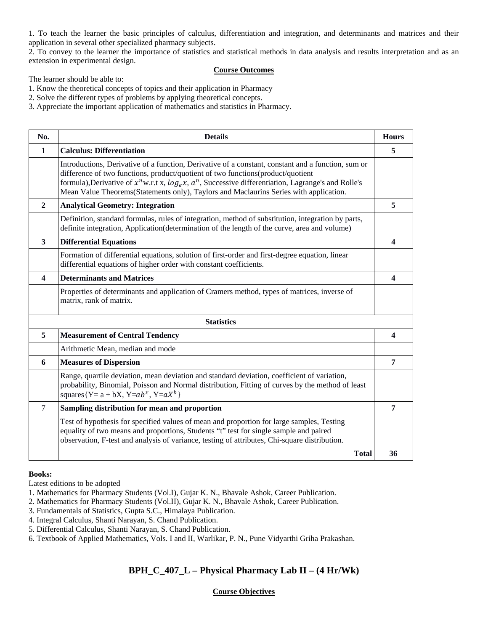1. To teach the learner the basic principles of calculus, differentiation and integration, and determinants and matrices and their application in several other specialized pharmacy subjects.

2. To convey to the learner the importance of statistics and statistical methods in data analysis and results interpretation and as an extension in experimental design.

#### **Course Outcomes**

The learner should be able to:

1. Know the theoretical concepts of topics and their application in Pharmacy

2. Solve the different types of problems by applying theoretical concepts.

3. Appreciate the important application of mathematics and statistics in Pharmacy.

| No.                     | <b>Details</b>                                                                                                                                                                                                                                                                                                                                                                                   | <b>Hours</b>     |
|-------------------------|--------------------------------------------------------------------------------------------------------------------------------------------------------------------------------------------------------------------------------------------------------------------------------------------------------------------------------------------------------------------------------------------------|------------------|
| $\mathbf{1}$            | <b>Calculus: Differentiation</b>                                                                                                                                                                                                                                                                                                                                                                 | 5                |
|                         | Introductions, Derivative of a function, Derivative of a constant, constant and a function, sum or<br>difference of two functions, product/quotient of two functions(product/quotient<br>formula), Derivative of $x^n$ w.r.t x, $log_e x$ , $a^n$ , Successive differentiation, Lagrange's and Rolle's<br>Mean Value Theorems (Statements only), Taylors and Maclaurins Series with application. |                  |
| $\mathbf{2}$            | <b>Analytical Geometry: Integration</b>                                                                                                                                                                                                                                                                                                                                                          | 5                |
|                         | Definition, standard formulas, rules of integration, method of substitution, integration by parts,<br>definite integration, Application(determination of the length of the curve, area and volume)                                                                                                                                                                                               |                  |
| 3                       | <b>Differential Equations</b>                                                                                                                                                                                                                                                                                                                                                                    | $\boldsymbol{4}$ |
|                         | Formation of differential equations, solution of first-order and first-degree equation, linear<br>differential equations of higher order with constant coefficients.                                                                                                                                                                                                                             |                  |
| $\overline{\mathbf{4}}$ | <b>Determinants and Matrices</b>                                                                                                                                                                                                                                                                                                                                                                 | $\boldsymbol{4}$ |
|                         | Properties of determinants and application of Cramers method, types of matrices, inverse of<br>matrix, rank of matrix.                                                                                                                                                                                                                                                                           |                  |
|                         | <b>Statistics</b>                                                                                                                                                                                                                                                                                                                                                                                |                  |
| 5                       | <b>Measurement of Central Tendency</b>                                                                                                                                                                                                                                                                                                                                                           | $\boldsymbol{4}$ |
|                         | Arithmetic Mean, median and mode                                                                                                                                                                                                                                                                                                                                                                 |                  |
| 6                       | <b>Measures of Dispersion</b>                                                                                                                                                                                                                                                                                                                                                                    | $\overline{7}$   |
|                         | Range, quartile deviation, mean deviation and standard deviation, coefficient of variation,<br>probability, Binomial, Poisson and Normal distribution, Fitting of curves by the method of least<br>squares { $Y = a + bX$ , $Y = ab^x$ , $Y = aX^b$ }                                                                                                                                            |                  |
| $\tau$                  | Sampling distribution for mean and proportion                                                                                                                                                                                                                                                                                                                                                    | $\overline{7}$   |
|                         | Test of hypothesis for specified values of mean and proportion for large samples, Testing<br>equality of two means and proportions, Students "t" test for single sample and paired<br>observation, F-test and analysis of variance, testing of attributes, Chi-square distribution.                                                                                                              |                  |
|                         | <b>Total</b>                                                                                                                                                                                                                                                                                                                                                                                     | 36               |

#### **Books:**

Latest editions to be adopted

- 1. Mathematics for Pharmacy Students (Vol.I), Gujar K. N., Bhavale Ashok, Career Publication.
- 2. Mathematics for Pharmacy Students (Vol.II), Gujar K. N., Bhavale Ashok, Career Publication.
- 3. Fundamentals of Statistics, Gupta S.C., Himalaya Publication.
- 4. Integral Calculus, Shanti Narayan, S. Chand Publication.
- 5. Differential Calculus, Shanti Narayan, S. Chand Publication.
- 6. Textbook of Applied Mathematics, Vols. I and II, Warlikar, P. N., Pune Vidyarthi Griha Prakashan.

### **BPH\_C\_407\_L – Physical Pharmacy Lab II – (4 Hr/Wk)**

#### **Course Objectives**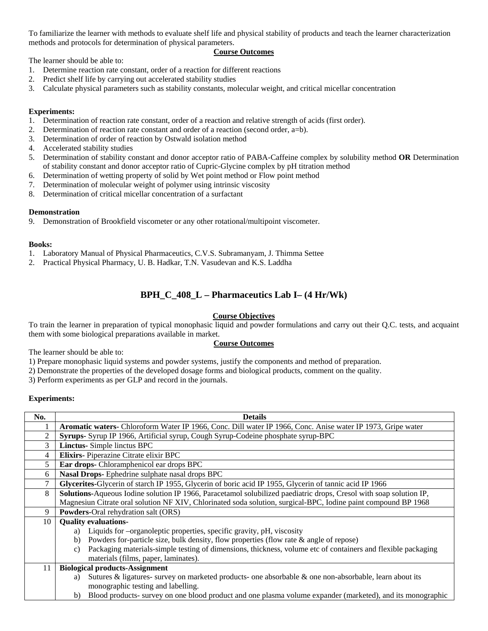To familiarize the learner with methods to evaluate shelf life and physical stability of products and teach the learner characterization methods and protocols for determination of physical parameters.

#### **Course Outcomes**

The learner should be able to:

- 1. Determine reaction rate constant, order of a reaction for different reactions
- 2. Predict shelf life by carrying out accelerated stability studies
- 3. Calculate physical parameters such as stability constants, molecular weight, and critical micellar concentration

#### **Experiments:**

- 1. Determination of reaction rate constant, order of a reaction and relative strength of acids (first order).
- 2. Determination of reaction rate constant and order of a reaction (second order, a=b).
- 3. Determination of order of reaction by Ostwald isolation method
- 4. Accelerated stability studies
- 5. Determination of stability constant and donor acceptor ratio of PABA-Caffeine complex by solubility method **OR** Determination of stability constant and donor acceptor ratio of Cupric-Glycine complex by pH titration method
- 6. Determination of wetting property of solid by Wet point method or Flow point method
- 7. Determination of molecular weight of polymer using intrinsic viscosity
- 8. Determination of critical micellar concentration of a surfactant

#### **Demonstration**

9. Demonstration of Brookfield viscometer or any other rotational/multipoint viscometer.

#### **Books:**

- 1. Laboratory Manual of Physical Pharmaceutics, C.V.S. Subramanyam, J. Thimma Settee
- 2. Practical Physical Pharmacy, U. B. Hadkar, T.N. Vasudevan and K.S. Laddha

### **BPH\_C\_408\_L – Pharmaceutics Lab I– (4 Hr/Wk)**

### **Course Objectives**

To train the learner in preparation of typical monophasic liquid and powder formulations and carry out their Q.C. tests, and acquaint them with some biological preparations available in market.

#### **Course Outcomes**

The learner should be able to:

1) Prepare monophasic liquid systems and powder systems, justify the components and method of preparation.

2) Demonstrate the properties of the developed dosage forms and biological products, comment on the quality.

3) Perform experiments as per GLP and record in the journals.

#### **Experiments:**

| No.            | <b>Details</b>                                                                                                            |
|----------------|---------------------------------------------------------------------------------------------------------------------------|
|                | Aromatic waters- Chloroform Water IP 1966, Conc. Dill water IP 1966, Conc. Anise water IP 1973, Gripe water               |
| $\overline{2}$ | Syrups- Syrup IP 1966, Artificial syrup, Cough Syrup-Codeine phosphate syrup-BPC                                          |
| 3              | <b>Linctus-</b> Simple linctus BPC                                                                                        |
| 4              | Elixirs-Piperazine Citrate elixir BPC                                                                                     |
| 5              | Ear drops- Chloramphenicol ear drops BPC                                                                                  |
| 6              | Nasal Drops-Ephedrine sulphate nasal drops BPC                                                                            |
|                | Glycerites-Glycerin of starch IP 1955, Glycerin of boric acid IP 1955, Glycerin of tannic acid IP 1966                    |
| 8              | <b>Solutions-Aqueous Iodine solution IP 1966, Paracetamol solubilized paediatric drops, Cresol with soap solution IP,</b> |
|                | Magnesiun Citrate oral solution NF XIV, Chlorinated soda solution, surgical-BPC, Iodine paint compound BP 1968            |
| 9              | <b>Powders-Oral rehydration salt (ORS)</b>                                                                                |
| 10             | <b>Quality evaluations-</b>                                                                                               |
|                | Liquids for –organoleptic properties, specific gravity, pH, viscosity<br>a)                                               |
|                | Powders for-particle size, bulk density, flow properties (flow rate & angle of repose)<br>b)                              |
|                | Packaging materials-simple testing of dimensions, thickness, volume etc of containers and flexible packaging<br>c)        |
|                | materials (films, paper, laminates).                                                                                      |
| 11             | <b>Biological products-Assignment</b>                                                                                     |
|                | Sutures & ligatures- survey on marketed products- one absorbable $\&$ one non-absorbable, learn about its<br>a)           |
|                | monographic testing and labelling.                                                                                        |
|                | Blood products- survey on one blood product and one plasma volume expander (marketed), and its monographic<br>b)          |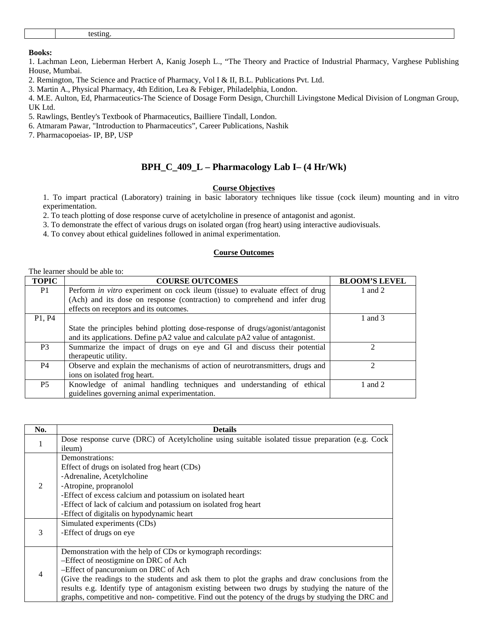1. Lachman Leon, Lieberman Herbert A, Kanig Joseph L., "The Theory and Practice of Industrial Pharmacy, Varghese Publishing House, Mumbai.

2. Remington, The Science and Practice of Pharmacy, Vol I & II, B.L. Publications Pvt. Ltd.

3. Martin A., Physical Pharmacy, 4th Edition, Lea & Febiger, Philadelphia, London.

4. M.E. Aulton, Ed, Pharmaceutics-The Science of Dosage Form Design, Churchill Livingstone Medical Division of Longman Group, UK Ltd.

5. Rawlings, Bentley's Textbook of Pharmaceutics, Bailliere Tindall, London.

6. Atmaram Pawar, "Introduction to Pharmaceutics", Career Publications, Nashik

7. Pharmacopoeias- IP, BP, USP

#### **BPH\_C\_409\_L – Pharmacology Lab I– (4 Hr/Wk)**

#### **Course Objectives**

1. To impart practical (Laboratory) training in basic laboratory techniques like tissue (cock ileum) mounting and in vitro experimentation.

2. To teach plotting of dose response curve of acetylcholine in presence of antagonist and agonist.

3. To demonstrate the effect of various drugs on isolated organ (frog heart) using interactive audiovisuals.

4. To convey about ethical guidelines followed in animal experimentation.

#### **Course Outcomes**

#### The learner should be able to:

| <b>TOPIC</b>                    | <b>COURSE OUTCOMES</b>                                                               | <b>BLOOM'S LEVEL</b> |
|---------------------------------|--------------------------------------------------------------------------------------|----------------------|
| P1                              | Perform <i>in vitro</i> experiment on cock ileum (tissue) to evaluate effect of drug | 1 and $2$            |
|                                 | (Ach) and its dose on response (contraction) to comprehend and infer drug            |                      |
|                                 | effects on receptors and its outcomes.                                               |                      |
| P <sub>1</sub> , P <sub>4</sub> |                                                                                      | 1 and 3              |
|                                 | State the principles behind plotting dose-response of drugs/agonist/antagonist       |                      |
|                                 | and its applications. Define pA2 value and calculate pA2 value of antagonist.        |                      |
| P <sub>3</sub>                  | Summarize the impact of drugs on eye and GI and discuss their potential              | ∍                    |
|                                 | therapeutic utility.                                                                 |                      |
| P4                              | Observe and explain the mechanisms of action of neurotransmitters, drugs and         | $\mathcal{D}$        |
|                                 | ions on isolated frog heart.                                                         |                      |
| <b>P5</b>                       | Knowledge of animal handling techniques and understanding of ethical                 | 1 and $2$            |
|                                 | guidelines governing animal experimentation.                                         |                      |

| No. | <b>Details</b>                                                                                     |
|-----|----------------------------------------------------------------------------------------------------|
| 1   | Dose response curve (DRC) of Acetylcholine using suitable isolated tissue preparation (e.g. Cock   |
|     | ileum)                                                                                             |
|     | Demonstrations:                                                                                    |
| 2   | Effect of drugs on isolated frog heart (CDs)                                                       |
|     | -Adrenaline, Acetylcholine                                                                         |
|     | -Atropine, propranolol                                                                             |
|     | -Effect of excess calcium and potassium on isolated heart                                          |
|     | -Effect of lack of calcium and potassium on isolated frog heart                                    |
|     | -Effect of digitalis on hypodynamic heart                                                          |
|     | Simulated experiments (CDs)                                                                        |
| 3   | -Effect of drugs on eye                                                                            |
|     |                                                                                                    |
|     | Demonstration with the help of CDs or kymograph recordings:                                        |
|     | -Effect of neostigmine on DRC of Ach                                                               |
| 4   | -Effect of pancuronium on DRC of Ach                                                               |
|     | (Give the readings to the students and ask them to plot the graphs and draw conclusions from the   |
|     | results e.g. Identify type of antagonism existing between two drugs by studying the nature of the  |
|     | graphs, competitive and non-competitive. Find out the potency of the drugs by studying the DRC and |